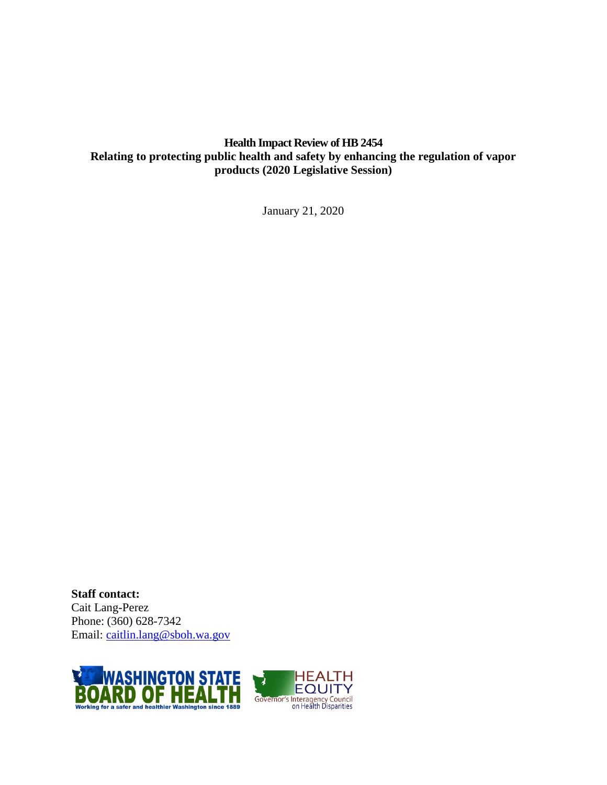# **Health Impact Review of HB 2454 Relating to protecting public health and safety by enhancing the regulation of vapor products (2020 Legislative Session)**

January 21, 2020

**Staff contact:** Cait Lang-Perez Phone: (360) 628-7342 Email: [caitlin.lang@sboh.wa.gov](mailto:caitlin.lang@sboh.wa.gov)

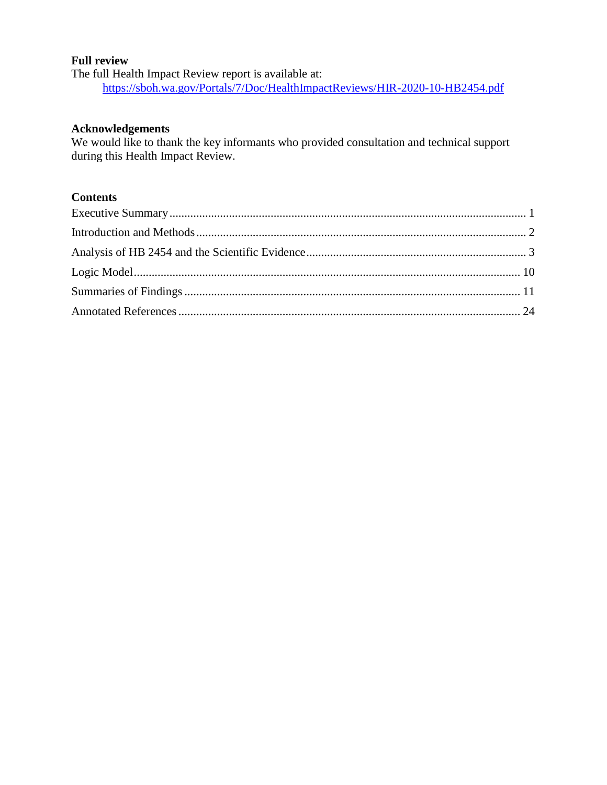#### **Full review**

The full Health Impact Review report is available at: <https://sboh.wa.gov/Portals/7/Doc/HealthImpactReviews/HIR-2020-10-HB2454.pdf>

#### **Acknowledgements**

We would like to thank the key informants who provided consultation and technical support during this Health Impact Review.

# **Contents**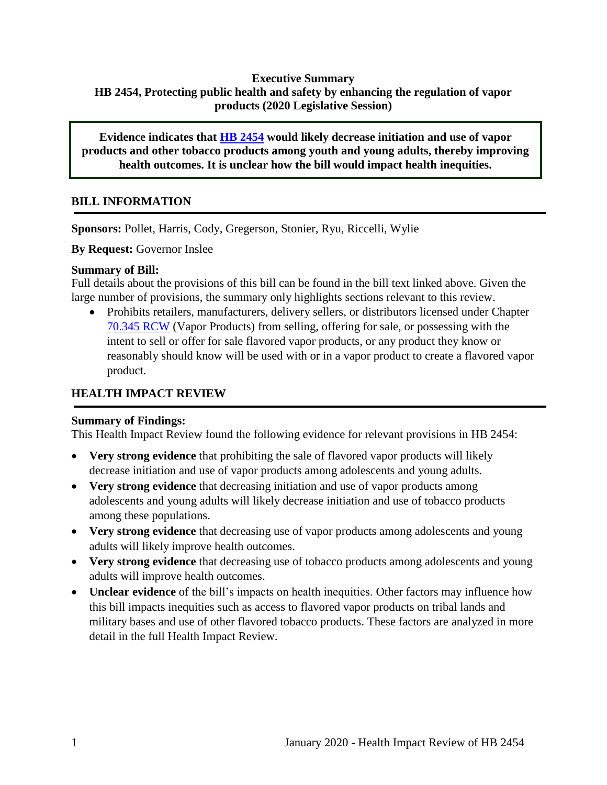# <span id="page-2-0"></span>**Executive Summary HB 2454, Protecting public health and safety by enhancing the regulation of vapor products (2020 Legislative Session)**

**Evidence indicates that [HB 2454](http://lawfilesext.leg.wa.gov/biennium/2019-20/Pdf/Bills/House%20Bills/2454.pdf) would likely decrease initiation and use of vapor products and other tobacco products among youth and young adults, thereby improving health outcomes. It is unclear how the bill would impact health inequities.**

# **BILL INFORMATION**

**Sponsors:** Pollet, Harris, Cody, Gregerson, Stonier, Ryu, Riccelli, Wylie

**By Request:** Governor Inslee

#### **Summary of Bill:**

Full details about the provisions of this bill can be found in the bill text linked above. Given the large number of provisions, the summary only highlights sections relevant to this review.

 Prohibits retailers, manufacturers, delivery sellers, or distributors licensed under Chapter [70.345 RCW](https://app.leg.wa.gov/RCW/default.aspx?cite=70.345) (Vapor Products) from selling, offering for sale, or possessing with the intent to sell or offer for sale flavored vapor products, or any product they know or reasonably should know will be used with or in a vapor product to create a flavored vapor product.

# **HEALTH IMPACT REVIEW**

## **Summary of Findings:**

This Health Impact Review found the following evidence for relevant provisions in HB 2454:

- **Very strong evidence** that prohibiting the sale of flavored vapor products will likely decrease initiation and use of vapor products among adolescents and young adults.
- **Very strong evidence** that decreasing initiation and use of vapor products among adolescents and young adults will likely decrease initiation and use of tobacco products among these populations.
- **Very strong evidence** that decreasing use of vapor products among adolescents and young adults will likely improve health outcomes.
- **Very strong evidence** that decreasing use of tobacco products among adolescents and young adults will improve health outcomes.
- **Unclear evidence** of the bill's impacts on health inequities. Other factors may influence how this bill impacts inequities such as access to flavored vapor products on tribal lands and military bases and use of other flavored tobacco products. These factors are analyzed in more detail in the full Health Impact Review.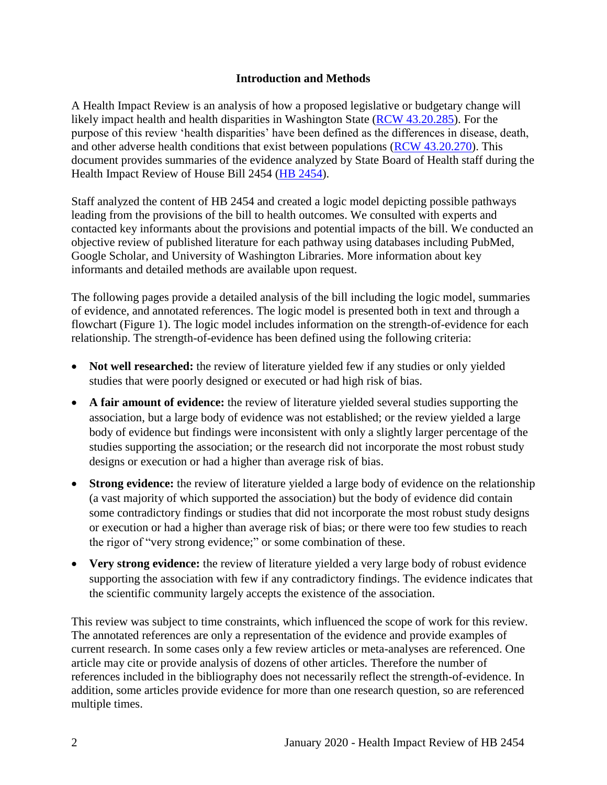#### **Introduction and Methods**

<span id="page-3-0"></span>A Health Impact Review is an analysis of how a proposed legislative or budgetary change will likely impact health and health disparities in Washington State [\(RCW 43.20.285\)](http://apps.leg.wa.gov/rcw/default.aspx?cite=43.20.285). For the purpose of this review 'health disparities' have been defined as the differences in disease, death, and other adverse health conditions that exist between populations [\(RCW 43.20.270\)](http://apps.leg.wa.gov/rcw/default.aspx?cite=43.20.270). This document provides summaries of the evidence analyzed by State Board of Health staff during the Health Impact Review of House Bill 2454 [\(HB 2454\)](https://app.leg.wa.gov/billsummary?BillNumber=2454&Chamber=House&Year=2019).

Staff analyzed the content of HB 2454 and created a logic model depicting possible pathways leading from the provisions of the bill to health outcomes. We consulted with experts and contacted key informants about the provisions and potential impacts of the bill. We conducted an objective review of published literature for each pathway using databases including PubMed, Google Scholar, and University of Washington Libraries. More information about key informants and detailed methods are available upon request.

The following pages provide a detailed analysis of the bill including the logic model, summaries of evidence, and annotated references. The logic model is presented both in text and through a flowchart (Figure 1). The logic model includes information on the strength-of-evidence for each relationship. The strength-of-evidence has been defined using the following criteria:

- Not well researched: the review of literature yielded few if any studies or only yielded studies that were poorly designed or executed or had high risk of bias.
- **A fair amount of evidence:** the review of literature yielded several studies supporting the association, but a large body of evidence was not established; or the review yielded a large body of evidence but findings were inconsistent with only a slightly larger percentage of the studies supporting the association; or the research did not incorporate the most robust study designs or execution or had a higher than average risk of bias.
- **Strong evidence:** the review of literature yielded a large body of evidence on the relationship (a vast majority of which supported the association) but the body of evidence did contain some contradictory findings or studies that did not incorporate the most robust study designs or execution or had a higher than average risk of bias; or there were too few studies to reach the rigor of "very strong evidence;" or some combination of these.
- Very strong evidence: the review of literature yielded a very large body of robust evidence supporting the association with few if any contradictory findings. The evidence indicates that the scientific community largely accepts the existence of the association.

This review was subject to time constraints, which influenced the scope of work for this review. The annotated references are only a representation of the evidence and provide examples of current research. In some cases only a few review articles or meta-analyses are referenced. One article may cite or provide analysis of dozens of other articles. Therefore the number of references included in the bibliography does not necessarily reflect the strength-of-evidence. In addition, some articles provide evidence for more than one research question, so are referenced multiple times.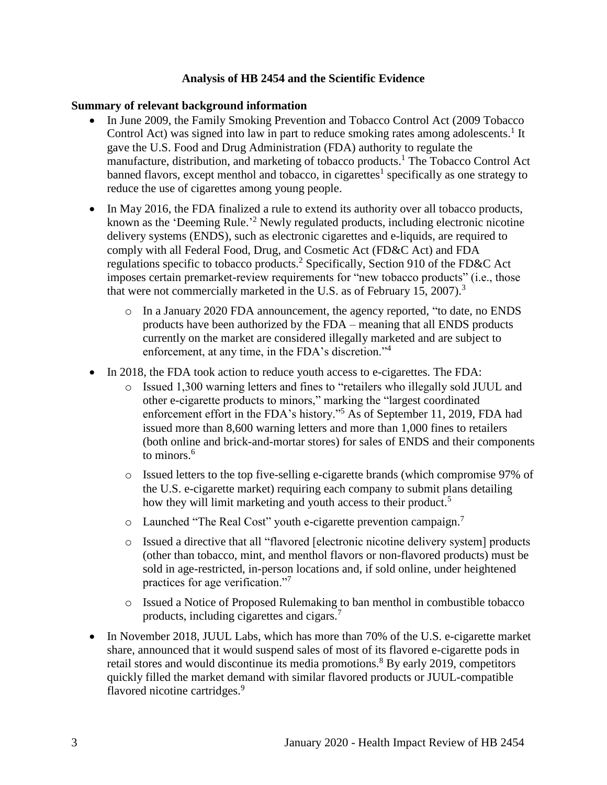#### **Analysis of HB 2454 and the Scientific Evidence**

#### <span id="page-4-0"></span>**Summary of relevant background information**

- In June 2009, the Family Smoking Prevention and Tobacco Control Act (2009 Tobacco Control Act) was signed into law in part to reduce smoking rates among adolescents.<sup>1</sup> It gave the U.S. Food and Drug Administration (FDA) authority to regulate the manufacture, distribution, and marketing of tobacco products. <sup>1</sup> The Tobacco Control Act banned flavors, except menthol and tobacco, in cigarettes<sup>1</sup> specifically as one strategy to reduce the use of cigarettes among young people.
- In May 2016, the FDA finalized a rule to extend its authority over all tobacco products, known as the 'Deeming Rule.<sup>2</sup> Newly regulated products, including electronic nicotine delivery systems (ENDS), such as electronic cigarettes and e-liquids, are required to comply with all Federal Food, Drug, and Cosmetic Act (FD&C Act) and FDA regulations specific to tobacco products.<sup>2</sup> Specifically, Section 910 of the FD&C Act imposes certain premarket-review requirements for "new tobacco products" (i.e., those that were not commercially marketed in the U.S. as of February 15, 2007).<sup>3</sup>
	- o In a January 2020 FDA announcement, the agency reported, "to date, no ENDS products have been authorized by the FDA – meaning that all ENDS products currently on the market are considered illegally marketed and are subject to enforcement, at any time, in the FDA's discretion."<sup>4</sup>
- In 2018, the FDA took action to reduce youth access to e-cigarettes. The FDA:
	- o Issued 1,300 warning letters and fines to "retailers who illegally sold JUUL and other e-cigarette products to minors," marking the "largest coordinated enforcement effort in the FDA's history."<sup>5</sup> As of September 11, 2019, FDA had issued more than 8,600 warning letters and more than 1,000 fines to retailers (both online and brick-and-mortar stores) for sales of ENDS and their components to minors.<sup>6</sup>
	- o Issued letters to the top five-selling e-cigarette brands (which compromise 97% of the U.S. e-cigarette market) requiring each company to submit plans detailing how they will limit marketing and youth access to their product.<sup>5</sup>
	- $\circ$  Launched "The Real Cost" youth e-cigarette prevention campaign.<sup>7</sup>
	- o Issued a directive that all "flavored [electronic nicotine delivery system] products (other than tobacco, mint, and menthol flavors or non-flavored products) must be sold in age-restricted, in-person locations and, if sold online, under heightened practices for age verification."<sup>7</sup>
	- o Issued a Notice of Proposed Rulemaking to ban menthol in combustible tobacco products, including cigarettes and cigars.<sup>7</sup>
- In November 2018, JUUL Labs, which has more than 70% of the U.S. e-cigarette market share, announced that it would suspend sales of most of its flavored e-cigarette pods in retail stores and would discontinue its media promotions.<sup>8</sup> By early 2019, competitors quickly filled the market demand with similar flavored products or JUUL-compatible flavored nicotine cartridges.<sup>9</sup>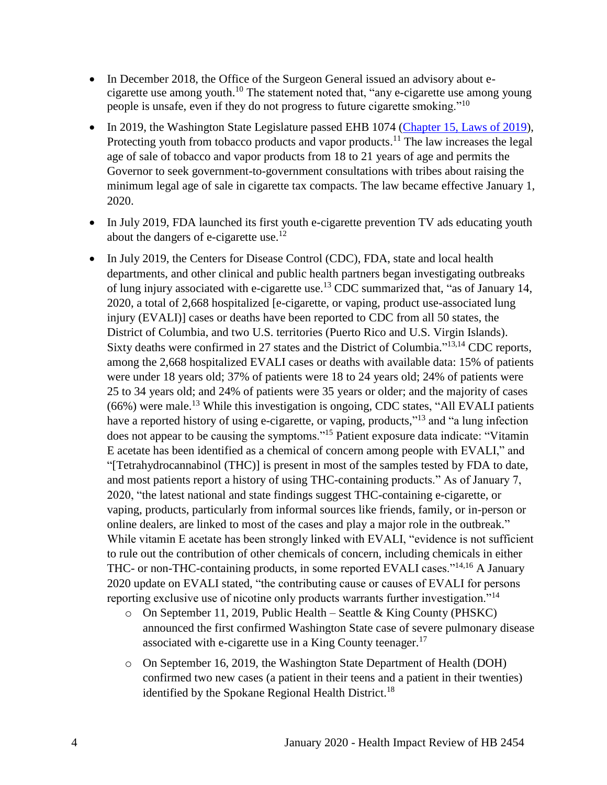- In December 2018, the Office of the Surgeon General issued an advisory about ecigarette use among youth.<sup>10</sup> The statement noted that, "any e-cigarette use among young people is unsafe, even if they do not progress to future cigarette smoking."<sup>10</sup>
- In 2019, the Washington State Legislature passed EHB 1074 [\(Chapter 15, Laws of 2019\)](http://lawfilesext.leg.wa.gov/biennium/2019-20/Pdf/Bills/Session%20Laws/House/1074.SL.pdf), Protecting youth from tobacco products and vapor products.<sup>11</sup> The law increases the legal age of sale of tobacco and vapor products from 18 to 21 years of age and permits the Governor to seek government-to-government consultations with tribes about raising the minimum legal age of sale in cigarette tax compacts. The law became effective January 1, 2020.
- In July 2019, FDA launched its first youth e-cigarette prevention TV ads educating youth about the dangers of e-cigarette use.<sup>12</sup>
- In July 2019, the Centers for Disease Control (CDC), FDA, state and local health departments, and other clinical and public health partners began investigating outbreaks of lung injury associated with e-cigarette use.<sup>13</sup> CDC summarized that, "as of January 14, 2020, a total of 2,668 hospitalized [e-cigarette, or vaping, product use-associated lung injury (EVALI)] cases or deaths have been reported to CDC from all 50 states, the District of Columbia, and two U.S. territories (Puerto Rico and U.S. Virgin Islands). Sixty deaths were confirmed in 27 states and the District of Columbia."<sup>[13,](#page-30-0)[14](#page-31-0)</sup> CDC reports, among the 2,668 hospitalized EVALI cases or deaths with available data: 15% of patients were under 18 years old; 37% of patients were 18 to 24 years old; 24% of patients were 25 to 34 years old; and 24% of patients were 35 years or older; and the majority of cases (66%) were male.<sup>13</sup> While this investigation is ongoing, CDC states, "All EVALI patients have a reported history of using e-cigarette, or vaping, products,"<sup>13</sup> and "a lung infection does not appear to be causing the symptoms."<sup>15</sup> Patient exposure data indicate: "Vitamin E acetate has been identified as a chemical of concern among people with EVALI," and "[Tetrahydrocannabinol (THC)] is present in most of the samples tested by FDA to date, and most patients report a history of using THC-containing products." As of January 7, 2020, "the latest national and state findings suggest THC-containing e-cigarette, or vaping, products, particularly from informal sources like friends, family, or in-person or online dealers, are linked to most of the cases and play a major role in the outbreak." While vitamin E acetate has been strongly linked with EVALI, "evidence is not sufficient to rule out the contribution of other chemicals of concern, including chemicals in either THC- or non-THC-containing products, in some reported EVALI cases."<sup>[14](#page-31-0)[,16](#page-32-0)</sup> A January 2020 update on EVALI stated, "the contributing cause or causes of EVALI for persons reporting exclusive use of nicotine only products warrants further investigation."<sup>14</sup>
	- $\circ$  On September 11, 2019, Public Health Seattle & King County (PHSKC) announced the first confirmed Washington State case of severe pulmonary disease associated with e-cigarette use in a King County teenager.<sup>17</sup>
	- o On September 16, 2019, the Washington State Department of Health (DOH) confirmed two new cases (a patient in their teens and a patient in their twenties) identified by the Spokane Regional Health District.<sup>18</sup>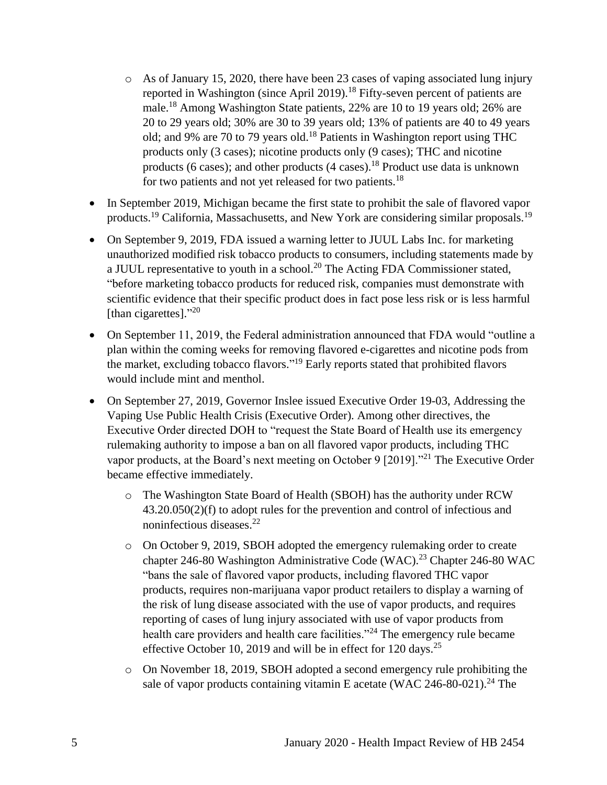- o As of January 15, 2020, there have been 23 cases of vaping associated lung injury reported in Washington (since April 2019).<sup>18</sup> Fifty-seven percent of patients are male.<sup>18</sup> Among Washington State patients, 22% are 10 to 19 years old; 26% are 20 to 29 years old; 30% are 30 to 39 years old; 13% of patients are 40 to 49 years old; and 9% are 70 to 79 years old.<sup>18</sup> Patients in Washington report using THC products only (3 cases); nicotine products only (9 cases); THC and nicotine products (6 cases); and other products (4 cases).<sup>18</sup> Product use data is unknown for two patients and not yet released for two patients.<sup>18</sup>
- In September 2019, Michigan became the first state to prohibit the sale of flavored vapor products.<sup>19</sup> California, Massachusetts, and New York are considering similar proposals.<sup>19</sup>
- On September 9, 2019, FDA issued a warning letter to JUUL Labs Inc. for marketing unauthorized modified risk tobacco products to consumers, including statements made by a JUUL representative to youth in a school.<sup>20</sup> The Acting FDA Commissioner stated, "before marketing tobacco products for reduced risk, companies must demonstrate with scientific evidence that their specific product does in fact pose less risk or is less harmful [than cigarettes]."<sup>20</sup>
- On September 11, 2019, the Federal administration announced that FDA would "outline a plan within the coming weeks for removing flavored e-cigarettes and nicotine pods from the market, excluding tobacco flavors." <sup>19</sup> Early reports stated that prohibited flavors would include mint and menthol.
- On September 27, 2019, Governor Inslee issued Executive Order 19-03, Addressing the Vaping Use Public Health Crisis (Executive Order). Among other directives, the Executive Order directed DOH to "request the State Board of Health use its emergency rulemaking authority to impose a ban on all flavored vapor products, including THC vapor products, at the Board's next meeting on October 9 [2019]."<sup>21</sup> The Executive Order became effective immediately.
	- o The Washington State Board of Health (SBOH) has the authority under RCW 43.20.050(2)(f) to adopt rules for the prevention and control of infectious and noninfectious diseases.<sup>22</sup>
	- o On October 9, 2019, SBOH adopted the emergency rulemaking order to create chapter 246-80 Washington Administrative Code (WAC).<sup>23</sup> Chapter 246-80 WAC "bans the sale of flavored vapor products, including flavored THC vapor products, requires non-marijuana vapor product retailers to display a warning of the risk of lung disease associated with the use of vapor products, and requires reporting of cases of lung injury associated with use of vapor products from health care providers and health care facilities."<sup>24</sup> The emergency rule became effective October 10, 2019 and will be in effect for 120 days.<sup>25</sup>
	- o On November 18, 2019, SBOH adopted a second emergency rule prohibiting the sale of vapor products containing vitamin E acetate (WAC 246-80-021).<sup>24</sup> The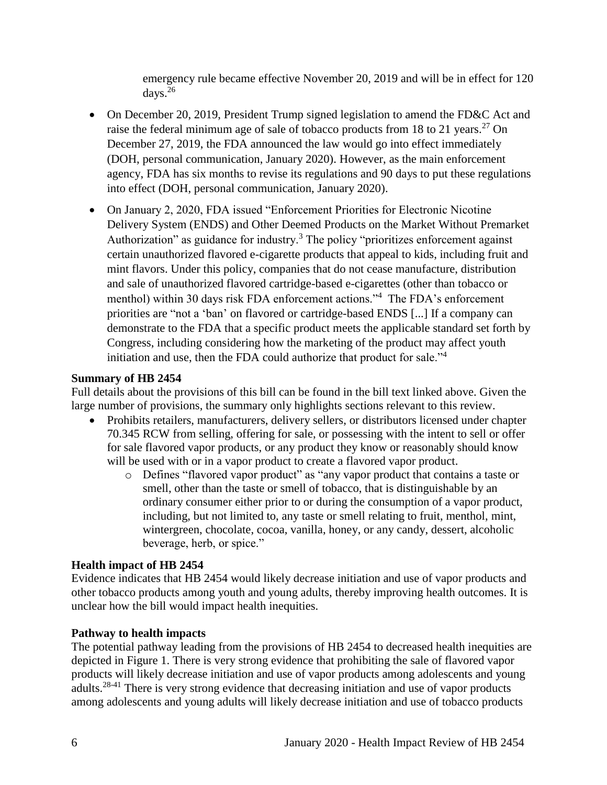emergency rule became effective November 20, 2019 and will be in effect for 120 days.<sup>26</sup>

- On December 20, 2019, President Trump signed legislation to amend the FD&C Act and raise the federal minimum age of sale of tobacco products from 18 to 21 years.<sup>27</sup> On December 27, 2019, the FDA announced the law would go into effect immediately (DOH, personal communication, January 2020). However, as the main enforcement agency, FDA has six months to revise its regulations and 90 days to put these regulations into effect (DOH, personal communication, January 2020).
- On January 2, 2020, FDA issued "Enforcement Priorities for Electronic Nicotine Delivery System (ENDS) and Other Deemed Products on the Market Without Premarket Authorization" as guidance for industry.<sup>3</sup> The policy "prioritizes enforcement against certain unauthorized flavored e-cigarette products that appeal to kids, including fruit and mint flavors. Under this policy, companies that do not cease manufacture, distribution and sale of unauthorized flavored cartridge-based e-cigarettes (other than tobacco or menthol) within 30 days risk FDA enforcement actions."<sup>4</sup> The FDA's enforcement priorities are "not a 'ban' on flavored or cartridge-based ENDS [...] If a company can demonstrate to the FDA that a specific product meets the applicable standard set forth by Congress, including considering how the marketing of the product may affect youth initiation and use, then the FDA could authorize that product for sale."<sup>4</sup>

#### **Summary of HB 2454**

Full details about the provisions of this bill can be found in the bill text linked above. Given the large number of provisions, the summary only highlights sections relevant to this review.

- Prohibits retailers, manufacturers, delivery sellers, or distributors licensed under chapter 70.345 RCW from selling, offering for sale, or possessing with the intent to sell or offer for sale flavored vapor products, or any product they know or reasonably should know will be used with or in a vapor product to create a flavored vapor product.
	- o Defines "flavored vapor product" as "any vapor product that contains a taste or smell, other than the taste or smell of tobacco, that is distinguishable by an ordinary consumer either prior to or during the consumption of a vapor product, including, but not limited to, any taste or smell relating to fruit, menthol, mint, wintergreen, chocolate, cocoa, vanilla, honey, or any candy, dessert, alcoholic beverage, herb, or spice."

#### **Health impact of HB 2454**

Evidence indicates that HB 2454 would likely decrease initiation and use of vapor products and other tobacco products among youth and young adults, thereby improving health outcomes. It is unclear how the bill would impact health inequities.

## **Pathway to health impacts**

The potential pathway leading from the provisions of HB 2454 to decreased health inequities are depicted in Figure 1. There is very strong evidence that prohibiting the sale of flavored vapor products will likely decrease initiation and use of vapor products among adolescents and young adults.28-41 There is very strong evidence that decreasing initiation and use of vapor products among adolescents and young adults will likely decrease initiation and use of tobacco products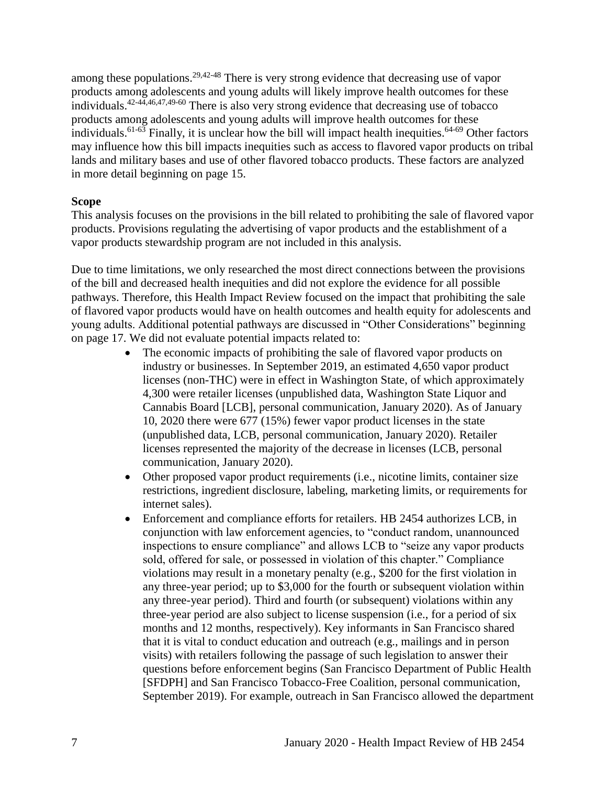among these populations.<sup>[29,](#page-35-0)[42-48](#page-44-0)</sup> There is very strong evidence that decreasing use of vapor products among adolescents and young adults will likely improve health outcomes for these individuals. [42-44](#page-44-0)[,46](#page-46-0)[,47](#page-46-1)[,49-60](#page-47-0) There is also very strong evidence that decreasing use of tobacco products among adolescents and young adults will improve health outcomes for these individuals.<sup>61-63</sup> Finally, it is unclear how the bill will impact health inequities.<sup>64-69</sup> Other factors may influence how this bill impacts inequities such as access to flavored vapor products on tribal lands and military bases and use of other flavored tobacco products. These factors are analyzed in more detail beginning on page 15.

#### **Scope**

This analysis focuses on the provisions in the bill related to prohibiting the sale of flavored vapor products. Provisions regulating the advertising of vapor products and the establishment of a vapor products stewardship program are not included in this analysis.

Due to time limitations, we only researched the most direct connections between the provisions of the bill and decreased health inequities and did not explore the evidence for all possible pathways. Therefore, this Health Impact Review focused on the impact that prohibiting the sale of flavored vapor products would have on health outcomes and health equity for adolescents and young adults. Additional potential pathways are discussed in "Other Considerations" beginning on page 17. We did not evaluate potential impacts related to:

- The economic impacts of prohibiting the sale of flavored vapor products on industry or businesses. In September 2019, an estimated 4,650 vapor product licenses (non-THC) were in effect in Washington State, of which approximately 4,300 were retailer licenses (unpublished data, Washington State Liquor and Cannabis Board [LCB], personal communication, January 2020). As of January 10, 2020 there were 677 (15%) fewer vapor product licenses in the state (unpublished data, LCB, personal communication, January 2020). Retailer licenses represented the majority of the decrease in licenses (LCB, personal communication, January 2020).
- Other proposed vapor product requirements (i.e., nicotine limits, container size restrictions, ingredient disclosure, labeling, marketing limits, or requirements for internet sales).
- Enforcement and compliance efforts for retailers. HB 2454 authorizes LCB, in conjunction with law enforcement agencies, to "conduct random, unannounced inspections to ensure compliance" and allows LCB to "seize any vapor products sold, offered for sale, or possessed in violation of this chapter." Compliance violations may result in a monetary penalty (e.g., \$200 for the first violation in any three-year period; up to \$3,000 for the fourth or subsequent violation within any three-year period). Third and fourth (or subsequent) violations within any three-year period are also subject to license suspension (i.e., for a period of six months and 12 months, respectively). Key informants in San Francisco shared that it is vital to conduct education and outreach (e.g., mailings and in person visits) with retailers following the passage of such legislation to answer their questions before enforcement begins (San Francisco Department of Public Health [SFDPH] and San Francisco Tobacco-Free Coalition, personal communication, September 2019). For example, outreach in San Francisco allowed the department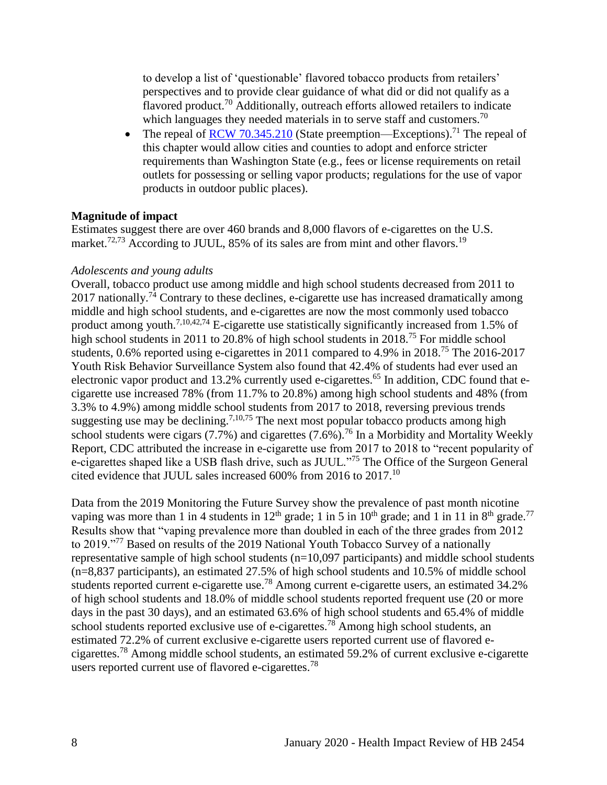to develop a list of 'questionable' flavored tobacco products from retailers' perspectives and to provide clear guidance of what did or did not qualify as a flavored product.<sup>70</sup> Additionally, outreach efforts allowed retailers to indicate which languages they needed materials in to serve staff and customers.<sup>70</sup>

• The repeal of [RCW 70.345.210](https://app.leg.wa.gov/RCW/default.aspx?cite=70.345.210) (State preemption—Exceptions).<sup>71</sup> The repeal of this chapter would allow cities and counties to adopt and enforce stricter requirements than Washington State (e.g., fees or license requirements on retail outlets for possessing or selling vapor products; regulations for the use of vapor products in outdoor public places).

#### **Magnitude of impact**

Estimates suggest there are over 460 brands and 8,000 flavors of e-cigarettes on the U.S. market.<sup>[72,](#page-57-0)[73](#page-58-0)</sup> According to JUUL, 85% of its sales are from mint and other flavors.<sup>19</sup>

#### *Adolescents and young adults*

Overall, tobacco product use among middle and high school students decreased from 2011 to 2017 nationally.<sup>74</sup> Contrary to these declines, e-cigarette use has increased dramatically among middle and high school students, and e-cigarettes are now the most commonly used tobacco product among youth.<sup>[7,](#page-27-0)[10,](#page-29-0)[42,](#page-44-0)[74](#page-58-1)</sup> E-cigarette use statistically significantly increased from 1.5% of high school students in 2011 to 20.8% of high school students in 2018.<sup>75</sup> For middle school students, 0.6% reported using e-cigarettes in 2011 compared to 4.9% in 2018.<sup>75</sup> The 2016-2017 Youth Risk Behavior Surveillance System also found that 42.4% of students had ever used an electronic vapor product and 13.2% currently used e-cigarettes.<sup>65</sup> In addition, CDC found that ecigarette use increased 78% (from 11.7% to 20.8%) among high school students and 48% (from 3.3% to 4.9%) among middle school students from 2017 to 2018, reversing previous trends suggesting use may be declining.<sup>[7](#page-27-0)[,10](#page-29-0)[,75](#page-59-0)</sup> The next most popular tobacco products among high school students were cigars  $(7.7\%)$  and cigarettes  $(7.6\%)$ .<sup>76</sup> In a Morbidity and Mortality Weekly Report, CDC attributed the increase in e-cigarette use from 2017 to 2018 to "recent popularity of e-cigarettes shaped like a USB flash drive, such as JUUL."<sup>75</sup> The Office of the Surgeon General cited evidence that JUUL sales increased 600% from 2016 to 2017.<sup>10</sup>

Data from the 2019 Monitoring the Future Survey show the prevalence of past month nicotine vaping was more than 1 in 4 students in  $12<sup>th</sup>$  grade; 1 in 5 in  $10<sup>th</sup>$  grade; and 1 in 11 in 8<sup>th</sup> grade.<sup>77</sup> Results show that "vaping prevalence more than doubled in each of the three grades from 2012 to 2019."<sup>77</sup> Based on results of the 2019 National Youth Tobacco Survey of a nationally representative sample of high school students (n=10,097 participants) and middle school students (n=8,837 participants), an estimated 27.5% of high school students and 10.5% of middle school students reported current e-cigarette use.<sup>78</sup> Among current e-cigarette users, an estimated 34.2% of high school students and 18.0% of middle school students reported frequent use (20 or more days in the past 30 days), and an estimated 63.6% of high school students and 65.4% of middle school students reported exclusive use of e-cigarettes.<sup>78</sup> Among high school students, an estimated 72.2% of current exclusive e-cigarette users reported current use of flavored ecigarettes.<sup>78</sup> Among middle school students, an estimated 59.2% of current exclusive e-cigarette users reported current use of flavored e-cigarettes.<sup>78</sup>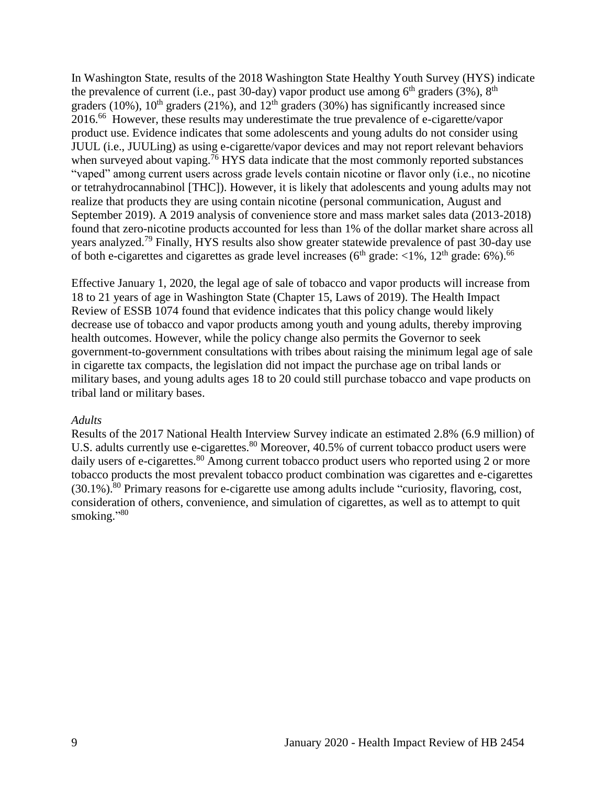In Washington State, results of the 2018 Washington State Healthy Youth Survey (HYS) indicate the prevalence of current (i.e., past 30-day) vapor product use among  $6<sup>th</sup>$  graders (3%),  $8<sup>th</sup>$ graders (10%),  $10^{th}$  graders (21%), and  $12^{th}$  graders (30%) has significantly increased since 2016.<sup>66</sup> However, these results may underestimate the true prevalence of e-cigarette/vapor product use. Evidence indicates that some adolescents and young adults do not consider using JUUL (i.e., JUULing) as using e-cigarette/vapor devices and may not report relevant behaviors when surveyed about vaping.<sup>76</sup> HYS data indicate that the most commonly reported substances "vaped" among current users across grade levels contain nicotine or flavor only (i.e., no nicotine or tetrahydrocannabinol [THC]). However, it is likely that adolescents and young adults may not realize that products they are using contain nicotine (personal communication, August and September 2019). A 2019 analysis of convenience store and mass market sales data (2013-2018) found that zero-nicotine products accounted for less than 1% of the dollar market share across all years analyzed.<sup>79</sup> Finally, HYS results also show greater statewide prevalence of past 30-day use of both e-cigarettes and cigarettes as grade level increases ( $6<sup>th</sup>$  grade:  $<1%$ ,  $12<sup>th</sup>$  grade:  $6%$ ).<sup>66</sup>

Effective January 1, 2020, the legal age of sale of tobacco and vapor products will increase from 18 to 21 years of age in Washington State (Chapter 15, Laws of 2019). The Health Impact Review of ESSB 1074 found that evidence indicates that this policy change would likely decrease use of tobacco and vapor products among youth and young adults, thereby improving health outcomes. However, while the policy change also permits the Governor to seek government-to-government consultations with tribes about raising the minimum legal age of sale in cigarette tax compacts, the legislation did not impact the purchase age on tribal lands or military bases, and young adults ages 18 to 20 could still purchase tobacco and vape products on tribal land or military bases.

#### *Adults*

Results of the 2017 National Health Interview Survey indicate an estimated 2.8% (6.9 million) of U.S. adults currently use e-cigarettes.<sup>80</sup> Moreover, 40.5% of current tobacco product users were daily users of e-cigarettes.<sup>80</sup> Among current tobacco product users who reported using 2 or more tobacco products the most prevalent tobacco product combination was cigarettes and e-cigarettes  $(30.1\%)$ <sup>80</sup> Primary reasons for e-cigarette use among adults include "curiosity, flavoring, cost, consideration of others, convenience, and simulation of cigarettes, as well as to attempt to quit smoking."<sup>80</sup>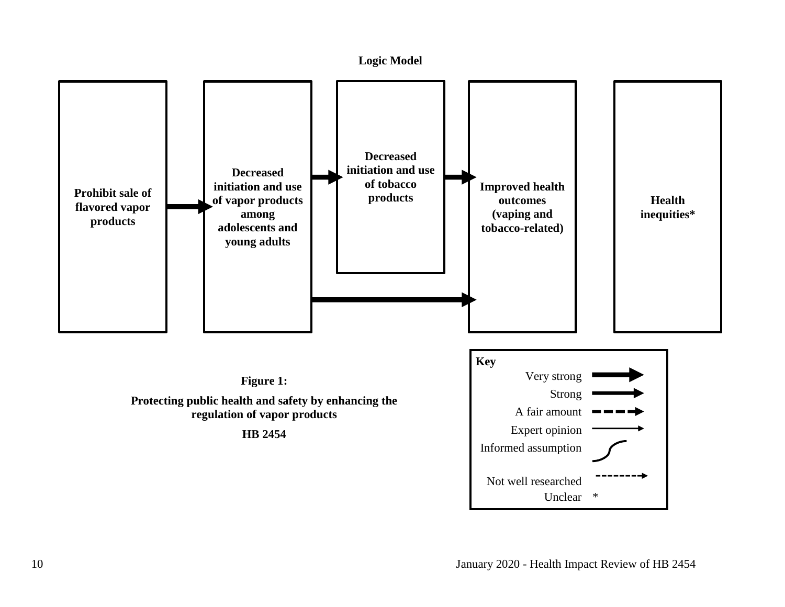<span id="page-11-0"></span>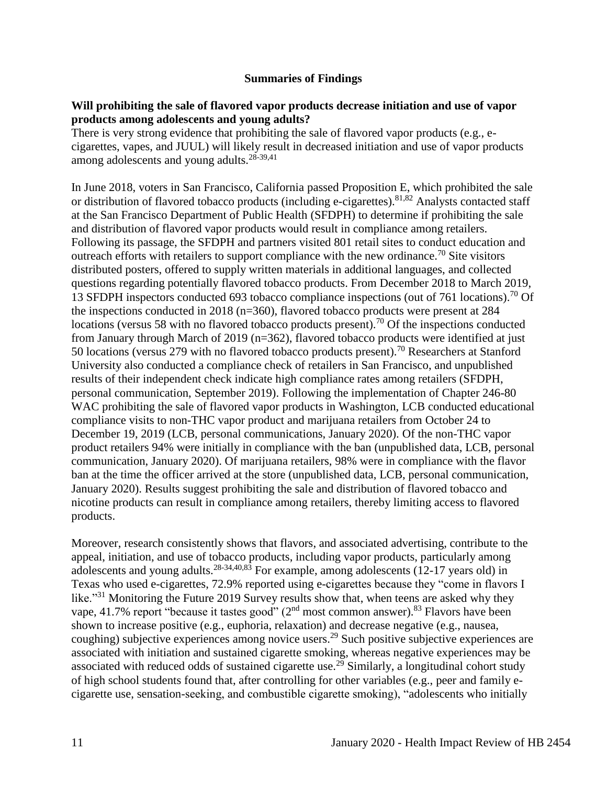#### **Summaries of Findings**

#### <span id="page-12-0"></span>**Will prohibiting the sale of flavored vapor products decrease initiation and use of vapor products among adolescents and young adults?**

There is very strong evidence that prohibiting the sale of flavored vapor products (e.g., ecigarettes, vapes, and JUUL) will likely result in decreased initiation and use of vapor products among adolescents and young adults. $28-39,41$  $28-39,41$ 

In June 2018, voters in San Francisco, California passed Proposition E, which prohibited the sale or distribution of flavored tobacco products (including e-cigarettes).<sup>[81,](#page-62-0)[82](#page-62-1)</sup> Analysts contacted staff at the San Francisco Department of Public Health (SFDPH) to determine if prohibiting the sale and distribution of flavored vapor products would result in compliance among retailers. Following its passage, the SFDPH and partners visited 801 retail sites to conduct education and outreach efforts with retailers to support compliance with the new ordinance.<sup>70</sup> Site visitors distributed posters, offered to supply written materials in additional languages, and collected questions regarding potentially flavored tobacco products. From December 2018 to March 2019, 13 SFDPH inspectors conducted 693 tobacco compliance inspections (out of 761 locations).<sup>70</sup> Of the inspections conducted in 2018 (n=360), flavored tobacco products were present at 284 locations (versus 58 with no flavored tobacco products present).<sup>70</sup> Of the inspections conducted from January through March of 2019 (n=362), flavored tobacco products were identified at just 50 locations (versus 279 with no flavored tobacco products present).<sup>70</sup> Researchers at Stanford University also conducted a compliance check of retailers in San Francisco, and unpublished results of their independent check indicate high compliance rates among retailers (SFDPH, personal communication, September 2019). Following the implementation of Chapter 246-80 WAC prohibiting the sale of flavored vapor products in Washington, LCB conducted educational compliance visits to non-THC vapor product and marijuana retailers from October 24 to December 19, 2019 (LCB, personal communications, January 2020). Of the non-THC vapor product retailers 94% were initially in compliance with the ban (unpublished data, LCB, personal communication, January 2020). Of marijuana retailers, 98% were in compliance with the flavor ban at the time the officer arrived at the store (unpublished data, LCB, personal communication, January 2020). Results suggest prohibiting the sale and distribution of flavored tobacco and nicotine products can result in compliance among retailers, thereby limiting access to flavored products.

Moreover, research consistently shows that flavors, and associated advertising, contribute to the appeal, initiation, and use of tobacco products, including vapor products, particularly among adolescents and young adults.<sup>[28-34](#page-34-0)[,40](#page-42-0)[,83](#page-62-2)</sup> For example, among adolescents (12-17 years old) in Texas who used e-cigarettes, 72.9% reported using e-cigarettes because they "come in flavors I like."<sup>31</sup> Monitoring the Future 2019 Survey results show that, when teens are asked why they vape, 41.7% report "because it tastes good"  $(2<sup>nd</sup>$  most common answer).<sup>83</sup> Flavors have been shown to increase positive (e.g., euphoria, relaxation) and decrease negative (e.g., nausea, coughing) subjective experiences among novice users.<sup>29</sup> Such positive subjective experiences are associated with initiation and sustained cigarette smoking, whereas negative experiences may be associated with reduced odds of sustained cigarette use.<sup>29</sup> Similarly, a longitudinal cohort study of high school students found that, after controlling for other variables (e.g., peer and family ecigarette use, sensation-seeking, and combustible cigarette smoking), "adolescents who initially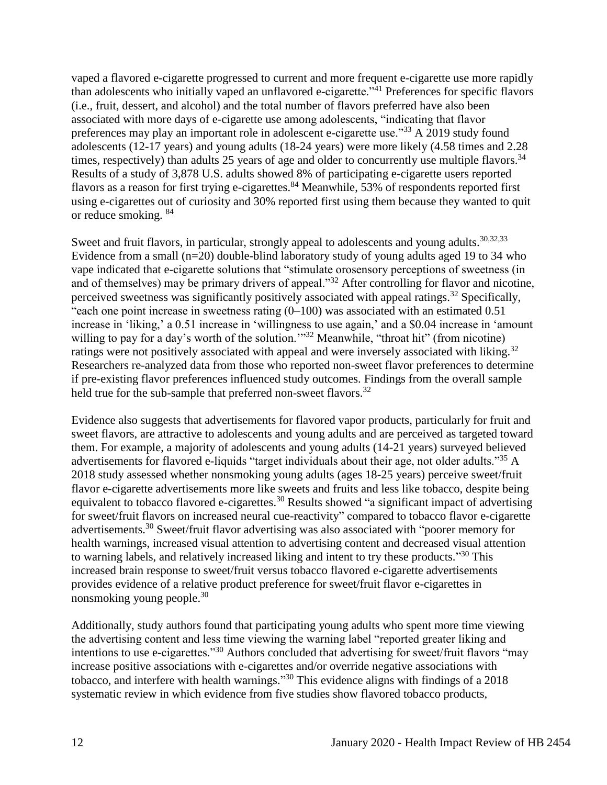vaped a flavored e-cigarette progressed to current and more frequent e-cigarette use more rapidly than adolescents who initially vaped an unflavored e-cigarette."<sup>41</sup> Preferences for specific flavors (i.e., fruit, dessert, and alcohol) and the total number of flavors preferred have also been associated with more days of e-cigarette use among adolescents, "indicating that flavor preferences may play an important role in adolescent e-cigarette use."<sup>33</sup> A 2019 study found adolescents (12-17 years) and young adults (18-24 years) were more likely (4.58 times and 2.28 times, respectively) than adults 25 years of age and older to concurrently use multiple flavors.  $34$ Results of a study of 3,878 U.S. adults showed 8% of participating e-cigarette users reported flavors as a reason for first trying e-cigarettes.<sup>84</sup> Meanwhile, 53% of respondents reported first using e-cigarettes out of curiosity and 30% reported first using them because they wanted to quit or reduce smoking. <sup>84</sup>

Sweet and fruit flavors, in particular, strongly appeal to adolescents and young adults.<sup>[30](#page-36-0)[,32](#page-37-0)[,33](#page-38-0)</sup> Evidence from a small (n=20) double-blind laboratory study of young adults aged 19 to 34 who vape indicated that e-cigarette solutions that "stimulate orosensory perceptions of sweetness (in and of themselves) may be primary drivers of appeal."<sup>32</sup> After controlling for flavor and nicotine, perceived sweetness was significantly positively associated with appeal ratings.<sup>32</sup> Specifically, "each one point increase in sweetness rating  $(0-100)$  was associated with an estimated 0.51 increase in 'liking,' a 0.51 increase in 'willingness to use again,' and a \$0.04 increase in 'amount willing to pay for a day's worth of the solution."<sup>32</sup> Meanwhile, "throat hit" (from nicotine) ratings were not positively associated with appeal and were inversely associated with liking.<sup>32</sup> Researchers re-analyzed data from those who reported non-sweet flavor preferences to determine if pre-existing flavor preferences influenced study outcomes. Findings from the overall sample held true for the sub-sample that preferred non-sweet flavors.<sup>32</sup>

Evidence also suggests that advertisements for flavored vapor products, particularly for fruit and sweet flavors, are attractive to adolescents and young adults and are perceived as targeted toward them. For example, a majority of adolescents and young adults (14-21 years) surveyed believed advertisements for flavored e-liquids "target individuals about their age, not older adults."<sup>35</sup> A 2018 study assessed whether nonsmoking young adults (ages 18-25 years) perceive sweet/fruit flavor e-cigarette advertisements more like sweets and fruits and less like tobacco, despite being equivalent to tobacco flavored e-cigarettes.<sup>30</sup> Results showed "a significant impact of advertising for sweet/fruit flavors on increased neural cue-reactivity" compared to tobacco flavor e-cigarette advertisements.<sup>30</sup> Sweet/fruit flavor advertising was also associated with "poorer memory for health warnings, increased visual attention to advertising content and decreased visual attention to warning labels, and relatively increased liking and intent to try these products."<sup>30</sup> This increased brain response to sweet/fruit versus tobacco flavored e-cigarette advertisements provides evidence of a relative product preference for sweet/fruit flavor e-cigarettes in nonsmoking young people.<sup>30</sup>

Additionally, study authors found that participating young adults who spent more time viewing the advertising content and less time viewing the warning label "reported greater liking and intentions to use e-cigarettes."<sup>30</sup> Authors concluded that advertising for sweet/fruit flavors "may increase positive associations with e-cigarettes and/or override negative associations with tobacco, and interfere with health warnings."<sup>30</sup> This evidence aligns with findings of a 2018 systematic review in which evidence from five studies show flavored tobacco products,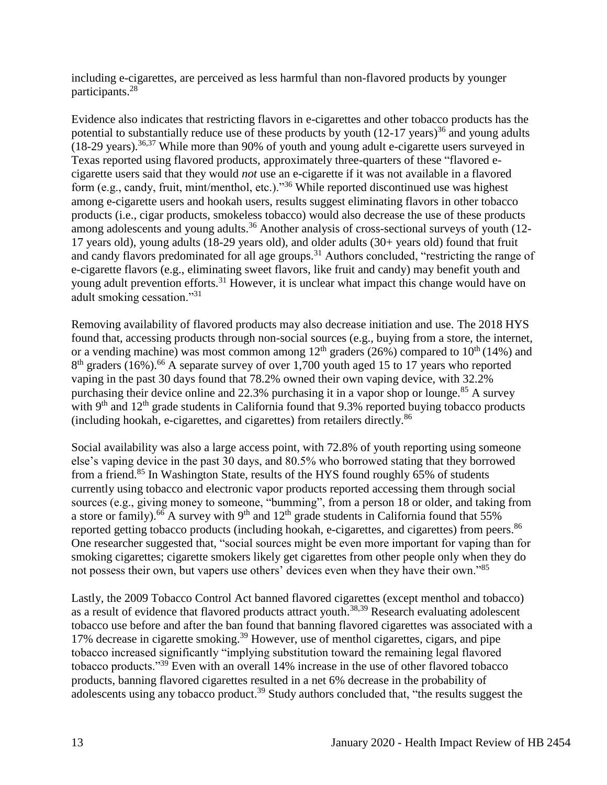including e-cigarettes, are perceived as less harmful than non-flavored products by younger participants.<sup>28</sup>

Evidence also indicates that restricting flavors in e-cigarettes and other tobacco products has the potential to substantially reduce use of these products by youth  $(12-17 \text{ years})^{36}$  and young adults  $(18-29 \text{ years})$ .<sup>[36,](#page-40-0)[37](#page-40-1)</sup> While more than 90% of youth and young adult e-cigarette users surveyed in Texas reported using flavored products, approximately three-quarters of these "flavored ecigarette users said that they would *not* use an e-cigarette if it was not available in a flavored form (e.g., candy, fruit, mint/menthol, etc.)."<sup>36</sup> While reported discontinued use was highest among e-cigarette users and hookah users, results suggest eliminating flavors in other tobacco products (i.e., cigar products, smokeless tobacco) would also decrease the use of these products among adolescents and young adults.<sup>36</sup> Another analysis of cross-sectional surveys of youth (12-17 years old), young adults (18-29 years old), and older adults (30+ years old) found that fruit and candy flavors predominated for all age groups.<sup>31</sup> Authors concluded, "restricting the range of e-cigarette flavors (e.g., eliminating sweet flavors, like fruit and candy) may benefit youth and young adult prevention efforts.<sup>31</sup> However, it is unclear what impact this change would have on adult smoking cessation."<sup>31</sup>

Removing availability of flavored products may also decrease initiation and use. The 2018 HYS found that, accessing products through non-social sources (e.g., buying from a store, the internet, or a vending machine) was most common among  $12<sup>th</sup>$  graders (26%) compared to  $10<sup>th</sup>$  (14%) and  $8<sup>th</sup>$  graders (16%).<sup>66</sup> A separate survey of over 1,700 youth aged 15 to 17 years who reported vaping in the past 30 days found that 78.2% owned their own vaping device, with 32.2% purchasing their device online and 22.3% purchasing it in a vapor shop or lounge.<sup>85</sup> A survey with  $9<sup>th</sup>$  and  $12<sup>th</sup>$  grade students in California found that 9.3% reported buying tobacco products (including hookah, e-cigarettes, and cigarettes) from retailers directly.<sup>86</sup>

Social availability was also a large access point, with 72.8% of youth reporting using someone else's vaping device in the past 30 days, and 80.5% who borrowed stating that they borrowed from a friend.<sup>85</sup> In Washington State, results of the HYS found roughly 65% of students currently using tobacco and electronic vapor products reported accessing them through social sources (e.g., giving money to someone, "bumming", from a person 18 or older, and taking from a store or family).<sup>66</sup> A survey with 9<sup>th</sup> and 12<sup>th</sup> grade students in California found that 55% reported getting tobacco products (including hookah, e-cigarettes, and cigarettes) from peers.<sup>86</sup> One researcher suggested that, "social sources might be even more important for vaping than for smoking cigarettes; cigarette smokers likely get cigarettes from other people only when they do not possess their own, but vapers use others' devices even when they have their own."<sup>85</sup>

Lastly, the 2009 Tobacco Control Act banned flavored cigarettes (except menthol and tobacco) as a result of evidence that flavored products attract youth.<sup>[38](#page-41-0)[,39](#page-41-1)</sup> Research evaluating adolescent tobacco use before and after the ban found that banning flavored cigarettes was associated with a 17% decrease in cigarette smoking.<sup>39</sup> However, use of menthol cigarettes, cigars, and pipe tobacco increased significantly "implying substitution toward the remaining legal flavored tobacco products."<sup>39</sup> Even with an overall 14% increase in the use of other flavored tobacco products, banning flavored cigarettes resulted in a net 6% decrease in the probability of adolescents using any tobacco product.<sup>39</sup> Study authors concluded that, "the results suggest the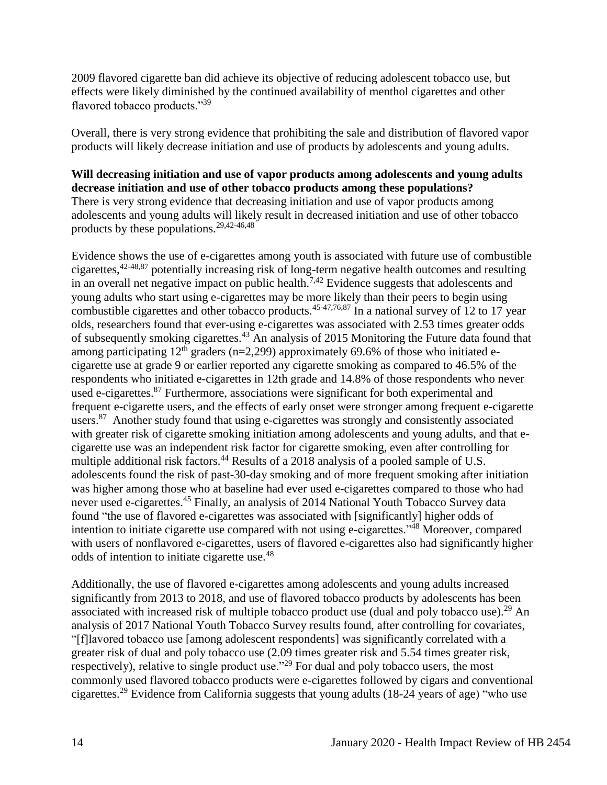2009 flavored cigarette ban did achieve its objective of reducing adolescent tobacco use, but effects were likely diminished by the continued availability of menthol cigarettes and other flavored tobacco products."<sup>39</sup>

Overall, there is very strong evidence that prohibiting the sale and distribution of flavored vapor products will likely decrease initiation and use of products by adolescents and young adults.

#### **Will decreasing initiation and use of vapor products among adolescents and young adults decrease initiation and use of other tobacco products among these populations?**  There is very strong evidence that decreasing initiation and use of vapor products among adolescents and young adults will likely result in decreased initiation and use of other tobacco products by these populations.[29](#page-35-0)[,42-46,](#page-44-0)[48](#page-46-2)

Evidence shows the use of e-cigarettes among youth is associated with future use of combustible cigarettes,[42-48,](#page-44-0)[87](#page-64-0) potentially increasing risk of long-term negative health outcomes and resulting in an overall net negative impact on public health.<sup>[7](#page-27-0)[,42](#page-44-0)</sup> Evidence suggests that adolescents and young adults who start using e-cigarettes may be more likely than their peers to begin using combustible cigarettes and other tobacco products.<sup>[45-47](#page-45-0)[,76](#page-59-1)[,87](#page-64-0)</sup> In a national survey of 12 to 17 year olds, researchers found that ever-using e-cigarettes was associated with 2.53 times greater odds of subsequently smoking cigarettes.<sup>43</sup> An analysis of 2015 Monitoring the Future data found that among participating  $12<sup>th</sup>$  graders (n=2,299) approximately 69.6% of those who initiated ecigarette use at grade 9 or earlier reported any cigarette smoking as compared to 46.5% of the respondents who initiated e-cigarettes in 12th grade and 14.8% of those respondents who never used e-cigarettes.<sup>87</sup> Furthermore, associations were significant for both experimental and frequent e-cigarette users, and the effects of early onset were stronger among frequent e-cigarette users.<sup>87</sup> Another study found that using e-cigarettes was strongly and consistently associated with greater risk of cigarette smoking initiation among adolescents and young adults, and that ecigarette use was an independent risk factor for cigarette smoking, even after controlling for multiple additional risk factors.<sup>44</sup> Results of a 2018 analysis of a pooled sample of U.S. adolescents found the risk of past-30-day smoking and of more frequent smoking after initiation was higher among those who at baseline had ever used e-cigarettes compared to those who had never used e-cigarettes.<sup>45</sup> Finally, an analysis of 2014 National Youth Tobacco Survey data found "the use of flavored e-cigarettes was associated with [significantly] higher odds of intention to initiate cigarette use compared with not using e-cigarettes."<sup>48</sup> Moreover, compared with users of nonflavored e-cigarettes, users of flavored e-cigarettes also had significantly higher odds of intention to initiate cigarette use.<sup>48</sup>

Additionally, the use of flavored e-cigarettes among adolescents and young adults increased significantly from 2013 to 2018, and use of flavored tobacco products by adolescents has been associated with increased risk of multiple tobacco product use (dual and poly tobacco use).<sup>29</sup> An analysis of 2017 National Youth Tobacco Survey results found, after controlling for covariates, "[f]lavored tobacco use [among adolescent respondents] was significantly correlated with a greater risk of dual and poly tobacco use (2.09 times greater risk and 5.54 times greater risk, respectively), relative to single product use."<sup>29</sup> For dual and poly tobacco users, the most commonly used flavored tobacco products were e-cigarettes followed by cigars and conventional cigarettes.<sup>29</sup> Evidence from California suggests that young adults (18-24 years of age) "who use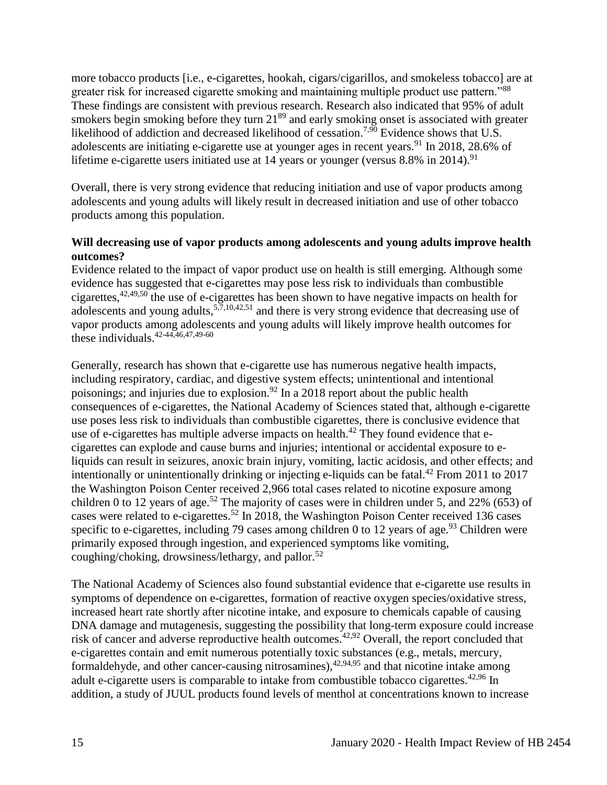more tobacco products [i.e., e-cigarettes, hookah, cigars/cigarillos, and smokeless tobacco] are at greater risk for increased cigarette smoking and maintaining multiple product use pattern."<sup>88</sup> These findings are consistent with previous research. Research also indicated that 95% of adult smokers begin smoking before they turn  $21<sup>89</sup>$  and early smoking onset is associated with greater likelihood of addiction and decreased likelihood of cessation.<sup>[7,](#page-27-0)[90](#page-65-0)</sup> Evidence shows that U.S. adolescents are initiating e-cigarette use at younger ages in recent years.<sup>91</sup> In 2018, 28.6% of lifetime e-cigarette users initiated use at 14 years or younger (versus  $8.8\%$  in 2014).<sup>91</sup>

Overall, there is very strong evidence that reducing initiation and use of vapor products among adolescents and young adults will likely result in decreased initiation and use of other tobacco products among this population.

#### **Will decreasing use of vapor products among adolescents and young adults improve health outcomes?**

Evidence related to the impact of vapor product use on health is still emerging. Although some evidence has suggested that e-cigarettes may pose less risk to individuals than combustible cigarettes,  $42,49,50$  $42,49,50$  $42,49,50$  the use of e-cigarettes has been shown to have negative impacts on health for adolescents and young adults,  $5,7,10,42,51$  $5,7,10,42,51$  $5,7,10,42,51$  $5,7,10,42,51$  $5,7,10,42,51$  and there is very strong evidence that decreasing use of vapor products among adolescents and young adults will likely improve health outcomes for these individuals.  $42-44,46,47,49-60$  $42-44,46,47,49-60$  $42-44,46,47,49-60$  $42-44,46,47,49-60$ 

Generally, research has shown that e-cigarette use has numerous negative health impacts, including respiratory, cardiac, and digestive system effects; unintentional and intentional poisonings; and injuries due to explosion.<sup>92</sup> In a 2018 report about the public health consequences of e-cigarettes, the National Academy of Sciences stated that, although e-cigarette use poses less risk to individuals than combustible cigarettes, there is conclusive evidence that use of e-cigarettes has multiple adverse impacts on health.<sup>42</sup> They found evidence that ecigarettes can explode and cause burns and injuries; intentional or accidental exposure to eliquids can result in seizures, anoxic brain injury, vomiting, lactic acidosis, and other effects; and intentionally or unintentionally drinking or injecting e-liquids can be fatal.<sup>42</sup> From 2011 to 2017 the Washington Poison Center received 2,966 total cases related to nicotine exposure among children 0 to 12 years of age.<sup>52</sup> The majority of cases were in children under 5, and 22% (653) of cases were related to e-cigarettes.<sup>52</sup> In 2018, the Washington Poison Center received 136 cases specific to e-cigarettes, including 79 cases among children 0 to 12 years of age.<sup>93</sup> Children were primarily exposed through ingestion, and experienced symptoms like vomiting, coughing/choking, drowsiness/lethargy, and pallor.<sup>52</sup>

The National Academy of Sciences also found substantial evidence that e-cigarette use results in symptoms of dependence on e-cigarettes, formation of reactive oxygen species/oxidative stress, increased heart rate shortly after nicotine intake, and exposure to chemicals capable of causing DNA damage and mutagenesis, suggesting the possibility that long-term exposure could increase risk of cancer and adverse reproductive health outcomes.<sup>[42](#page-44-0)[,92](#page-66-0)</sup> Overall, the report concluded that e-cigarettes contain and emit numerous potentially toxic substances (e.g., metals, mercury, formaldehyde, and other cancer-causing nitrosamines),<sup>[42,](#page-44-0)[94,](#page-67-0)[95](#page-68-0)</sup> and that nicotine intake among adult e-cigarette users is comparable to intake from combustible tobacco cigarettes.<sup>[42](#page-44-0)[,96](#page-68-1)</sup> In addition, a study of JUUL products found levels of menthol at concentrations known to increase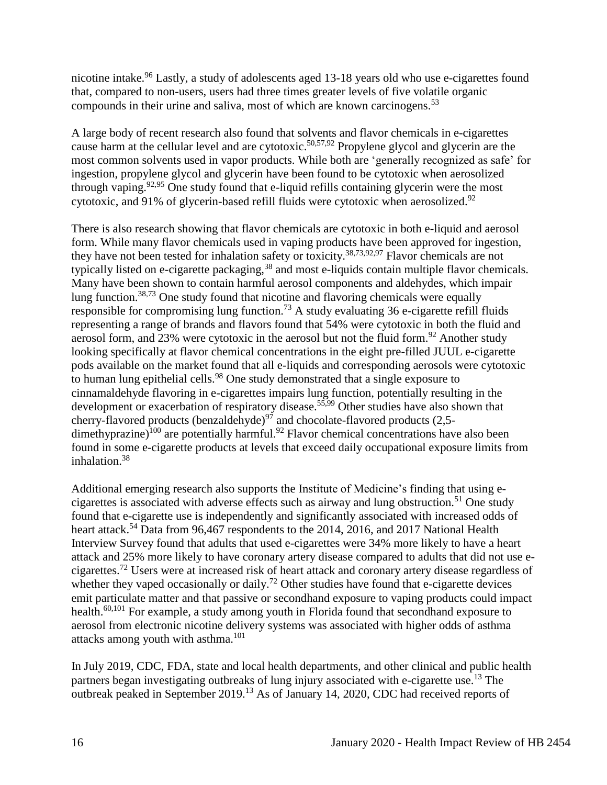nicotine intake.<sup>96</sup> Lastly, a study of adolescents aged 13-18 years old who use e-cigarettes found that, compared to non-users, users had three times greater levels of five volatile organic compounds in their urine and saliva, most of which are known carcinogens.<sup>53</sup>

A large body of recent research also found that solvents and flavor chemicals in e-cigarettes cause harm at the cellular level and are cytotoxic.<sup>[50,](#page-47-1)[57,9](#page-50-0)2</sup> Propylene glycol and glycerin are the most common solvents used in vapor products. While both are 'generally recognized as safe' for ingestion, propylene glycol and glycerin have been found to be cytotoxic when aerosolized through vaping.<sup>[92](#page-66-0)[,95](#page-68-0)</sup> One study found that e-liquid refills containing glycerin were the most cytotoxic, and 91% of glycerin-based refill fluids were cytotoxic when aerosolized. $92$ 

There is also research showing that flavor chemicals are cytotoxic in both e-liquid and aerosol form. While many flavor chemicals used in vaping products have been approved for ingestion, they have not been tested for inhalation safety or toxicity.<sup>[38,](#page-41-0)[73,](#page-58-0)[92,](#page-66-0)[97](#page-69-0)</sup> Flavor chemicals are not typically listed on e-cigarette packaging,<sup>38</sup> and most e-liquids contain multiple flavor chemicals. Many have been shown to contain harmful aerosol components and aldehydes, which impair lung function.<sup>[38,](#page-41-0)[73](#page-58-0)</sup> One study found that nicotine and flavoring chemicals were equally responsible for compromising lung function.<sup>73</sup> A study evaluating 36 e-cigarette refill fluids representing a range of brands and flavors found that 54% were cytotoxic in both the fluid and aerosol form, and 23% were cytotoxic in the aerosol but not the fluid form.<sup>92</sup> Another study looking specifically at flavor chemical concentrations in the eight pre-filled JUUL e-cigarette pods available on the market found that all e-liquids and corresponding aerosols were cytotoxic to human lung epithelial cells.<sup>98</sup> One study demonstrated that a single exposure to cinnamaldehyde flavoring in e-cigarettes impairs lung function, potentially resulting in the development or exacerbation of respiratory disease.<sup>[55](#page-50-1)[,99](#page-70-0)</sup> Other studies have also shown that cherry-flavored products (benzaldehyde)<sup>97</sup> and chocolate-flavored products (2,5dimethyprazine)<sup>100</sup> are potentially harmful.<sup>92</sup> Flavor chemical concentrations have also been found in some e-cigarette products at levels that exceed daily occupational exposure limits from inhalation.<sup>38</sup>

Additional emerging research also supports the Institute of Medicine's finding that using ecigarettes is associated with adverse effects such as airway and lung obstruction.<sup>51</sup> One study found that e-cigarette use is independently and significantly associated with increased odds of heart attack.<sup>54</sup> Data from 96,467 respondents to the 2014, 2016, and 2017 National Health Interview Survey found that adults that used e-cigarettes were 34% more likely to have a heart attack and 25% more likely to have coronary artery disease compared to adults that did not use ecigarettes.<sup>72</sup> Users were at increased risk of heart attack and coronary artery disease regardless of whether they vaped occasionally or daily.<sup>72</sup> Other studies have found that e-cigarette devices emit particulate matter and that passive or secondhand exposure to vaping products could impact health.<sup>[60,](#page-52-0)[101](#page-70-1)</sup> For example, a study among youth in Florida found that secondhand exposure to aerosol from electronic nicotine delivery systems was associated with higher odds of asthma attacks among youth with asthma.<sup>101</sup>

In July 2019, CDC, FDA, state and local health departments, and other clinical and public health partners began investigating outbreaks of lung injury associated with e-cigarette use.<sup>13</sup> The outbreak peaked in September 2019.<sup>13</sup> As of January 14, 2020, CDC had received reports of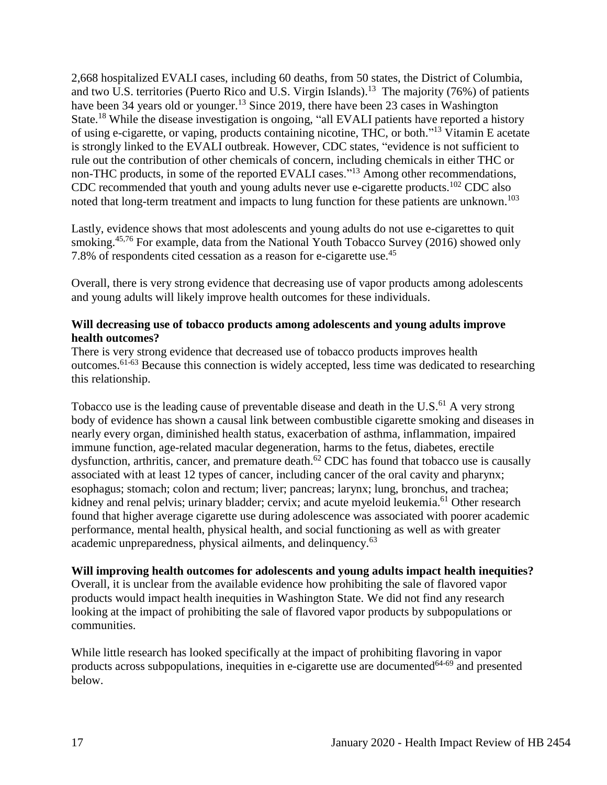2,668 hospitalized EVALI cases, including 60 deaths, from 50 states, the District of Columbia, and two U.S. territories (Puerto Rico and U.S. Virgin Islands).<sup>13</sup> The majority (76%) of patients have been 34 years old or younger.<sup>13</sup> Since 2019, there have been 23 cases in Washington State.<sup>18</sup> While the disease investigation is ongoing, "all EVALI patients have reported a history of using e-cigarette, or vaping, products containing nicotine, THC, or both."<sup>13</sup> Vitamin E acetate is strongly linked to the EVALI outbreak. However, CDC states, "evidence is not sufficient to rule out the contribution of other chemicals of concern, including chemicals in either THC or non-THC products, in some of the reported EVALI cases."<sup>13</sup> Among other recommendations, CDC recommended that youth and young adults never use e-cigarette products.<sup>102</sup> CDC also noted that long-term treatment and impacts to lung function for these patients are unknown.<sup>103</sup>

Lastly, evidence shows that most adolescents and young adults do not use e-cigarettes to quit smoking.<sup>[45,](#page-45-0)[76](#page-59-1)</sup> For example, data from the National Youth Tobacco Survey (2016) showed only 7.8% of respondents cited cessation as a reason for e-cigarette use.<sup>45</sup>

Overall, there is very strong evidence that decreasing use of vapor products among adolescents and young adults will likely improve health outcomes for these individuals.

#### **Will decreasing use of tobacco products among adolescents and young adults improve health outcomes?**

There is very strong evidence that decreased use of tobacco products improves health outcomes.61-63 Because this connection is widely accepted, less time was dedicated to researching this relationship.

Tobacco use is the leading cause of preventable disease and death in the U.S. $^{61}$  A very strong body of evidence has shown a causal link between combustible cigarette smoking and diseases in nearly every organ, diminished health status, exacerbation of asthma, inflammation, impaired immune function, age-related macular degeneration, harms to the fetus, diabetes, erectile dysfunction, arthritis, cancer, and premature death. $62$  CDC has found that tobacco use is causally associated with at least 12 types of cancer, including cancer of the oral cavity and pharynx; esophagus; stomach; colon and rectum; liver; pancreas; larynx; lung, bronchus, and trachea; kidney and renal pelvis; urinary bladder; cervix; and acute myeloid leukemia.<sup>61</sup> Other research found that higher average cigarette use during adolescence was associated with poorer academic performance, mental health, physical health, and social functioning as well as with greater academic unpreparedness, physical ailments, and delinquency.<sup>63</sup>

#### **Will improving health outcomes for adolescents and young adults impact health inequities?**

Overall, it is unclear from the available evidence how prohibiting the sale of flavored vapor products would impact health inequities in Washington State. We did not find any research looking at the impact of prohibiting the sale of flavored vapor products by subpopulations or communities.

While little research has looked specifically at the impact of prohibiting flavoring in vapor products across subpopulations, inequities in e-cigarette use are documented $64-69$  and presented below.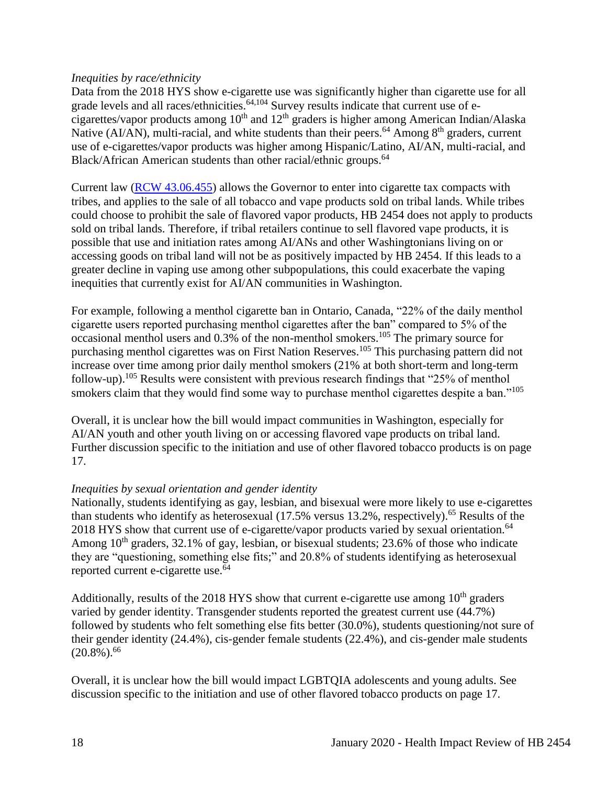#### *Inequities by race/ethnicity*

Data from the 2018 HYS show e-cigarette use was significantly higher than cigarette use for all grade levels and all races/ethnicities.<sup>[64,](#page-53-0)[104](#page-71-0)</sup> Survey results indicate that current use of ecigarettes/vapor products among  $10<sup>th</sup>$  and  $12<sup>th</sup>$  graders is higher among American Indian/Alaska Native (AI/AN), multi-racial, and white students than their peers.<sup>64</sup> Among  $8<sup>th</sup>$  graders, current use of e-cigarettes/vapor products was higher among Hispanic/Latino, AI/AN, multi-racial, and Black/African American students than other racial/ethnic groups.<sup>64</sup>

Current law [\(RCW 43.06.455\)](http://apps.leg.wa.gov/rcw/default.aspx?cite=43.06.455) allows the Governor to enter into cigarette tax compacts with tribes, and applies to the sale of all tobacco and vape products sold on tribal lands. While tribes could choose to prohibit the sale of flavored vapor products, HB 2454 does not apply to products sold on tribal lands. Therefore, if tribal retailers continue to sell flavored vape products, it is possible that use and initiation rates among AI/ANs and other Washingtonians living on or accessing goods on tribal land will not be as positively impacted by HB 2454. If this leads to a greater decline in vaping use among other subpopulations, this could exacerbate the vaping inequities that currently exist for AI/AN communities in Washington.

For example, following a menthol cigarette ban in Ontario, Canada, "22% of the daily menthol cigarette users reported purchasing menthol cigarettes after the ban" compared to 5% of the occasional menthol users and 0.3% of the non-menthol smokers.<sup>105</sup> The primary source for purchasing menthol cigarettes was on First Nation Reserves.<sup>105</sup> This purchasing pattern did not increase over time among prior daily menthol smokers (21% at both short-term and long-term follow-up).<sup>105</sup> Results were consistent with previous research findings that "25% of menthol smokers claim that they would find some way to purchase menthol cigarettes despite a ban."<sup>105</sup>

Overall, it is unclear how the bill would impact communities in Washington, especially for AI/AN youth and other youth living on or accessing flavored vape products on tribal land. Further discussion specific to the initiation and use of other flavored tobacco products is on page 17.

## *Inequities by sexual orientation and gender identity*

Nationally, students identifying as gay, lesbian, and bisexual were more likely to use e-cigarettes than students who identify as heterosexual (17.5% versus 13.2%, respectively).<sup>65</sup> Results of the 2018 HYS show that current use of e-cigarette/vapor products varied by sexual orientation.<sup>64</sup> Among  $10<sup>th</sup>$  graders, 32.1% of gay, lesbian, or bisexual students; 23.6% of those who indicate they are "questioning, something else fits;" and 20.8% of students identifying as heterosexual reported current e-cigarette use.<sup>64</sup>

Additionally, results of the 2018 HYS show that current e-cigarette use among  $10<sup>th</sup>$  graders varied by gender identity. Transgender students reported the greatest current use (44.7%) followed by students who felt something else fits better (30.0%), students questioning/not sure of their gender identity (24.4%), cis-gender female students (22.4%), and cis-gender male students  $(20.8\%)$ <sup>66</sup>

Overall, it is unclear how the bill would impact LGBTQIA adolescents and young adults. See discussion specific to the initiation and use of other flavored tobacco products on page 17.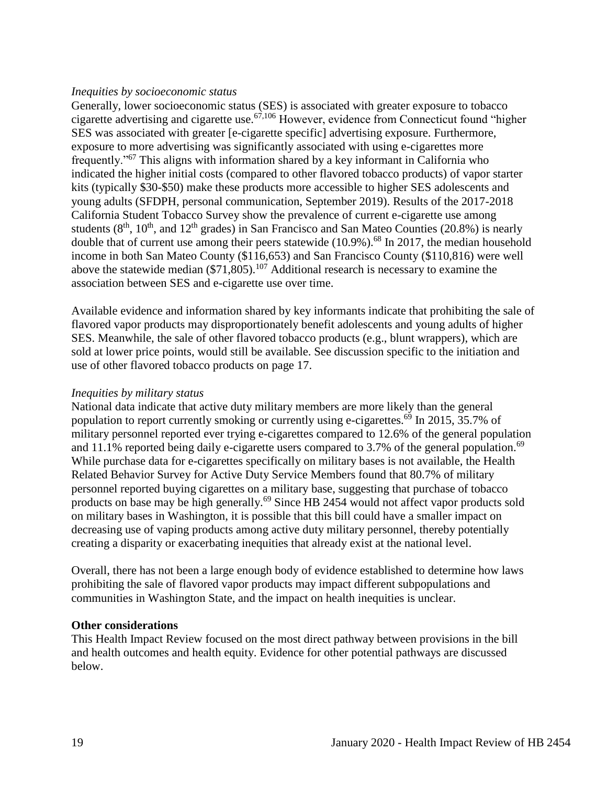#### *Inequities by socioeconomic status*

Generally, lower socioeconomic status (SES) is associated with greater exposure to tobacco cigarette advertising and cigarette use.<sup>[67](#page-55-0)[,106](#page-74-0)</sup> However, evidence from Connecticut found "higher" SES was associated with greater [e-cigarette specific] advertising exposure. Furthermore, exposure to more advertising was significantly associated with using e-cigarettes more frequently."<sup>67</sup> This aligns with information shared by a key informant in California who indicated the higher initial costs (compared to other flavored tobacco products) of vapor starter kits (typically \$30-\$50) make these products more accessible to higher SES adolescents and young adults (SFDPH, personal communication, September 2019). Results of the 2017-2018 California Student Tobacco Survey show the prevalence of current e-cigarette use among students  $(8<sup>th</sup>, 10<sup>th</sup>, and 12<sup>th</sup> grades)$  in San Francisco and San Mateo Counties (20.8%) is nearly double that of current use among their peers statewide  $(10.9\%)$ .<sup>68</sup> In 2017, the median household income in both San Mateo County (\$116,653) and San Francisco County (\$110,816) were well above the statewide median  $(\$71,805)$ .<sup>107</sup> Additional research is necessary to examine the association between SES and e-cigarette use over time.

Available evidence and information shared by key informants indicate that prohibiting the sale of flavored vapor products may disproportionately benefit adolescents and young adults of higher SES. Meanwhile, the sale of other flavored tobacco products (e.g., blunt wrappers), which are sold at lower price points, would still be available. See discussion specific to the initiation and use of other flavored tobacco products on page 17.

#### *Inequities by military status*

National data indicate that active duty military members are more likely than the general population to report currently smoking or currently using e-cigarettes.<sup>69</sup> In 2015, 35.7% of military personnel reported ever trying e-cigarettes compared to 12.6% of the general population and 11.1% reported being daily e-cigarette users compared to 3.7% of the general population.<sup>69</sup> While purchase data for e-cigarettes specifically on military bases is not available, the Health Related Behavior Survey for Active Duty Service Members found that 80.7% of military personnel reported buying cigarettes on a military base, suggesting that purchase of tobacco products on base may be high generally.<sup>69</sup> Since HB 2454 would not affect vapor products sold on military bases in Washington, it is possible that this bill could have a smaller impact on decreasing use of vaping products among active duty military personnel, thereby potentially creating a disparity or exacerbating inequities that already exist at the national level.

Overall, there has not been a large enough body of evidence established to determine how laws prohibiting the sale of flavored vapor products may impact different subpopulations and communities in Washington State, and the impact on health inequities is unclear.

#### **Other considerations**

This Health Impact Review focused on the most direct pathway between provisions in the bill and health outcomes and health equity. Evidence for other potential pathways are discussed below.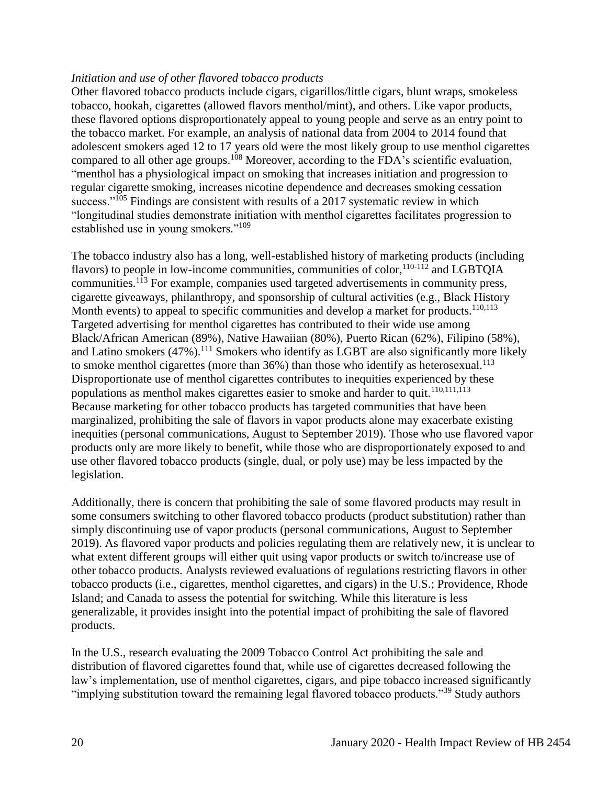#### *Initiation and use of other flavored tobacco products*

Other flavored tobacco products include cigars, cigarillos/little cigars, blunt wraps, smokeless tobacco, hookah, cigarettes (allowed flavors menthol/mint), and others. Like vapor products, these flavored options disproportionately appeal to young people and serve as an entry point to the tobacco market. For example, an analysis of national data from 2004 to 2014 found that adolescent smokers aged 12 to 17 years old were the most likely group to use menthol cigarettes compared to all other age groups.<sup>108</sup> Moreover, according to the FDA's scientific evaluation, "menthol has a physiological impact on smoking that increases initiation and progression to regular cigarette smoking, increases nicotine dependence and decreases smoking cessation success."<sup>105</sup> Findings are consistent with results of a 2017 systematic review in which "longitudinal studies demonstrate initiation with menthol cigarettes facilitates progression to established use in young smokers."<sup>109</sup>

The tobacco industry also has a long, well-established history of marketing products (including flavors) to people in low-income communities, communities of color,  $110-112$  and LGBTOIA communities.<sup>113</sup> For example, companies used targeted advertisements in community press, cigarette giveaways, philanthropy, and sponsorship of cultural activities (e.g., Black History Month events) to appeal to specific communities and develop a market for products.<sup>[110](#page-75-0)[,113](#page-76-0)</sup> Targeted advertising for menthol cigarettes has contributed to their wide use among Black/African American (89%), Native Hawaiian (80%), Puerto Rican (62%), Filipino (58%), and Latino smokers (47%).<sup>111</sup> Smokers who identify as LGBT are also significantly more likely to smoke menthol cigarettes (more than  $36\%$ ) than those who identify as heterosexual.<sup>113</sup> Disproportionate use of menthol cigarettes contributes to inequities experienced by these populations as menthol makes cigarettes easier to smoke and harder to quit.<sup>[110,](#page-75-0)[111,](#page-75-1)[113](#page-76-0)</sup> Because marketing for other tobacco products has targeted communities that have been marginalized, prohibiting the sale of flavors in vapor products alone may exacerbate existing inequities (personal communications, August to September 2019). Those who use flavored vapor products only are more likely to benefit, while those who are disproportionately exposed to and use other flavored tobacco products (single, dual, or poly use) may be less impacted by the legislation.

Additionally, there is concern that prohibiting the sale of some flavored products may result in some consumers switching to other flavored tobacco products (product substitution) rather than simply discontinuing use of vapor products (personal communications, August to September 2019). As flavored vapor products and policies regulating them are relatively new, it is unclear to what extent different groups will either quit using vapor products or switch to/increase use of other tobacco products. Analysts reviewed evaluations of regulations restricting flavors in other tobacco products (i.e., cigarettes, menthol cigarettes, and cigars) in the U.S.; Providence, Rhode Island; and Canada to assess the potential for switching. While this literature is less generalizable, it provides insight into the potential impact of prohibiting the sale of flavored products.

In the U.S., research evaluating the 2009 Tobacco Control Act prohibiting the sale and distribution of flavored cigarettes found that, while use of cigarettes decreased following the law's implementation, use of menthol cigarettes, cigars, and pipe tobacco increased significantly "implying substitution toward the remaining legal flavored tobacco products."<sup>39</sup> Study authors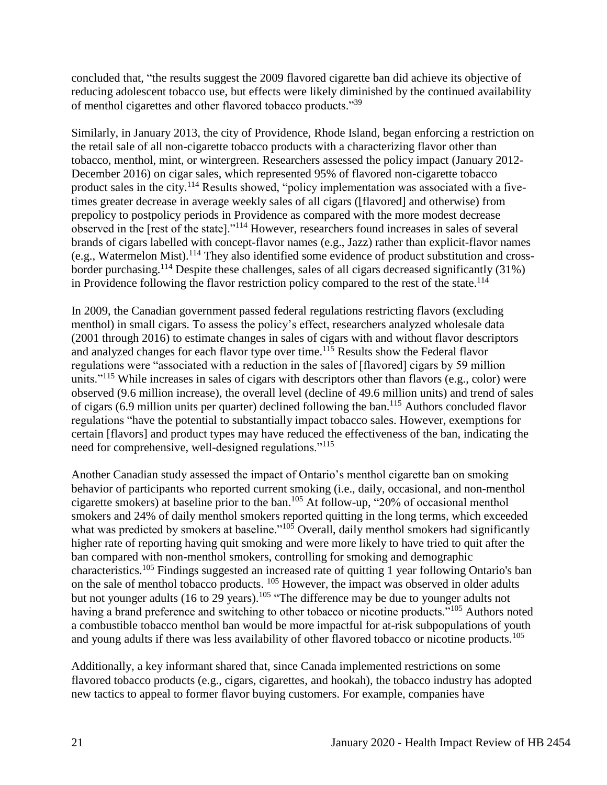concluded that, "the results suggest the 2009 flavored cigarette ban did achieve its objective of reducing adolescent tobacco use, but effects were likely diminished by the continued availability of menthol cigarettes and other flavored tobacco products."<sup>39</sup>

Similarly, in January 2013, the city of Providence, Rhode Island, began enforcing a restriction on the retail sale of all non-cigarette tobacco products with a characterizing flavor other than tobacco, menthol, mint, or wintergreen. Researchers assessed the policy impact (January 2012- December 2016) on cigar sales, which represented 95% of flavored non-cigarette tobacco product sales in the city.<sup>114</sup> Results showed, "policy implementation was associated with a fivetimes greater decrease in average weekly sales of all cigars ([flavored] and otherwise) from prepolicy to postpolicy periods in Providence as compared with the more modest decrease observed in the [rest of the state]."<sup>114</sup> However, researchers found increases in sales of several brands of cigars labelled with concept-flavor names (e.g., Jazz) rather than explicit-flavor names (e.g., Watermelon Mist).<sup>114</sup> They also identified some evidence of product substitution and crossborder purchasing.<sup>114</sup> Despite these challenges, sales of all cigars decreased significantly (31%) in Providence following the flavor restriction policy compared to the rest of the state. 114

In 2009, the Canadian government passed federal regulations restricting flavors (excluding menthol) in small cigars. To assess the policy's effect, researchers analyzed wholesale data (2001 through 2016) to estimate changes in sales of cigars with and without flavor descriptors and analyzed changes for each flavor type over time.<sup>115</sup> Results show the Federal flavor regulations were "associated with a reduction in the sales of [flavored] cigars by 59 million units."<sup>115</sup> While increases in sales of cigars with descriptors other than flavors (e.g., color) were observed (9.6 million increase), the overall level (decline of 49.6 million units) and trend of sales of cigars (6.9 million units per quarter) declined following the ban.<sup>115</sup> Authors concluded flavor regulations "have the potential to substantially impact tobacco sales. However, exemptions for certain [flavors] and product types may have reduced the effectiveness of the ban, indicating the need for comprehensive, well-designed regulations."<sup>115</sup>

Another Canadian study assessed the impact of Ontario's menthol cigarette ban on smoking behavior of participants who reported current smoking (i.e., daily, occasional, and non-menthol cigarette smokers) at baseline prior to the ban. <sup>105</sup> At follow-up, "20% of occasional menthol smokers and 24% of daily menthol smokers reported quitting in the long terms, which exceeded what was predicted by smokers at baseline."<sup>105</sup> Overall, daily menthol smokers had significantly higher rate of reporting having quit smoking and were more likely to have tried to quit after the ban compared with non-menthol smokers, controlling for smoking and demographic characteristics.<sup>105</sup> Findings suggested an increased rate of quitting 1 year following Ontario's ban on the sale of menthol tobacco products. <sup>105</sup> However, the impact was observed in older adults but not younger adults (16 to  $29$  years).<sup>105</sup> "The difference may be due to younger adults not having a brand preference and switching to other tobacco or nicotine products."<sup>105</sup> Authors noted a combustible tobacco menthol ban would be more impactful for at-risk subpopulations of youth and young adults if there was less availability of other flavored tobacco or nicotine products.<sup>105</sup>

Additionally, a key informant shared that, since Canada implemented restrictions on some flavored tobacco products (e.g., cigars, cigarettes, and hookah), the tobacco industry has adopted new tactics to appeal to former flavor buying customers. For example, companies have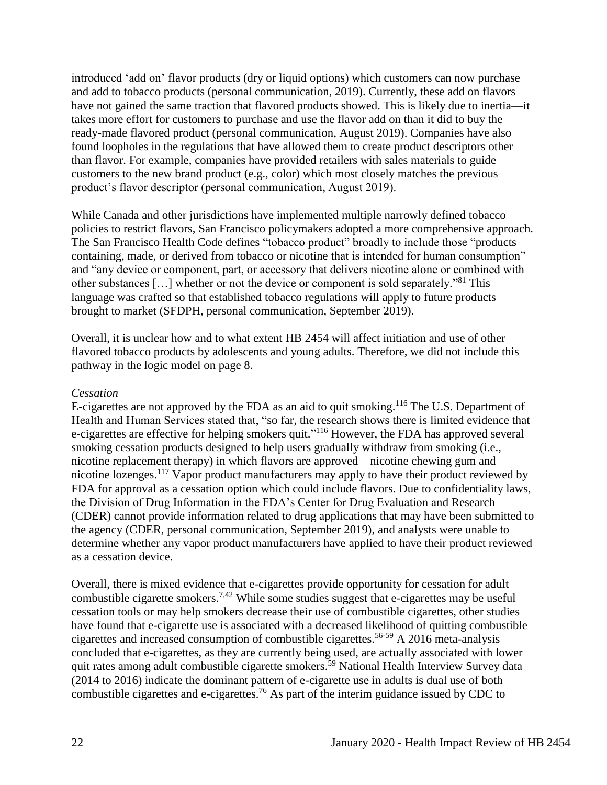introduced 'add on' flavor products (dry or liquid options) which customers can now purchase and add to tobacco products (personal communication, 2019). Currently, these add on flavors have not gained the same traction that flavored products showed. This is likely due to inertia—it takes more effort for customers to purchase and use the flavor add on than it did to buy the ready-made flavored product (personal communication, August 2019). Companies have also found loopholes in the regulations that have allowed them to create product descriptors other than flavor. For example, companies have provided retailers with sales materials to guide customers to the new brand product (e.g., color) which most closely matches the previous product's flavor descriptor (personal communication, August 2019).

While Canada and other jurisdictions have implemented multiple narrowly defined tobacco policies to restrict flavors, San Francisco policymakers adopted a more comprehensive approach. The San Francisco Health Code defines "tobacco product" broadly to include those "products containing, made, or derived from tobacco or nicotine that is intended for human consumption" and "any device or component, part, or accessory that delivers nicotine alone or combined with other substances […] whether or not the device or component is sold separately."<sup>81</sup> This language was crafted so that established tobacco regulations will apply to future products brought to market (SFDPH, personal communication, September 2019).

Overall, it is unclear how and to what extent HB 2454 will affect initiation and use of other flavored tobacco products by adolescents and young adults. Therefore, we did not include this pathway in the logic model on page 8.

#### *Cessation*

E-cigarettes are not approved by the FDA as an aid to quit smoking.<sup>116</sup> The U.S. Department of Health and Human Services stated that, "so far, the research shows there is limited evidence that e-cigarettes are effective for helping smokers quit."<sup>116</sup> However, the FDA has approved several smoking cessation products designed to help users gradually withdraw from smoking (i.e., nicotine replacement therapy) in which flavors are approved—nicotine chewing gum and nicotine lozenges.<sup>117</sup> Vapor product manufacturers may apply to have their product reviewed by FDA for approval as a cessation option which could include flavors. Due to confidentiality laws, the Division of Drug Information in the FDA's Center for Drug Evaluation and Research (CDER) cannot provide information related to drug applications that may have been submitted to the agency (CDER, personal communication, September 2019), and analysts were unable to determine whether any vapor product manufacturers have applied to have their product reviewed as a cessation device.

Overall, there is mixed evidence that e-cigarettes provide opportunity for cessation for adult combustible cigarette smokers.<sup>[7](#page-27-0)[,42](#page-44-0)</sup> While some studies suggest that e-cigarettes may be useful cessation tools or may help smokers decrease their use of combustible cigarettes, other studies have found that e-cigarette use is associated with a decreased likelihood of quitting combustible cigarettes and increased consumption of combustible cigarettes.56-59 A 2016 meta-analysis concluded that e-cigarettes, as they are currently being used, are actually associated with lower quit rates among adult combustible cigarette smokers.<sup>59</sup> National Health Interview Survey data (2014 to 2016) indicate the dominant pattern of e-cigarette use in adults is dual use of both combustible cigarettes and e-cigarettes.<sup>76</sup> As part of the interim guidance issued by CDC to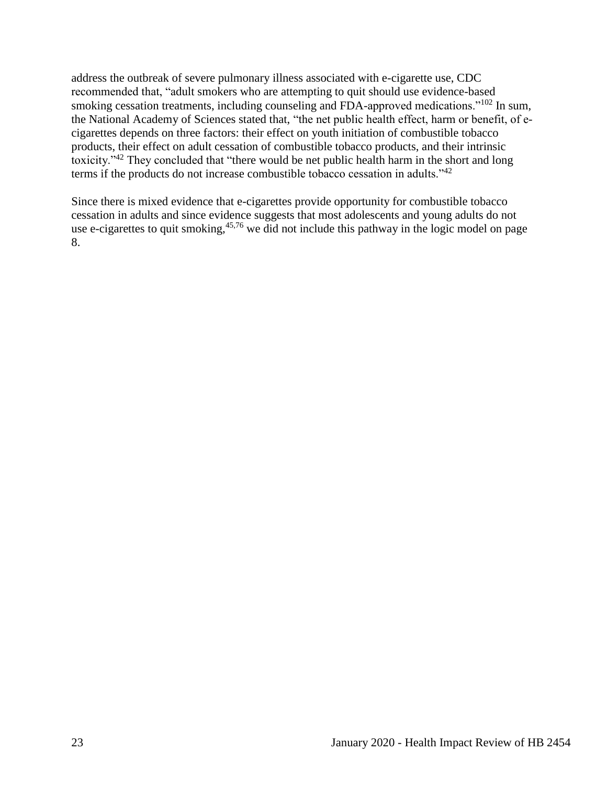address the outbreak of severe pulmonary illness associated with e-cigarette use, CDC recommended that, "adult smokers who are attempting to quit should use evidence-based smoking cessation treatments, including counseling and FDA-approved medications."<sup>102</sup> In sum, the National Academy of Sciences stated that, "the net public health effect, harm or benefit, of ecigarettes depends on three factors: their effect on youth initiation of combustible tobacco products, their effect on adult cessation of combustible tobacco products, and their intrinsic toxicity."<sup>42</sup> They concluded that "there would be net public health harm in the short and long terms if the products do not increase combustible tobacco cessation in adults."<sup>42</sup>

<span id="page-24-0"></span>Since there is mixed evidence that e-cigarettes provide opportunity for combustible tobacco cessation in adults and since evidence suggests that most adolescents and young adults do not use e-cigarettes to quit smoking,  $45.76$  $45.76$  we did not include this pathway in the logic model on page 8.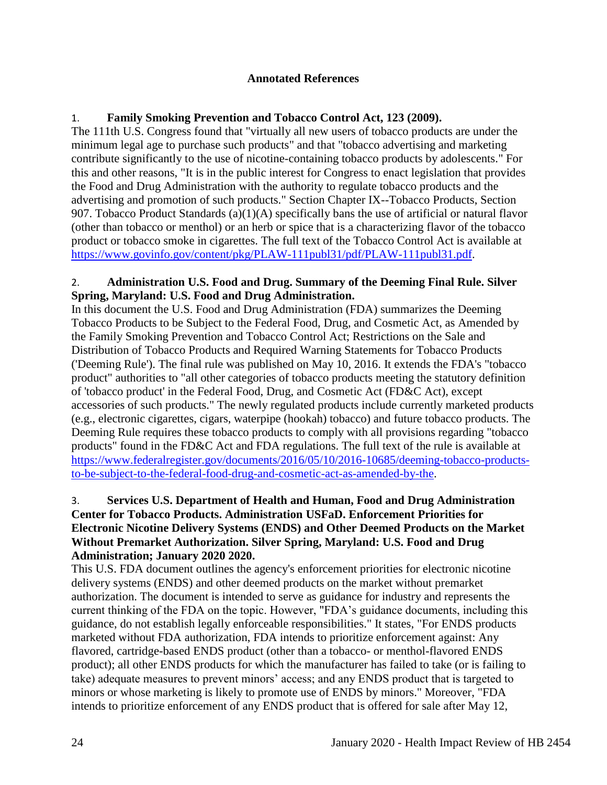#### **Annotated References**

# 1. **Family Smoking Prevention and Tobacco Control Act, 123 (2009).**

The 111th U.S. Congress found that "virtually all new users of tobacco products are under the minimum legal age to purchase such products" and that "tobacco advertising and marketing contribute significantly to the use of nicotine-containing tobacco products by adolescents." For this and other reasons, "It is in the public interest for Congress to enact legislation that provides the Food and Drug Administration with the authority to regulate tobacco products and the advertising and promotion of such products." Section Chapter IX--Tobacco Products, Section 907. Tobacco Product Standards  $(a)(1)(A)$  specifically bans the use of artificial or natural flavor (other than tobacco or menthol) or an herb or spice that is a characterizing flavor of the tobacco product or tobacco smoke in cigarettes. The full text of the Tobacco Control Act is available at [https://www.govinfo.gov/content/pkg/PLAW-111publ31/pdf/PLAW-111publ31.pdf.](https://www.govinfo.gov/content/pkg/PLAW-111publ31/pdf/PLAW-111publ31.pdf)

## 2. **Administration U.S. Food and Drug. Summary of the Deeming Final Rule. Silver Spring, Maryland: U.S. Food and Drug Administration.**

In this document the U.S. Food and Drug Administration (FDA) summarizes the Deeming Tobacco Products to be Subject to the Federal Food, Drug, and Cosmetic Act, as Amended by the Family Smoking Prevention and Tobacco Control Act; Restrictions on the Sale and Distribution of Tobacco Products and Required Warning Statements for Tobacco Products ('Deeming Rule'). The final rule was published on May 10, 2016. It extends the FDA's "tobacco product" authorities to "all other categories of tobacco products meeting the statutory definition of 'tobacco product' in the Federal Food, Drug, and Cosmetic Act (FD&C Act), except accessories of such products." The newly regulated products include currently marketed products (e.g., electronic cigarettes, cigars, waterpipe (hookah) tobacco) and future tobacco products. The Deeming Rule requires these tobacco products to comply with all provisions regarding "tobacco products" found in the FD&C Act and FDA regulations. The full text of the rule is available at [https://www.federalregister.gov/documents/2016/05/10/2016-10685/deeming-tobacco-products](https://www.federalregister.gov/documents/2016/05/10/2016-10685/deeming-tobacco-products-to-be-subject-to-the-federal-food-drug-and-cosmetic-act-as-amended-by-the)[to-be-subject-to-the-federal-food-drug-and-cosmetic-act-as-amended-by-the.](https://www.federalregister.gov/documents/2016/05/10/2016-10685/deeming-tobacco-products-to-be-subject-to-the-federal-food-drug-and-cosmetic-act-as-amended-by-the)

## 3. **Services U.S. Department of Health and Human, Food and Drug Administration Center for Tobacco Products. Administration USFaD. Enforcement Priorities for Electronic Nicotine Delivery Systems (ENDS) and Other Deemed Products on the Market Without Premarket Authorization. Silver Spring, Maryland: U.S. Food and Drug Administration; January 2020 2020.**

This U.S. FDA document outlines the agency's enforcement priorities for electronic nicotine delivery systems (ENDS) and other deemed products on the market without premarket authorization. The document is intended to serve as guidance for industry and represents the current thinking of the FDA on the topic. However, "FDA's guidance documents, including this guidance, do not establish legally enforceable responsibilities." It states, "For ENDS products marketed without FDA authorization, FDA intends to prioritize enforcement against: Any flavored, cartridge-based ENDS product (other than a tobacco- or menthol-flavored ENDS product); all other ENDS products for which the manufacturer has failed to take (or is failing to take) adequate measures to prevent minors' access; and any ENDS product that is targeted to minors or whose marketing is likely to promote use of ENDS by minors." Moreover, "FDA intends to prioritize enforcement of any ENDS product that is offered for sale after May 12,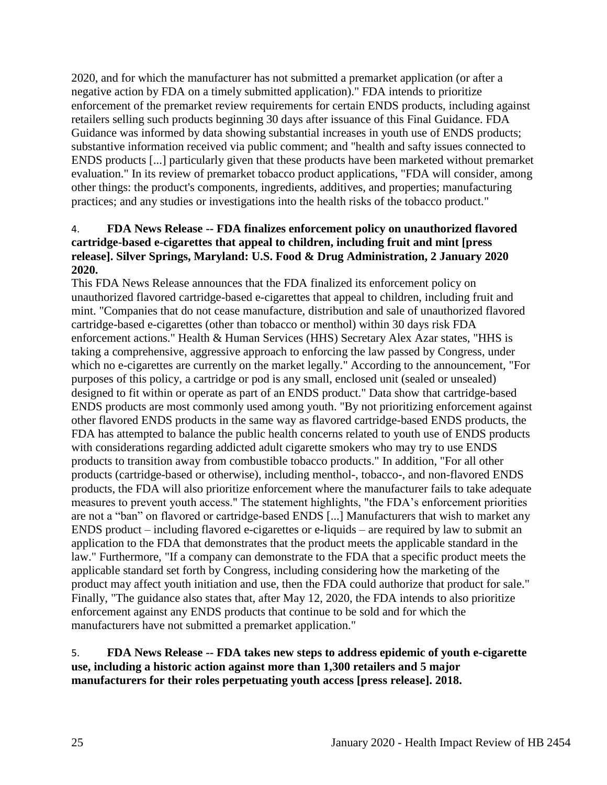2020, and for which the manufacturer has not submitted a premarket application (or after a negative action by FDA on a timely submitted application)." FDA intends to prioritize enforcement of the premarket review requirements for certain ENDS products, including against retailers selling such products beginning 30 days after issuance of this Final Guidance. FDA Guidance was informed by data showing substantial increases in youth use of ENDS products; substantive information received via public comment; and "health and safty issues connected to ENDS products [...] particularly given that these products have been marketed without premarket evaluation." In its review of premarket tobacco product applications, "FDA will consider, among other things: the product's components, ingredients, additives, and properties; manufacturing practices; and any studies or investigations into the health risks of the tobacco product."

#### 4. **FDA News Release -- FDA finalizes enforcement policy on unauthorized flavored cartridge-based e-cigarettes that appeal to children, including fruit and mint [press release]. Silver Springs, Maryland: U.S. Food & Drug Administration, 2 January 2020 2020.**

This FDA News Release announces that the FDA finalized its enforcement policy on unauthorized flavored cartridge-based e-cigarettes that appeal to children, including fruit and mint. "Companies that do not cease manufacture, distribution and sale of unauthorized flavored cartridge-based e-cigarettes (other than tobacco or menthol) within 30 days risk FDA enforcement actions." Health & Human Services (HHS) Secretary Alex Azar states, "HHS is taking a comprehensive, aggressive approach to enforcing the law passed by Congress, under which no e-cigarettes are currently on the market legally." According to the announcement, "For purposes of this policy, a cartridge or pod is any small, enclosed unit (sealed or unsealed) designed to fit within or operate as part of an ENDS product." Data show that cartridge-based ENDS products are most commonly used among youth. "By not prioritizing enforcement against other flavored ENDS products in the same way as flavored cartridge-based ENDS products, the FDA has attempted to balance the public health concerns related to youth use of ENDS products with considerations regarding addicted adult cigarette smokers who may try to use ENDS products to transition away from combustible tobacco products." In addition, "For all other products (cartridge-based or otherwise), including menthol-, tobacco-, and non-flavored ENDS products, the FDA will also prioritize enforcement where the manufacturer fails to take adequate measures to prevent youth access." The statement highlights, "the FDA's enforcement priorities are not a "ban" on flavored or cartridge-based ENDS [...] Manufacturers that wish to market any ENDS product – including flavored e-cigarettes or e-liquids – are required by law to submit an application to the FDA that demonstrates that the product meets the applicable standard in the law." Furthermore, "If a company can demonstrate to the FDA that a specific product meets the applicable standard set forth by Congress, including considering how the marketing of the product may affect youth initiation and use, then the FDA could authorize that product for sale." Finally, "The guidance also states that, after May 12, 2020, the FDA intends to also prioritize enforcement against any ENDS products that continue to be sold and for which the manufacturers have not submitted a premarket application."

#### <span id="page-26-0"></span>5. **FDA News Release -- FDA takes new steps to address epidemic of youth e-cigarette use, including a historic action against more than 1,300 retailers and 5 major manufacturers for their roles perpetuating youth access [press release]. 2018.**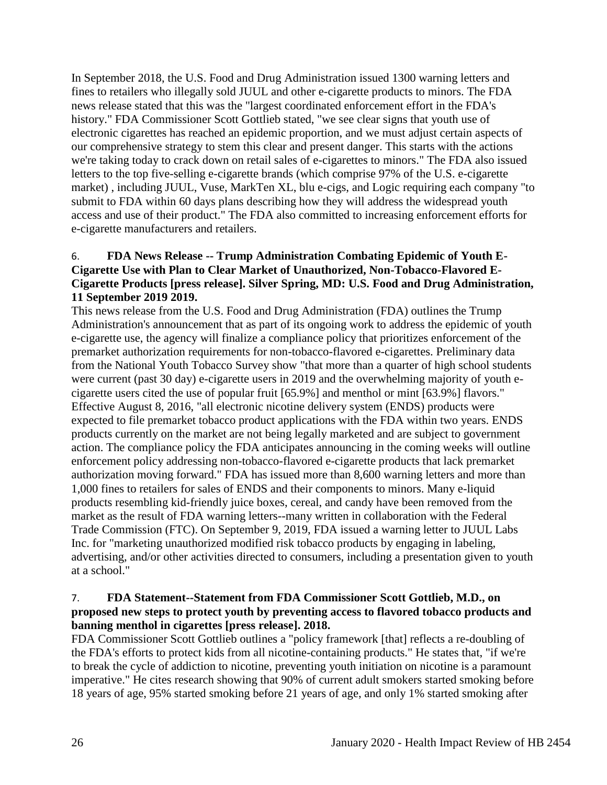In September 2018, the U.S. Food and Drug Administration issued 1300 warning letters and fines to retailers who illegally sold JUUL and other e-cigarette products to minors. The FDA news release stated that this was the "largest coordinated enforcement effort in the FDA's history." FDA Commissioner Scott Gottlieb stated, "we see clear signs that youth use of electronic cigarettes has reached an epidemic proportion, and we must adjust certain aspects of our comprehensive strategy to stem this clear and present danger. This starts with the actions we're taking today to crack down on retail sales of e-cigarettes to minors." The FDA also issued letters to the top five-selling e-cigarette brands (which comprise 97% of the U.S. e-cigarette market) , including JUUL, Vuse, MarkTen XL, blu e-cigs, and Logic requiring each company "to submit to FDA within 60 days plans describing how they will address the widespread youth access and use of their product." The FDA also committed to increasing enforcement efforts for e-cigarette manufacturers and retailers.

# 6. **FDA News Release -- Trump Administration Combating Epidemic of Youth E-Cigarette Use with Plan to Clear Market of Unauthorized, Non-Tobacco-Flavored E-Cigarette Products [press release]. Silver Spring, MD: U.S. Food and Drug Administration, 11 September 2019 2019.**

This news release from the U.S. Food and Drug Administration (FDA) outlines the Trump Administration's announcement that as part of its ongoing work to address the epidemic of youth e-cigarette use, the agency will finalize a compliance policy that prioritizes enforcement of the premarket authorization requirements for non-tobacco-flavored e-cigarettes. Preliminary data from the National Youth Tobacco Survey show "that more than a quarter of high school students were current (past 30 day) e-cigarette users in 2019 and the overwhelming majority of youth ecigarette users cited the use of popular fruit [65.9%] and menthol or mint [63.9%] flavors." Effective August 8, 2016, "all electronic nicotine delivery system (ENDS) products were expected to file premarket tobacco product applications with the FDA within two years. ENDS products currently on the market are not being legally marketed and are subject to government action. The compliance policy the FDA anticipates announcing in the coming weeks will outline enforcement policy addressing non-tobacco-flavored e-cigarette products that lack premarket authorization moving forward." FDA has issued more than 8,600 warning letters and more than 1,000 fines to retailers for sales of ENDS and their components to minors. Many e-liquid products resembling kid-friendly juice boxes, cereal, and candy have been removed from the market as the result of FDA warning letters--many written in collaboration with the Federal Trade Commission (FTC). On September 9, 2019, FDA issued a warning letter to JUUL Labs Inc. for "marketing unauthorized modified risk tobacco products by engaging in labeling, advertising, and/or other activities directed to consumers, including a presentation given to youth at a school."

## <span id="page-27-0"></span>7. **FDA Statement--Statement from FDA Commissioner Scott Gottlieb, M.D., on proposed new steps to protect youth by preventing access to flavored tobacco products and banning menthol in cigarettes [press release]. 2018.**

FDA Commissioner Scott Gottlieb outlines a "policy framework [that] reflects a re-doubling of the FDA's efforts to protect kids from all nicotine-containing products." He states that, "if we're to break the cycle of addiction to nicotine, preventing youth initiation on nicotine is a paramount imperative." He cites research showing that 90% of current adult smokers started smoking before 18 years of age, 95% started smoking before 21 years of age, and only 1% started smoking after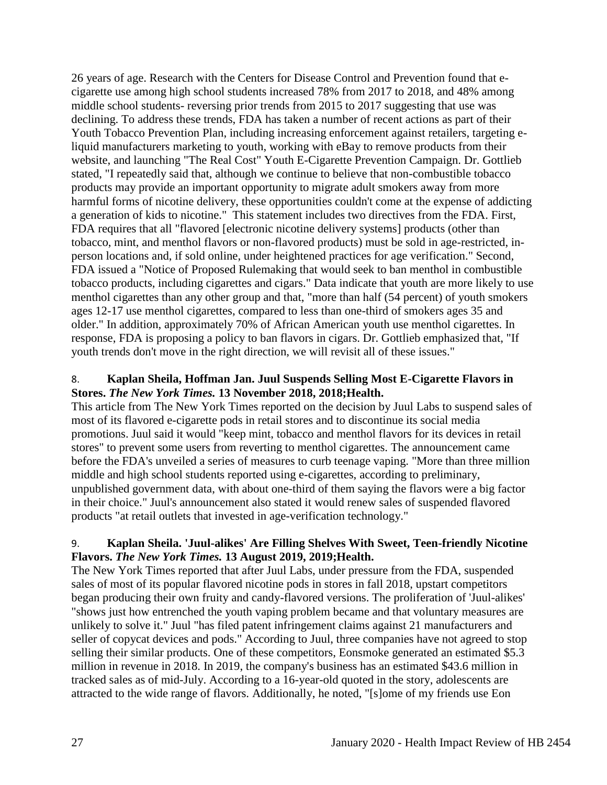26 years of age. Research with the Centers for Disease Control and Prevention found that ecigarette use among high school students increased 78% from 2017 to 2018, and 48% among middle school students- reversing prior trends from 2015 to 2017 suggesting that use was declining. To address these trends, FDA has taken a number of recent actions as part of their Youth Tobacco Prevention Plan, including increasing enforcement against retailers, targeting eliquid manufacturers marketing to youth, working with eBay to remove products from their website, and launching "The Real Cost" Youth E-Cigarette Prevention Campaign. Dr. Gottlieb stated, "I repeatedly said that, although we continue to believe that non-combustible tobacco products may provide an important opportunity to migrate adult smokers away from more harmful forms of nicotine delivery, these opportunities couldn't come at the expense of addicting a generation of kids to nicotine." This statement includes two directives from the FDA. First, FDA requires that all "flavored [electronic nicotine delivery systems] products (other than tobacco, mint, and menthol flavors or non-flavored products) must be sold in age-restricted, inperson locations and, if sold online, under heightened practices for age verification." Second, FDA issued a "Notice of Proposed Rulemaking that would seek to ban menthol in combustible tobacco products, including cigarettes and cigars." Data indicate that youth are more likely to use menthol cigarettes than any other group and that, "more than half (54 percent) of youth smokers ages 12-17 use menthol cigarettes, compared to less than one-third of smokers ages 35 and older." In addition, approximately 70% of African American youth use menthol cigarettes. In response, FDA is proposing a policy to ban flavors in cigars. Dr. Gottlieb emphasized that, "If youth trends don't move in the right direction, we will revisit all of these issues."

# 8. **Kaplan Sheila, Hoffman Jan. Juul Suspends Selling Most E-Cigarette Flavors in Stores.** *The New York Times.* **13 November 2018, 2018;Health.**

This article from The New York Times reported on the decision by Juul Labs to suspend sales of most of its flavored e-cigarette pods in retail stores and to discontinue its social media promotions. Juul said it would "keep mint, tobacco and menthol flavors for its devices in retail stores" to prevent some users from reverting to menthol cigarettes. The announcement came before the FDA's unveiled a series of measures to curb teenage vaping. "More than three million middle and high school students reported using e-cigarettes, according to preliminary, unpublished government data, with about one-third of them saying the flavors were a big factor in their choice." Juul's announcement also stated it would renew sales of suspended flavored products "at retail outlets that invested in age-verification technology."

# 9. **Kaplan Sheila. 'Juul-alikes' Are Filling Shelves With Sweet, Teen-friendly Nicotine Flavors.** *The New York Times.* **13 August 2019, 2019;Health.**

The New York Times reported that after Juul Labs, under pressure from the FDA, suspended sales of most of its popular flavored nicotine pods in stores in fall 2018, upstart competitors began producing their own fruity and candy-flavored versions. The proliferation of 'Juul-alikes' "shows just how entrenched the youth vaping problem became and that voluntary measures are unlikely to solve it." Juul "has filed patent infringement claims against 21 manufacturers and seller of copycat devices and pods." According to Juul, three companies have not agreed to stop selling their similar products. One of these competitors, Eonsmoke generated an estimated \$5.3 million in revenue in 2018. In 2019, the company's business has an estimated \$43.6 million in tracked sales as of mid-July. According to a 16-year-old quoted in the story, adolescents are attracted to the wide range of flavors. Additionally, he noted, "[s]ome of my friends use Eon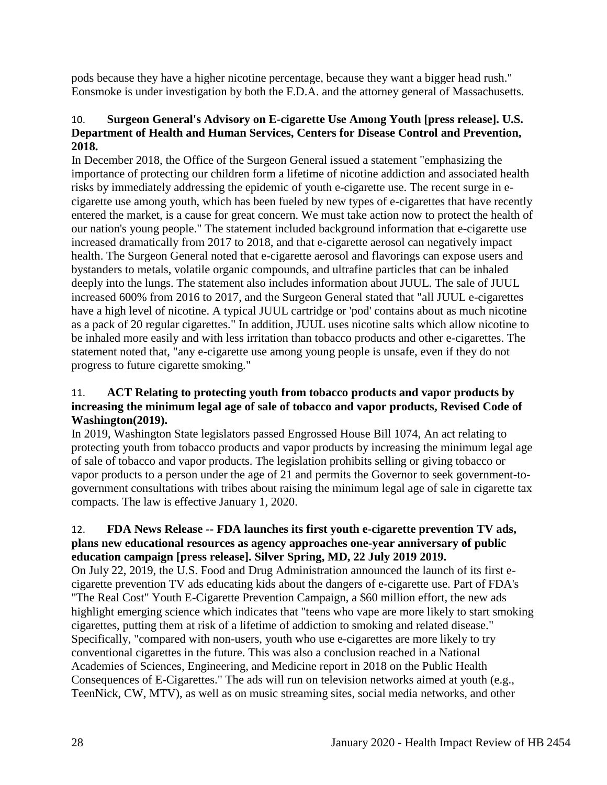pods because they have a higher nicotine percentage, because they want a bigger head rush." Eonsmoke is under investigation by both the F.D.A. and the attorney general of Massachusetts.

# <span id="page-29-0"></span>10. **Surgeon General's Advisory on E-cigarette Use Among Youth [press release]. U.S. Department of Health and Human Services, Centers for Disease Control and Prevention, 2018.**

In December 2018, the Office of the Surgeon General issued a statement "emphasizing the importance of protecting our children form a lifetime of nicotine addiction and associated health risks by immediately addressing the epidemic of youth e-cigarette use. The recent surge in ecigarette use among youth, which has been fueled by new types of e-cigarettes that have recently entered the market, is a cause for great concern. We must take action now to protect the health of our nation's young people." The statement included background information that e-cigarette use increased dramatically from 2017 to 2018, and that e-cigarette aerosol can negatively impact health. The Surgeon General noted that e-cigarette aerosol and flavorings can expose users and bystanders to metals, volatile organic compounds, and ultrafine particles that can be inhaled deeply into the lungs. The statement also includes information about JUUL. The sale of JUUL increased 600% from 2016 to 2017, and the Surgeon General stated that "all JUUL e-cigarettes have a high level of nicotine. A typical JUUL cartridge or 'pod' contains about as much nicotine as a pack of 20 regular cigarettes." In addition, JUUL uses nicotine salts which allow nicotine to be inhaled more easily and with less irritation than tobacco products and other e-cigarettes. The statement noted that, "any e-cigarette use among young people is unsafe, even if they do not progress to future cigarette smoking."

## 11. **ACT Relating to protecting youth from tobacco products and vapor products by increasing the minimum legal age of sale of tobacco and vapor products, Revised Code of Washington(2019).**

In 2019, Washington State legislators passed Engrossed House Bill 1074, An act relating to protecting youth from tobacco products and vapor products by increasing the minimum legal age of sale of tobacco and vapor products. The legislation prohibits selling or giving tobacco or vapor products to a person under the age of 21 and permits the Governor to seek government-togovernment consultations with tribes about raising the minimum legal age of sale in cigarette tax compacts. The law is effective January 1, 2020.

# 12. **FDA News Release -- FDA launches its first youth e-cigarette prevention TV ads, plans new educational resources as agency approaches one-year anniversary of public education campaign [press release]. Silver Spring, MD, 22 July 2019 2019.**

On July 22, 2019, the U.S. Food and Drug Administration announced the launch of its first ecigarette prevention TV ads educating kids about the dangers of e-cigarette use. Part of FDA's "The Real Cost" Youth E-Cigarette Prevention Campaign, a \$60 million effort, the new ads highlight emerging science which indicates that "teens who vape are more likely to start smoking cigarettes, putting them at risk of a lifetime of addiction to smoking and related disease." Specifically, "compared with non-users, youth who use e-cigarettes are more likely to try conventional cigarettes in the future. This was also a conclusion reached in a National Academies of Sciences, Engineering, and Medicine report in 2018 on the Public Health Consequences of E-Cigarettes." The ads will run on television networks aimed at youth (e.g., TeenNick, CW, MTV), as well as on music streaming sites, social media networks, and other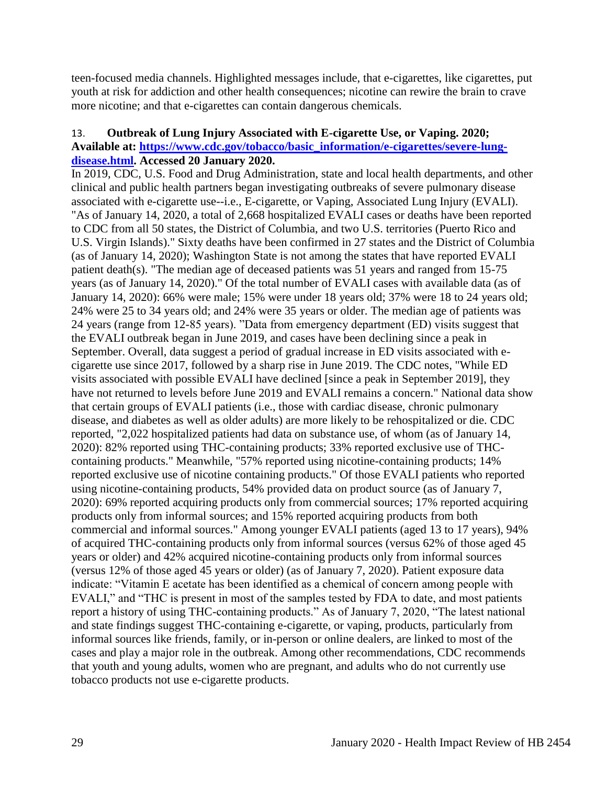teen-focused media channels. Highlighted messages include, that e-cigarettes, like cigarettes, put youth at risk for addiction and other health consequences; nicotine can rewire the brain to crave more nicotine; and that e-cigarettes can contain dangerous chemicals.

#### <span id="page-30-0"></span>13. **Outbreak of Lung Injury Associated with E-cigarette Use, or Vaping. 2020; Available at: [https://www.cdc.gov/tobacco/basic\\_information/e-cigarettes/severe-lung](https://www.cdc.gov/tobacco/basic_information/e-cigarettes/severe-lung-disease.html)[disease.html.](https://www.cdc.gov/tobacco/basic_information/e-cigarettes/severe-lung-disease.html) Accessed 20 January 2020.**

In 2019, CDC, U.S. Food and Drug Administration, state and local health departments, and other clinical and public health partners began investigating outbreaks of severe pulmonary disease associated with e-cigarette use--i.e., E-cigarette, or Vaping, Associated Lung Injury (EVALI). "As of January 14, 2020, a total of 2,668 hospitalized EVALI cases or deaths have been reported to CDC from all 50 states, the District of Columbia, and two U.S. territories (Puerto Rico and U.S. Virgin Islands)." Sixty deaths have been confirmed in 27 states and the District of Columbia (as of January 14, 2020); Washington State is not among the states that have reported EVALI patient death(s). "The median age of deceased patients was 51 years and ranged from 15-75 years (as of January 14, 2020)." Of the total number of EVALI cases with available data (as of January 14, 2020): 66% were male; 15% were under 18 years old; 37% were 18 to 24 years old; 24% were 25 to 34 years old; and 24% were 35 years or older. The median age of patients was 24 years (range from 12-85 years). "Data from emergency department (ED) visits suggest that the EVALI outbreak began in June 2019, and cases have been declining since a peak in September. Overall, data suggest a period of gradual increase in ED visits associated with ecigarette use since 2017, followed by a sharp rise in June 2019. The CDC notes, "While ED visits associated with possible EVALI have declined [since a peak in September 2019], they have not returned to levels before June 2019 and EVALI remains a concern." National data show that certain groups of EVALI patients (i.e., those with cardiac disease, chronic pulmonary disease, and diabetes as well as older adults) are more likely to be rehospitalized or die. CDC reported, "2,022 hospitalized patients had data on substance use, of whom (as of January 14, 2020): 82% reported using THC-containing products; 33% reported exclusive use of THCcontaining products." Meanwhile, "57% reported using nicotine-containing products; 14% reported exclusive use of nicotine containing products." Of those EVALI patients who reported using nicotine-containing products, 54% provided data on product source (as of January 7, 2020): 69% reported acquiring products only from commercial sources; 17% reported acquiring products only from informal sources; and 15% reported acquiring products from both commercial and informal sources." Among younger EVALI patients (aged 13 to 17 years), 94% of acquired THC-containing products only from informal sources (versus 62% of those aged 45 years or older) and 42% acquired nicotine-containing products only from informal sources (versus 12% of those aged 45 years or older) (as of January 7, 2020). Patient exposure data indicate: "Vitamin E acetate has been identified as a chemical of concern among people with EVALI," and "THC is present in most of the samples tested by FDA to date, and most patients report a history of using THC-containing products." As of January 7, 2020, "The latest national and state findings suggest THC-containing e-cigarette, or vaping, products, particularly from informal sources like friends, family, or in-person or online dealers, are linked to most of the cases and play a major role in the outbreak. Among other recommendations, CDC recommends that youth and young adults, women who are pregnant, and adults who do not currently use tobacco products not use e-cigarette products.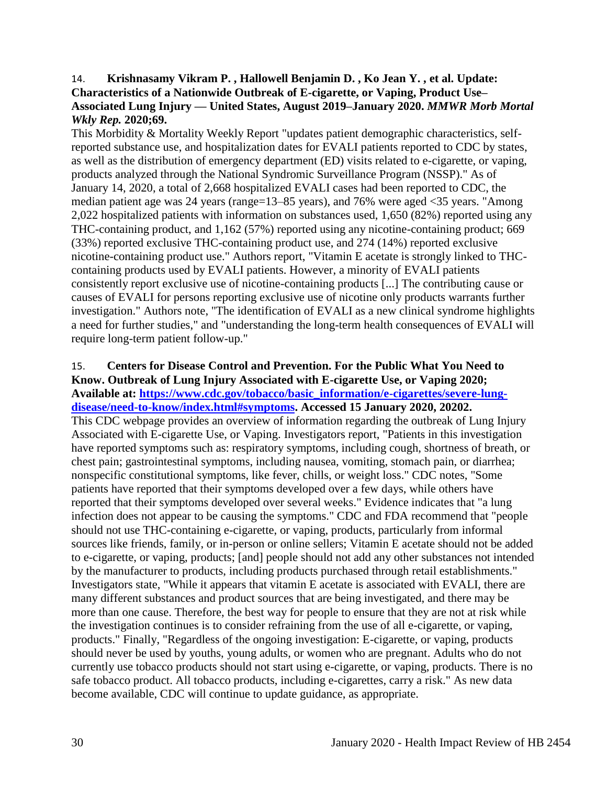#### <span id="page-31-0"></span>14. **Krishnasamy Vikram P. , Hallowell Benjamin D. , Ko Jean Y. , et al. Update: Characteristics of a Nationwide Outbreak of E-cigarette, or Vaping, Product Use– Associated Lung Injury — United States, August 2019–January 2020.** *MMWR Morb Mortal Wkly Rep.* **2020;69.**

This Morbidity & Mortality Weekly Report "updates patient demographic characteristics, selfreported substance use, and hospitalization dates for EVALI patients reported to CDC by states, as well as the distribution of emergency department (ED) visits related to e-cigarette, or vaping, products analyzed through the National Syndromic Surveillance Program (NSSP)." As of January 14, 2020, a total of 2,668 hospitalized EVALI cases had been reported to CDC, the median patient age was 24 years (range=13–85 years), and 76% were aged <35 years. "Among 2,022 hospitalized patients with information on substances used, 1,650 (82%) reported using any THC-containing product, and 1,162 (57%) reported using any nicotine-containing product; 669 (33%) reported exclusive THC-containing product use, and 274 (14%) reported exclusive nicotine-containing product use." Authors report, "Vitamin E acetate is strongly linked to THCcontaining products used by EVALI patients. However, a minority of EVALI patients consistently report exclusive use of nicotine-containing products [...] The contributing cause or causes of EVALI for persons reporting exclusive use of nicotine only products warrants further investigation." Authors note, "The identification of EVALI as a new clinical syndrome highlights a need for further studies," and "understanding the long-term health consequences of EVALI will require long-term patient follow-up."

# 15. **Centers for Disease Control and Prevention. For the Public What You Need to Know. Outbreak of Lung Injury Associated with E-cigarette Use, or Vaping 2020; Available at: [https://www.cdc.gov/tobacco/basic\\_information/e-cigarettes/severe-lung-](https://www.cdc.gov/tobacco/basic_information/e-cigarettes/severe-lung-disease/need-to-know/index.html#symptoms)**

**[disease/need-to-know/index.html#symptoms.](https://www.cdc.gov/tobacco/basic_information/e-cigarettes/severe-lung-disease/need-to-know/index.html#symptoms) Accessed 15 January 2020, 20202.** This CDC webpage provides an overview of information regarding the outbreak of Lung Injury Associated with E-cigarette Use, or Vaping. Investigators report, "Patients in this investigation have reported symptoms such as: respiratory symptoms, including cough, shortness of breath, or chest pain; gastrointestinal symptoms, including nausea, vomiting, stomach pain, or diarrhea; nonspecific constitutional symptoms, like fever, chills, or weight loss." CDC notes, "Some patients have reported that their symptoms developed over a few days, while others have reported that their symptoms developed over several weeks." Evidence indicates that "a lung infection does not appear to be causing the symptoms." CDC and FDA recommend that "people should not use THC-containing e-cigarette, or vaping, products, particularly from informal sources like friends, family, or in-person or online sellers; Vitamin E acetate should not be added to e-cigarette, or vaping, products; [and] people should not add any other substances not intended by the manufacturer to products, including products purchased through retail establishments." Investigators state, "While it appears that vitamin E acetate is associated with EVALI, there are many different substances and product sources that are being investigated, and there may be more than one cause. Therefore, the best way for people to ensure that they are not at risk while the investigation continues is to consider refraining from the use of all e-cigarette, or vaping, products." Finally, "Regardless of the ongoing investigation: E-cigarette, or vaping, products should never be used by youths, young adults, or women who are pregnant. Adults who do not currently use tobacco products should not start using e-cigarette, or vaping, products. There is no safe tobacco product. All tobacco products, including e-cigarettes, carry a risk." As new data become available, CDC will continue to update guidance, as appropriate.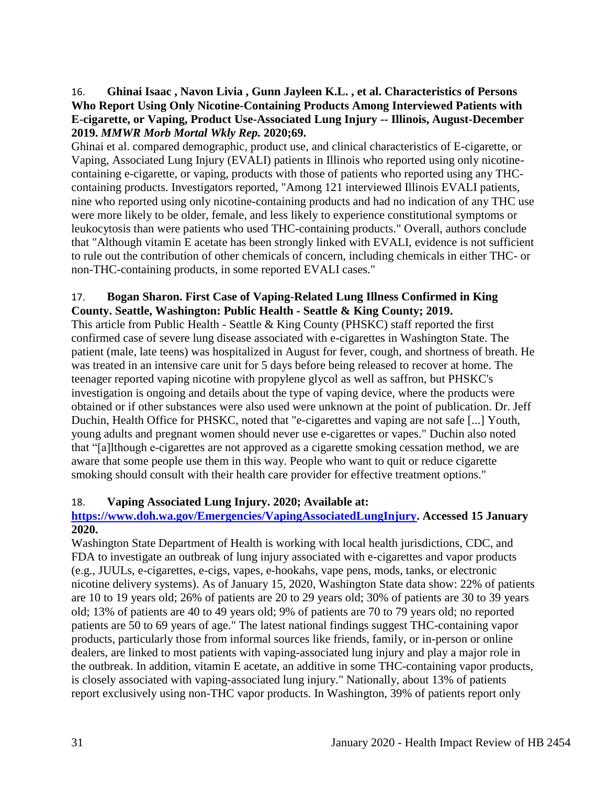## <span id="page-32-0"></span>16. **Ghinai Isaac , Navon Livia , Gunn Jayleen K.L. , et al. Characteristics of Persons Who Report Using Only Nicotine-Containing Products Among Interviewed Patients with E-cigarette, or Vaping, Product Use-Associated Lung Injury -- Illinois, August-December 2019.** *MMWR Morb Mortal Wkly Rep.* **2020;69.**

Ghinai et al. compared demographic, product use, and clinical characteristics of E-cigarette, or Vaping, Associated Lung Injury (EVALI) patients in Illinois who reported using only nicotinecontaining e-cigarette, or vaping, products with those of patients who reported using any THCcontaining products. Investigators reported, "Among 121 interviewed Illinois EVALI patients, nine who reported using only nicotine-containing products and had no indication of any THC use were more likely to be older, female, and less likely to experience constitutional symptoms or leukocytosis than were patients who used THC-containing products." Overall, authors conclude that "Although vitamin E acetate has been strongly linked with EVALI, evidence is not sufficient to rule out the contribution of other chemicals of concern, including chemicals in either THC- or non-THC-containing products, in some reported EVALI cases."

## 17. **Bogan Sharon. First Case of Vaping-Related Lung Illness Confirmed in King County. Seattle, Washington: Public Health - Seattle & King County; 2019.**

This article from Public Health - Seattle & King County (PHSKC) staff reported the first confirmed case of severe lung disease associated with e-cigarettes in Washington State. The patient (male, late teens) was hospitalized in August for fever, cough, and shortness of breath. He was treated in an intensive care unit for 5 days before being released to recover at home. The teenager reported vaping nicotine with propylene glycol as well as saffron, but PHSKC's investigation is ongoing and details about the type of vaping device, where the products were obtained or if other substances were also used were unknown at the point of publication. Dr. Jeff Duchin, Health Office for PHSKC, noted that "e-cigarettes and vaping are not safe [...] Youth, young adults and pregnant women should never use e-cigarettes or vapes." Duchin also noted that "[a]lthough e-cigarettes are not approved as a cigarette smoking cessation method, we are aware that some people use them in this way. People who want to quit or reduce cigarette smoking should consult with their health care provider for effective treatment options."

# 18. **Vaping Associated Lung Injury. 2020; Available at:**

## **[https://www.doh.wa.gov/Emergencies/VapingAssociatedLungInjury.](https://www.doh.wa.gov/Emergencies/VapingAssociatedLungInjury) Accessed 15 January 2020.**

Washington State Department of Health is working with local health jurisdictions, CDC, and FDA to investigate an outbreak of lung injury associated with e-cigarettes and vapor products (e.g., JUULs, e-cigarettes, e-cigs, vapes, e-hookahs, vape pens, mods, tanks, or electronic nicotine delivery systems). As of January 15, 2020, Washington State data show: 22% of patients are 10 to 19 years old; 26% of patients are 20 to 29 years old; 30% of patients are 30 to 39 years old; 13% of patients are 40 to 49 years old; 9% of patients are 70 to 79 years old; no reported patients are 50 to 69 years of age." The latest national findings suggest THC-containing vapor products, particularly those from informal sources like friends, family, or in-person or online dealers, are linked to most patients with vaping-associated lung injury and play a major role in the outbreak. In addition, vitamin E acetate, an additive in some THC-containing vapor products, is closely associated with vaping-associated lung injury." Nationally, about 13% of patients report exclusively using non-THC vapor products. In Washington, 39% of patients report only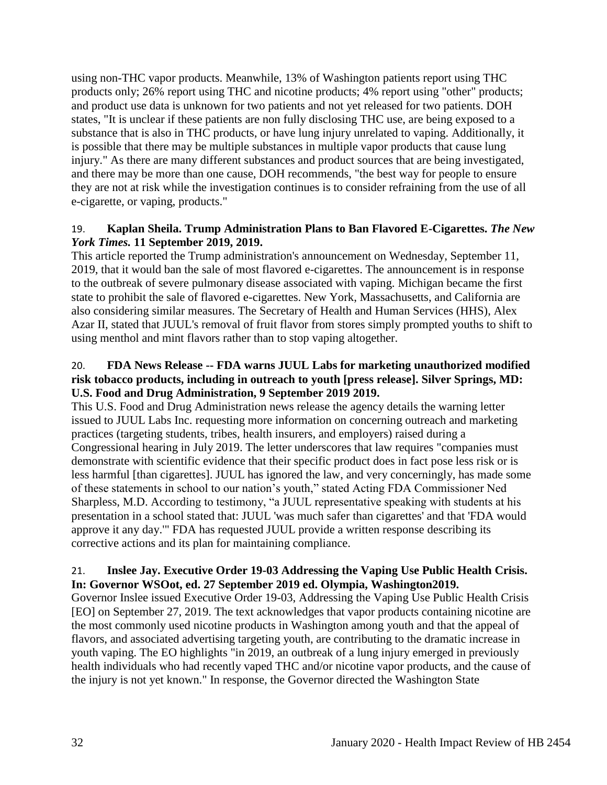using non-THC vapor products. Meanwhile, 13% of Washington patients report using THC products only; 26% report using THC and nicotine products; 4% report using "other" products; and product use data is unknown for two patients and not yet released for two patients. DOH states, "It is unclear if these patients are non fully disclosing THC use, are being exposed to a substance that is also in THC products, or have lung injury unrelated to vaping. Additionally, it is possible that there may be multiple substances in multiple vapor products that cause lung injury." As there are many different substances and product sources that are being investigated, and there may be more than one cause, DOH recommends, "the best way for people to ensure they are not at risk while the investigation continues is to consider refraining from the use of all e-cigarette, or vaping, products."

## 19. **Kaplan Sheila. Trump Administration Plans to Ban Flavored E-Cigarettes.** *The New York Times.* **11 September 2019, 2019.**

This article reported the Trump administration's announcement on Wednesday, September 11, 2019, that it would ban the sale of most flavored e-cigarettes. The announcement is in response to the outbreak of severe pulmonary disease associated with vaping. Michigan became the first state to prohibit the sale of flavored e-cigarettes. New York, Massachusetts, and California are also considering similar measures. The Secretary of Health and Human Services (HHS), Alex Azar II, stated that JUUL's removal of fruit flavor from stores simply prompted youths to shift to using menthol and mint flavors rather than to stop vaping altogether.

#### 20. **FDA News Release -- FDA warns JUUL Labs for marketing unauthorized modified risk tobacco products, including in outreach to youth [press release]. Silver Springs, MD: U.S. Food and Drug Administration, 9 September 2019 2019.**

This U.S. Food and Drug Administration news release the agency details the warning letter issued to JUUL Labs Inc. requesting more information on concerning outreach and marketing practices (targeting students, tribes, health insurers, and employers) raised during a Congressional hearing in July 2019. The letter underscores that law requires "companies must demonstrate with scientific evidence that their specific product does in fact pose less risk or is less harmful [than cigarettes]. JUUL has ignored the law, and very concerningly, has made some of these statements in school to our nation's youth," stated Acting FDA Commissioner Ned Sharpless, M.D. According to testimony, "a JUUL representative speaking with students at his presentation in a school stated that: JUUL 'was much safer than cigarettes' and that 'FDA would approve it any day.'" FDA has requested JUUL provide a written response describing its corrective actions and its plan for maintaining compliance.

## 21. **Inslee Jay. Executive Order 19-03 Addressing the Vaping Use Public Health Crisis. In: Governor WSOot, ed. 27 September 2019 ed. Olympia, Washington2019.**

Governor Inslee issued Executive Order 19-03, Addressing the Vaping Use Public Health Crisis [EO] on September 27, 2019. The text acknowledges that vapor products containing nicotine are the most commonly used nicotine products in Washington among youth and that the appeal of flavors, and associated advertising targeting youth, are contributing to the dramatic increase in youth vaping. The EO highlights "in 2019, an outbreak of a lung injury emerged in previously health individuals who had recently vaped THC and/or nicotine vapor products, and the cause of the injury is not yet known." In response, the Governor directed the Washington State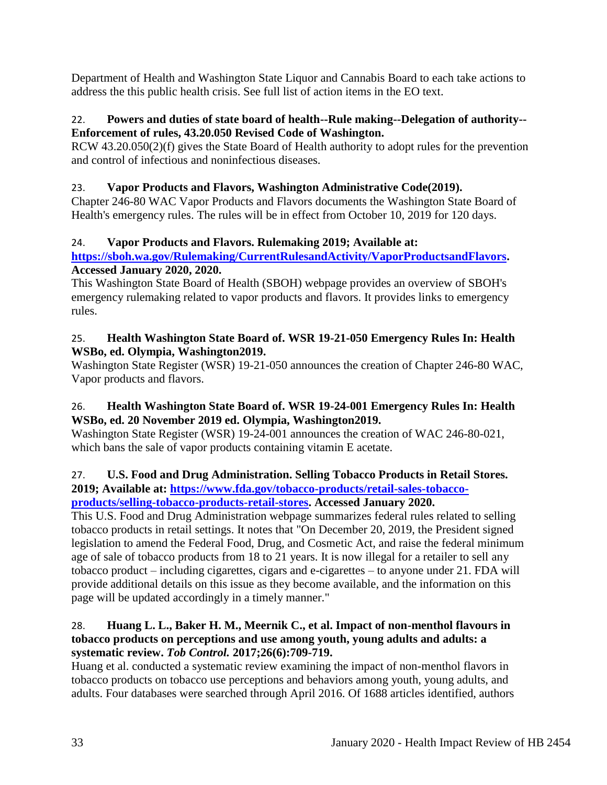Department of Health and Washington State Liquor and Cannabis Board to each take actions to address the this public health crisis. See full list of action items in the EO text.

# 22. **Powers and duties of state board of health--Rule making--Delegation of authority-- Enforcement of rules, 43.20.050 Revised Code of Washington.**

RCW 43.20.050(2)(f) gives the State Board of Health authority to adopt rules for the prevention and control of infectious and noninfectious diseases.

# 23. **Vapor Products and Flavors, Washington Administrative Code(2019).**

Chapter 246-80 WAC Vapor Products and Flavors documents the Washington State Board of Health's emergency rules. The rules will be in effect from October 10, 2019 for 120 days.

# 24. **Vapor Products and Flavors. Rulemaking 2019; Available at:**

# **[https://sboh.wa.gov/Rulemaking/CurrentRulesandActivity/VaporProductsandFlavors.](https://sboh.wa.gov/Rulemaking/CurrentRulesandActivity/VaporProductsandFlavors) Accessed January 2020, 2020.**

This Washington State Board of Health (SBOH) webpage provides an overview of SBOH's emergency rulemaking related to vapor products and flavors. It provides links to emergency rules.

# 25. **Health Washington State Board of. WSR 19-21-050 Emergency Rules In: Health WSBo, ed. Olympia, Washington2019.**

Washington State Register (WSR) 19-21-050 announces the creation of Chapter 246-80 WAC, Vapor products and flavors.

# 26. **Health Washington State Board of. WSR 19-24-001 Emergency Rules In: Health WSBo, ed. 20 November 2019 ed. Olympia, Washington2019.**

Washington State Register (WSR) 19-24-001 announces the creation of WAC 246-80-021, which bans the sale of vapor products containing vitamin E acetate.

#### 27. **U.S. Food and Drug Administration. Selling Tobacco Products in Retail Stores. 2019; Available at: [https://www.fda.gov/tobacco-products/retail-sales-tobacco](https://www.fda.gov/tobacco-products/retail-sales-tobacco-products/selling-tobacco-products-retail-stores)[products/selling-tobacco-products-retail-stores.](https://www.fda.gov/tobacco-products/retail-sales-tobacco-products/selling-tobacco-products-retail-stores) Accessed January 2020.**

This U.S. Food and Drug Administration webpage summarizes federal rules related to selling tobacco products in retail settings. It notes that "On December 20, 2019, the President signed legislation to amend the Federal Food, Drug, and Cosmetic Act, and raise the federal minimum age of sale of tobacco products from 18 to 21 years. It is now illegal for a retailer to sell any tobacco product – including cigarettes, cigars and e-cigarettes – to anyone under 21. FDA will provide additional details on this issue as they become available, and the information on this page will be updated accordingly in a timely manner."

# <span id="page-34-0"></span>28. **Huang L. L., Baker H. M., Meernik C., et al. Impact of non-menthol flavours in tobacco products on perceptions and use among youth, young adults and adults: a systematic review.** *Tob Control.* **2017;26(6):709-719.**

Huang et al. conducted a systematic review examining the impact of non-menthol flavors in tobacco products on tobacco use perceptions and behaviors among youth, young adults, and adults. Four databases were searched through April 2016. Of 1688 articles identified, authors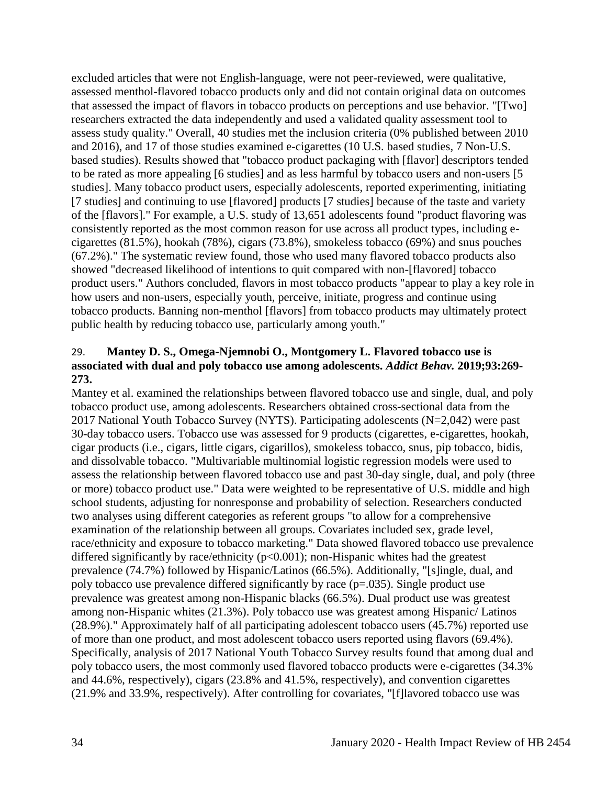excluded articles that were not English-language, were not peer-reviewed, were qualitative, assessed menthol-flavored tobacco products only and did not contain original data on outcomes that assessed the impact of flavors in tobacco products on perceptions and use behavior. "[Two] researchers extracted the data independently and used a validated quality assessment tool to assess study quality." Overall, 40 studies met the inclusion criteria (0% published between 2010 and 2016), and 17 of those studies examined e-cigarettes (10 U.S. based studies, 7 Non-U.S. based studies). Results showed that "tobacco product packaging with [flavor] descriptors tended to be rated as more appealing [6 studies] and as less harmful by tobacco users and non-users [5 studies]. Many tobacco product users, especially adolescents, reported experimenting, initiating [7 studies] and continuing to use [flavored] products [7 studies] because of the taste and variety of the [flavors]." For example, a U.S. study of 13,651 adolescents found "product flavoring was consistently reported as the most common reason for use across all product types, including ecigarettes (81.5%), hookah (78%), cigars (73.8%), smokeless tobacco (69%) and snus pouches (67.2%)." The systematic review found, those who used many flavored tobacco products also showed "decreased likelihood of intentions to quit compared with non-[flavored] tobacco product users." Authors concluded, flavors in most tobacco products "appear to play a key role in how users and non-users, especially youth, perceive, initiate, progress and continue using tobacco products. Banning non-menthol [flavors] from tobacco products may ultimately protect public health by reducing tobacco use, particularly among youth."

# <span id="page-35-0"></span>29. **Mantey D. S., Omega-Njemnobi O., Montgomery L. Flavored tobacco use is associated with dual and poly tobacco use among adolescents.** *Addict Behav.* **2019;93:269- 273.**

Mantey et al. examined the relationships between flavored tobacco use and single, dual, and poly tobacco product use, among adolescents. Researchers obtained cross-sectional data from the 2017 National Youth Tobacco Survey (NYTS). Participating adolescents (N=2,042) were past 30-day tobacco users. Tobacco use was assessed for 9 products (cigarettes, e-cigarettes, hookah, cigar products (i.e., cigars, little cigars, cigarillos), smokeless tobacco, snus, pip tobacco, bidis, and dissolvable tobacco. "Multivariable multinomial logistic regression models were used to assess the relationship between flavored tobacco use and past 30-day single, dual, and poly (three or more) tobacco product use." Data were weighted to be representative of U.S. middle and high school students, adjusting for nonresponse and probability of selection. Researchers conducted two analyses using different categories as referent groups "to allow for a comprehensive examination of the relationship between all groups. Covariates included sex, grade level, race/ethnicity and exposure to tobacco marketing." Data showed flavored tobacco use prevalence differed significantly by race/ethnicity ( $p<0.001$ ); non-Hispanic whites had the greatest prevalence (74.7%) followed by Hispanic/Latinos (66.5%). Additionally, "[s]ingle, dual, and poly tobacco use prevalence differed significantly by race (p=.035). Single product use prevalence was greatest among non-Hispanic blacks (66.5%). Dual product use was greatest among non-Hispanic whites (21.3%). Poly tobacco use was greatest among Hispanic/ Latinos (28.9%)." Approximately half of all participating adolescent tobacco users (45.7%) reported use of more than one product, and most adolescent tobacco users reported using flavors (69.4%). Specifically, analysis of 2017 National Youth Tobacco Survey results found that among dual and poly tobacco users, the most commonly used flavored tobacco products were e-cigarettes (34.3% and 44.6%, respectively), cigars (23.8% and 41.5%, respectively), and convention cigarettes (21.9% and 33.9%, respectively). After controlling for covariates, "[f]lavored tobacco use was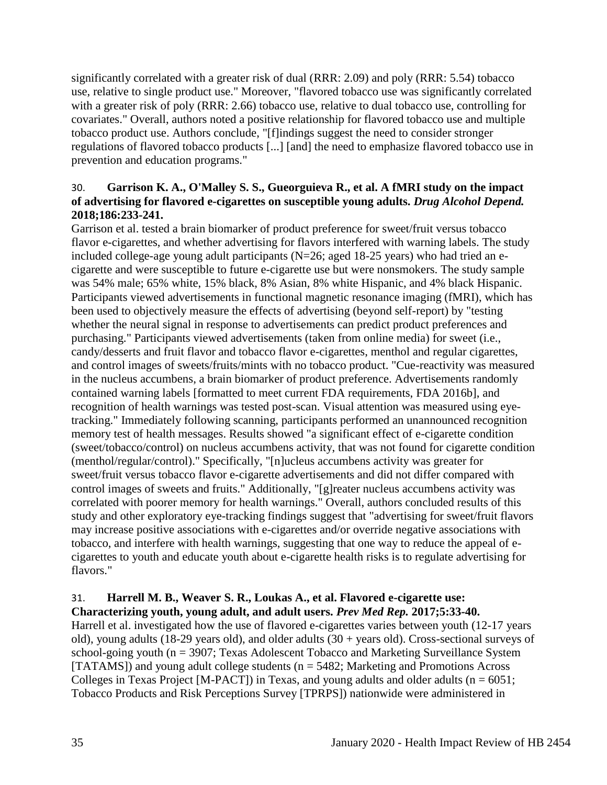significantly correlated with a greater risk of dual (RRR: 2.09) and poly (RRR: 5.54) tobacco use, relative to single product use." Moreover, "flavored tobacco use was significantly correlated with a greater risk of poly (RRR: 2.66) tobacco use, relative to dual tobacco use, controlling for covariates." Overall, authors noted a positive relationship for flavored tobacco use and multiple tobacco product use. Authors conclude, "[f]indings suggest the need to consider stronger regulations of flavored tobacco products [...] [and] the need to emphasize flavored tobacco use in prevention and education programs."

## 30. **Garrison K. A., O'Malley S. S., Gueorguieva R., et al. A fMRI study on the impact of advertising for flavored e-cigarettes on susceptible young adults.** *Drug Alcohol Depend.*  **2018;186:233-241.**

Garrison et al. tested a brain biomarker of product preference for sweet/fruit versus tobacco flavor e-cigarettes, and whether advertising for flavors interfered with warning labels. The study included college-age young adult participants (N=26; aged 18-25 years) who had tried an ecigarette and were susceptible to future e-cigarette use but were nonsmokers. The study sample was 54% male; 65% white, 15% black, 8% Asian, 8% white Hispanic, and 4% black Hispanic. Participants viewed advertisements in functional magnetic resonance imaging (fMRI), which has been used to objectively measure the effects of advertising (beyond self-report) by "testing whether the neural signal in response to advertisements can predict product preferences and purchasing." Participants viewed advertisements (taken from online media) for sweet (i.e., candy/desserts and fruit flavor and tobacco flavor e-cigarettes, menthol and regular cigarettes, and control images of sweets/fruits/mints with no tobacco product. "Cue-reactivity was measured in the nucleus accumbens, a brain biomarker of product preference. Advertisements randomly contained warning labels [formatted to meet current FDA requirements, FDA 2016b], and recognition of health warnings was tested post-scan. Visual attention was measured using eyetracking." Immediately following scanning, participants performed an unannounced recognition memory test of health messages. Results showed "a significant effect of e-cigarette condition (sweet/tobacco/control) on nucleus accumbens activity, that was not found for cigarette condition (menthol/regular/control)." Specifically, "[n]ucleus accumbens activity was greater for sweet/fruit versus tobacco flavor e-cigarette advertisements and did not differ compared with control images of sweets and fruits." Additionally, "[g]reater nucleus accumbens activity was correlated with poorer memory for health warnings." Overall, authors concluded results of this study and other exploratory eye-tracking findings suggest that "advertising for sweet/fruit flavors may increase positive associations with e-cigarettes and/or override negative associations with tobacco, and interfere with health warnings, suggesting that one way to reduce the appeal of ecigarettes to youth and educate youth about e-cigarette health risks is to regulate advertising for flavors."

## 31. **Harrell M. B., Weaver S. R., Loukas A., et al. Flavored e-cigarette use: Characterizing youth, young adult, and adult users.** *Prev Med Rep.* **2017;5:33-40.**

Harrell et al. investigated how the use of flavored e-cigarettes varies between youth (12-17 years old), young adults (18-29 years old), and older adults (30 + years old). Cross-sectional surveys of school-going youth (n = 3907; Texas Adolescent Tobacco and Marketing Surveillance System [TATAMS]) and young adult college students ( $n = 5482$ ; Marketing and Promotions Across Colleges in Texas Project [M-PACT]) in Texas, and young adults and older adults ( $n = 6051$ ; Tobacco Products and Risk Perceptions Survey [TPRPS]) nationwide were administered in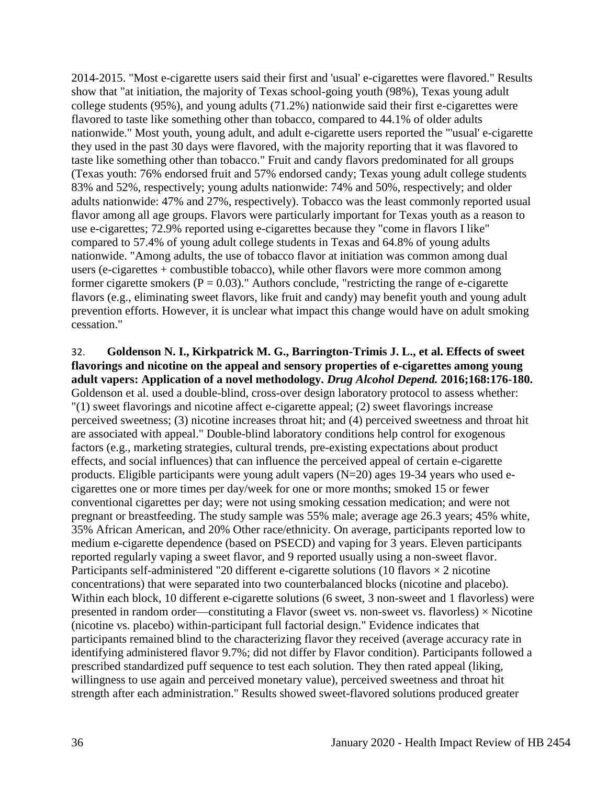2014-2015. "Most e-cigarette users said their first and 'usual' e-cigarettes were flavored." Results show that "at initiation, the majority of Texas school-going youth (98%), Texas young adult college students (95%), and young adults (71.2%) nationwide said their first e-cigarettes were flavored to taste like something other than tobacco, compared to 44.1% of older adults nationwide." Most youth, young adult, and adult e-cigarette users reported the "'usual' e-cigarette they used in the past 30 days were flavored, with the majority reporting that it was flavored to taste like something other than tobacco." Fruit and candy flavors predominated for all groups (Texas youth: 76% endorsed fruit and 57% endorsed candy; Texas young adult college students 83% and 52%, respectively; young adults nationwide: 74% and 50%, respectively; and older adults nationwide: 47% and 27%, respectively). Tobacco was the least commonly reported usual flavor among all age groups. Flavors were particularly important for Texas youth as a reason to use e-cigarettes; 72.9% reported using e-cigarettes because they "come in flavors I like" compared to 57.4% of young adult college students in Texas and 64.8% of young adults nationwide. "Among adults, the use of tobacco flavor at initiation was common among dual users (e-cigarettes + combustible tobacco), while other flavors were more common among former cigarette smokers ( $P = 0.03$ )." Authors conclude, "restricting the range of e-cigarette flavors (e.g., eliminating sweet flavors, like fruit and candy) may benefit youth and young adult prevention efforts. However, it is unclear what impact this change would have on adult smoking cessation."

# 32. **Goldenson N. I., Kirkpatrick M. G., Barrington-Trimis J. L., et al. Effects of sweet flavorings and nicotine on the appeal and sensory properties of e-cigarettes among young adult vapers: Application of a novel methodology.** *Drug Alcohol Depend.* **2016;168:176-180.** Goldenson et al. used a double-blind, cross-over design laboratory protocol to assess whether: "(1) sweet flavorings and nicotine affect e-cigarette appeal; (2) sweet flavorings increase perceived sweetness; (3) nicotine increases throat hit; and (4) perceived sweetness and throat hit are associated with appeal." Double-blind laboratory conditions help control for exogenous factors (e.g., marketing strategies, cultural trends, pre-existing expectations about product effects, and social influences) that can influence the perceived appeal of certain e-cigarette

products. Eligible participants were young adult vapers (N=20) ages 19-34 years who used ecigarettes one or more times per day/week for one or more months; smoked 15 or fewer conventional cigarettes per day; were not using smoking cessation medication; and were not pregnant or breastfeeding. The study sample was 55% male; average age 26.3 years; 45% white, 35% African American, and 20% Other race/ethnicity. On average, participants reported low to medium e-cigarette dependence (based on PSECD) and vaping for 3 years. Eleven participants reported regularly vaping a sweet flavor, and 9 reported usually using a non-sweet flavor. Participants self-administered "20 different e-cigarette solutions (10 flavors  $\times$  2 nicotine concentrations) that were separated into two counterbalanced blocks (nicotine and placebo). Within each block, 10 different e-cigarette solutions (6 sweet, 3 non-sweet and 1 flavorless) were presented in random order—constituting a Flavor (sweet vs. non-sweet vs. flavorless)  $\times$  Nicotine (nicotine vs. placebo) within-participant full factorial design." Evidence indicates that participants remained blind to the characterizing flavor they received (average accuracy rate in identifying administered flavor 9.7%; did not differ by Flavor condition). Participants followed a prescribed standardized puff sequence to test each solution. They then rated appeal (liking, willingness to use again and perceived monetary value), perceived sweetness and throat hit strength after each administration." Results showed sweet-flavored solutions produced greater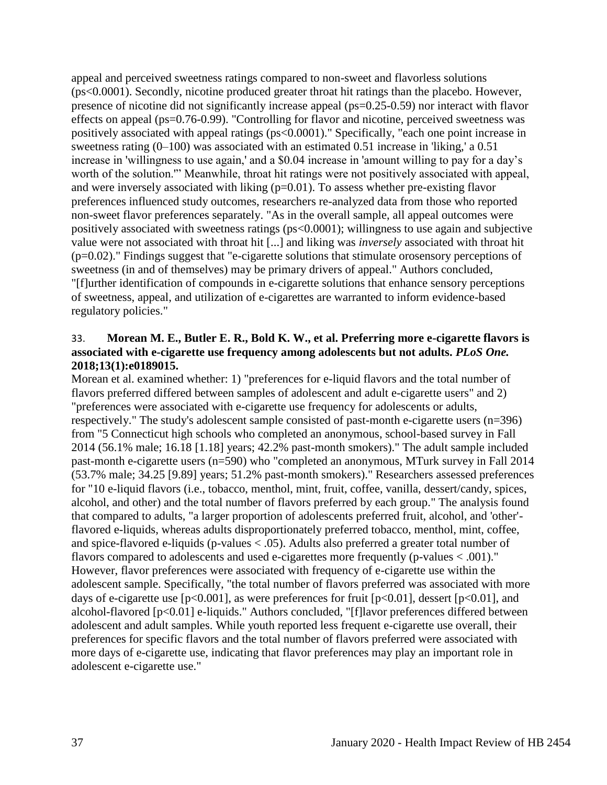appeal and perceived sweetness ratings compared to non-sweet and flavorless solutions (ps<0.0001). Secondly, nicotine produced greater throat hit ratings than the placebo. However, presence of nicotine did not significantly increase appeal (ps=0.25-0.59) nor interact with flavor effects on appeal (ps=0.76-0.99). "Controlling for flavor and nicotine, perceived sweetness was positively associated with appeal ratings (ps<0.0001)." Specifically, "each one point increase in sweetness rating (0–100) was associated with an estimated 0.51 increase in 'liking,' a 0.51 increase in 'willingness to use again,' and a \$0.04 increase in 'amount willing to pay for a day's worth of the solution.'" Meanwhile, throat hit ratings were not positively associated with appeal, and were inversely associated with liking (p=0.01). To assess whether pre-existing flavor preferences influenced study outcomes, researchers re-analyzed data from those who reported non-sweet flavor preferences separately. "As in the overall sample, all appeal outcomes were positively associated with sweetness ratings (ps<0.0001); willingness to use again and subjective value were not associated with throat hit [...] and liking was *inversely* associated with throat hit (p=0.02)." Findings suggest that "e-cigarette solutions that stimulate orosensory perceptions of sweetness (in and of themselves) may be primary drivers of appeal." Authors concluded, "[f]urther identification of compounds in e-cigarette solutions that enhance sensory perceptions of sweetness, appeal, and utilization of e-cigarettes are warranted to inform evidence-based regulatory policies."

### 33. **Morean M. E., Butler E. R., Bold K. W., et al. Preferring more e-cigarette flavors is associated with e-cigarette use frequency among adolescents but not adults.** *PLoS One.*  **2018;13(1):e0189015.**

Morean et al. examined whether: 1) "preferences for e-liquid flavors and the total number of flavors preferred differed between samples of adolescent and adult e-cigarette users" and 2) "preferences were associated with e-cigarette use frequency for adolescents or adults, respectively." The study's adolescent sample consisted of past-month e-cigarette users (n=396) from "5 Connecticut high schools who completed an anonymous, school-based survey in Fall 2014 (56.1% male; 16.18 [1.18] years; 42.2% past-month smokers)." The adult sample included past-month e-cigarette users (n=590) who "completed an anonymous, MTurk survey in Fall 2014 (53.7% male; 34.25 [9.89] years; 51.2% past-month smokers)." Researchers assessed preferences for "10 e-liquid flavors (i.e., tobacco, menthol, mint, fruit, coffee, vanilla, dessert/candy, spices, alcohol, and other) and the total number of flavors preferred by each group." The analysis found that compared to adults, "a larger proportion of adolescents preferred fruit, alcohol, and 'other' flavored e-liquids, whereas adults disproportionately preferred tobacco, menthol, mint, coffee, and spice-flavored e-liquids (p-values < .05). Adults also preferred a greater total number of flavors compared to adolescents and used e-cigarettes more frequently (p-values < .001)." However, flavor preferences were associated with frequency of e-cigarette use within the adolescent sample. Specifically, "the total number of flavors preferred was associated with more days of e-cigarette use  $[p<0.001]$ , as were preferences for fruit  $[p<0.01]$ , dessert  $[p<0.01]$ , and alcohol-flavored [p<0.01] e-liquids." Authors concluded, "[f]lavor preferences differed between adolescent and adult samples. While youth reported less frequent e-cigarette use overall, their preferences for specific flavors and the total number of flavors preferred were associated with more days of e-cigarette use, indicating that flavor preferences may play an important role in adolescent e-cigarette use."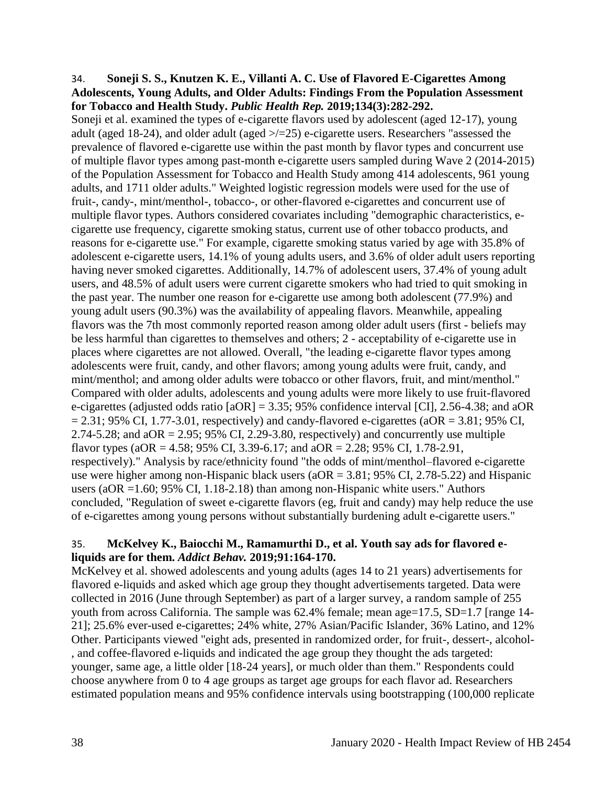#### 34. **Soneji S. S., Knutzen K. E., Villanti A. C. Use of Flavored E-Cigarettes Among Adolescents, Young Adults, and Older Adults: Findings From the Population Assessment for Tobacco and Health Study.** *Public Health Rep.* **2019;134(3):282-292.**

Soneji et al. examined the types of e-cigarette flavors used by adolescent (aged 12-17), young adult (aged 18-24), and older adult (aged >/=25) e-cigarette users. Researchers "assessed the prevalence of flavored e-cigarette use within the past month by flavor types and concurrent use of multiple flavor types among past-month e-cigarette users sampled during Wave 2 (2014-2015) of the Population Assessment for Tobacco and Health Study among 414 adolescents, 961 young adults, and 1711 older adults." Weighted logistic regression models were used for the use of fruit-, candy-, mint/menthol-, tobacco-, or other-flavored e-cigarettes and concurrent use of multiple flavor types. Authors considered covariates including "demographic characteristics, ecigarette use frequency, cigarette smoking status, current use of other tobacco products, and reasons for e-cigarette use." For example, cigarette smoking status varied by age with 35.8% of adolescent e-cigarette users, 14.1% of young adults users, and 3.6% of older adult users reporting having never smoked cigarettes. Additionally, 14.7% of adolescent users, 37.4% of young adult users, and 48.5% of adult users were current cigarette smokers who had tried to quit smoking in the past year. The number one reason for e-cigarette use among both adolescent (77.9%) and young adult users (90.3%) was the availability of appealing flavors. Meanwhile, appealing flavors was the 7th most commonly reported reason among older adult users (first - beliefs may be less harmful than cigarettes to themselves and others; 2 - acceptability of e-cigarette use in places where cigarettes are not allowed. Overall, "the leading e-cigarette flavor types among adolescents were fruit, candy, and other flavors; among young adults were fruit, candy, and mint/menthol; and among older adults were tobacco or other flavors, fruit, and mint/menthol." Compared with older adults, adolescents and young adults were more likely to use fruit-flavored e-cigarettes (adjusted odds ratio [aOR] = 3.35; 95% confidence interval [CI], 2.56-4.38; and aOR  $= 2.31$ ; 95% CI, 1.77-3.01, respectively) and candy-flavored e-cigarettes (aOR = 3.81; 95% CI, 2.74-5.28; and  $aOR = 2.95$ ; 95% CI, 2.29-3.80, respectively) and concurrently use multiple flavor types (aOR = 4.58; 95% CI, 3.39-6.17; and aOR = 2.28; 95% CI, 1.78-2.91, respectively)." Analysis by race/ethnicity found "the odds of mint/menthol–flavored e-cigarette use were higher among non-Hispanic black users ( $aOR = 3.81$ ; 95% CI, 2.78-5.22) and Hispanic users (aOR =1.60; 95% CI, 1.18-2.18) than among non-Hispanic white users." Authors concluded, "Regulation of sweet e-cigarette flavors (eg, fruit and candy) may help reduce the use of e-cigarettes among young persons without substantially burdening adult e-cigarette users."

## 35. **McKelvey K., Baiocchi M., Ramamurthi D., et al. Youth say ads for flavored eliquids are for them.** *Addict Behav.* **2019;91:164-170.**

McKelvey et al. showed adolescents and young adults (ages 14 to 21 years) advertisements for flavored e-liquids and asked which age group they thought advertisements targeted. Data were collected in 2016 (June through September) as part of a larger survey, a random sample of 255 youth from across California. The sample was 62.4% female; mean age=17.5, SD=1.7 [range 14-21]; 25.6% ever-used e-cigarettes; 24% white, 27% Asian/Pacific Islander, 36% Latino, and 12% Other. Participants viewed "eight ads, presented in randomized order, for fruit-, dessert-, alcohol- , and coffee-flavored e-liquids and indicated the age group they thought the ads targeted: younger, same age, a little older [18-24 years], or much older than them." Respondents could choose anywhere from 0 to 4 age groups as target age groups for each flavor ad. Researchers estimated population means and 95% confidence intervals using bootstrapping (100,000 replicate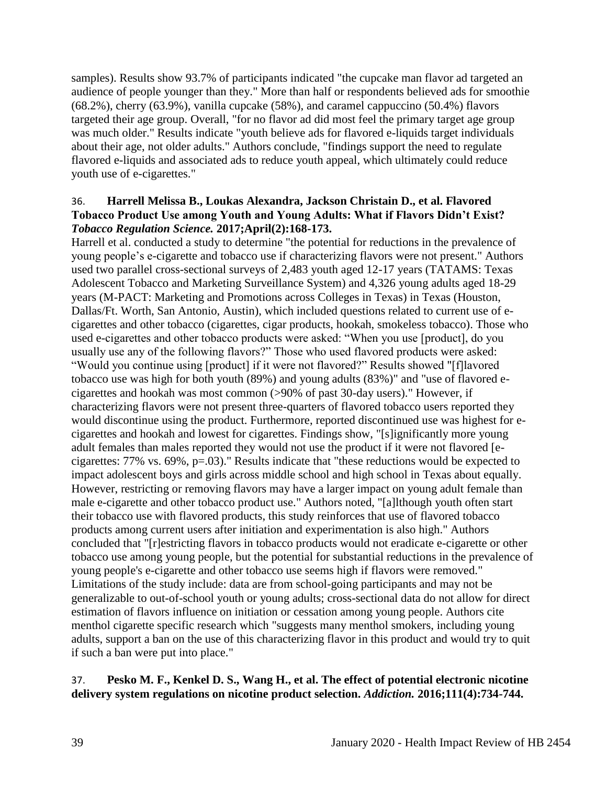samples). Results show 93.7% of participants indicated "the cupcake man flavor ad targeted an audience of people younger than they." More than half or respondents believed ads for smoothie (68.2%), cherry (63.9%), vanilla cupcake (58%), and caramel cappuccino (50.4%) flavors targeted their age group. Overall, "for no flavor ad did most feel the primary target age group was much older." Results indicate "youth believe ads for flavored e-liquids target individuals about their age, not older adults." Authors conclude, "findings support the need to regulate flavored e-liquids and associated ads to reduce youth appeal, which ultimately could reduce youth use of e-cigarettes."

### 36. **Harrell Melissa B., Loukas Alexandra, Jackson Christain D., et al. Flavored Tobacco Product Use among Youth and Young Adults: What if Flavors Didn't Exist?**  *Tobacco Regulation Science.* **2017;April(2):168-173.**

Harrell et al. conducted a study to determine "the potential for reductions in the prevalence of young people's e-cigarette and tobacco use if characterizing flavors were not present." Authors used two parallel cross-sectional surveys of 2,483 youth aged 12-17 years (TATAMS: Texas Adolescent Tobacco and Marketing Surveillance System) and 4,326 young adults aged 18-29 years (M-PACT: Marketing and Promotions across Colleges in Texas) in Texas (Houston, Dallas/Ft. Worth, San Antonio, Austin), which included questions related to current use of ecigarettes and other tobacco (cigarettes, cigar products, hookah, smokeless tobacco). Those who used e-cigarettes and other tobacco products were asked: "When you use [product], do you usually use any of the following flavors?" Those who used flavored products were asked: "Would you continue using [product] if it were not flavored?" Results showed "[f]lavored tobacco use was high for both youth (89%) and young adults (83%)" and "use of flavored ecigarettes and hookah was most common (>90% of past 30-day users)." However, if characterizing flavors were not present three-quarters of flavored tobacco users reported they would discontinue using the product. Furthermore, reported discontinued use was highest for ecigarettes and hookah and lowest for cigarettes. Findings show, "[s]ignificantly more young adult females than males reported they would not use the product if it were not flavored [ecigarettes: 77% vs. 69%, p=.03)." Results indicate that "these reductions would be expected to impact adolescent boys and girls across middle school and high school in Texas about equally. However, restricting or removing flavors may have a larger impact on young adult female than male e-cigarette and other tobacco product use." Authors noted, "[a]lthough youth often start their tobacco use with flavored products, this study reinforces that use of flavored tobacco products among current users after initiation and experimentation is also high." Authors concluded that "[r]estricting flavors in tobacco products would not eradicate e-cigarette or other tobacco use among young people, but the potential for substantial reductions in the prevalence of young people's e-cigarette and other tobacco use seems high if flavors were removed." Limitations of the study include: data are from school-going participants and may not be generalizable to out-of-school youth or young adults; cross-sectional data do not allow for direct estimation of flavors influence on initiation or cessation among young people. Authors cite menthol cigarette specific research which "suggests many menthol smokers, including young adults, support a ban on the use of this characterizing flavor in this product and would try to quit if such a ban were put into place."

## 37. **Pesko M. F., Kenkel D. S., Wang H., et al. The effect of potential electronic nicotine delivery system regulations on nicotine product selection.** *Addiction.* **2016;111(4):734-744.**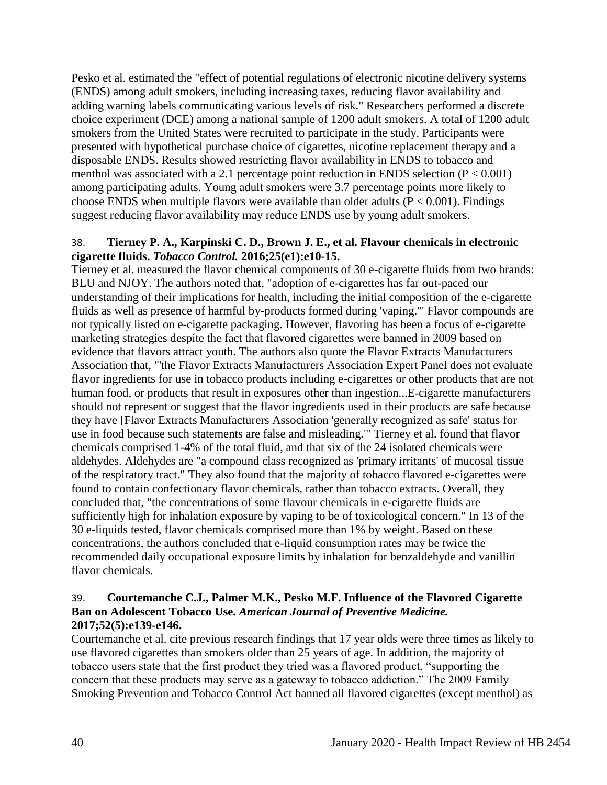Pesko et al. estimated the "effect of potential regulations of electronic nicotine delivery systems (ENDS) among adult smokers, including increasing taxes, reducing flavor availability and adding warning labels communicating various levels of risk." Researchers performed a discrete choice experiment (DCE) among a national sample of 1200 adult smokers. A total of 1200 adult smokers from the United States were recruited to participate in the study. Participants were presented with hypothetical purchase choice of cigarettes, nicotine replacement therapy and a disposable ENDS. Results showed restricting flavor availability in ENDS to tobacco and menthol was associated with a 2.1 percentage point reduction in ENDS selection  $(P < 0.001)$ among participating adults. Young adult smokers were 3.7 percentage points more likely to choose ENDS when multiple flavors were available than older adults ( $P < 0.001$ ). Findings suggest reducing flavor availability may reduce ENDS use by young adult smokers.

## 38. **Tierney P. A., Karpinski C. D., Brown J. E., et al. Flavour chemicals in electronic cigarette fluids.** *Tobacco Control.* **2016;25(e1):e10-15.**

Tierney et al. measured the flavor chemical components of 30 e-cigarette fluids from two brands: BLU and NJOY. The authors noted that, "adoption of e-cigarettes has far out-paced our understanding of their implications for health, including the initial composition of the e-cigarette fluids as well as presence of harmful by-products formed during 'vaping.'" Flavor compounds are not typically listed on e-cigarette packaging. However, flavoring has been a focus of e-cigarette marketing strategies despite the fact that flavored cigarettes were banned in 2009 based on evidence that flavors attract youth. The authors also quote the Flavor Extracts Manufacturers Association that, "'the Flavor Extracts Manufacturers Association Expert Panel does not evaluate flavor ingredients for use in tobacco products including e-cigarettes or other products that are not human food, or products that result in exposures other than ingestion...E-cigarette manufacturers should not represent or suggest that the flavor ingredients used in their products are safe because they have [Flavor Extracts Manufacturers Association 'generally recognized as safe' status for use in food because such statements are false and misleading.'" Tierney et al. found that flavor chemicals comprised 1-4% of the total fluid, and that six of the 24 isolated chemicals were aldehydes. Aldehydes are "a compound class recognized as 'primary irritants' of mucosal tissue of the respiratory tract." They also found that the majority of tobacco flavored e-cigarettes were found to contain confectionary flavor chemicals, rather than tobacco extracts. Overall, they concluded that, "the concentrations of some flavour chemicals in e-cigarette fluids are sufficiently high for inhalation exposure by vaping to be of toxicological concern." In 13 of the 30 e-liquids tested, flavor chemicals comprised more than 1% by weight. Based on these concentrations, the authors concluded that e-liquid consumption rates may be twice the recommended daily occupational exposure limits by inhalation for benzaldehyde and vanillin flavor chemicals.

## 39. **Courtemanche C.J., Palmer M.K., Pesko M.F. Influence of the Flavored Cigarette Ban on Adolescent Tobacco Use.** *American Journal of Preventive Medicine.*  **2017;52(5):e139-e146.**

Courtemanche et al. cite previous research findings that 17 year olds were three times as likely to use flavored cigarettes than smokers older than 25 years of age. In addition, the majority of tobacco users state that the first product they tried was a flavored product, "supporting the concern that these products may serve as a gateway to tobacco addiction." The 2009 Family Smoking Prevention and Tobacco Control Act banned all flavored cigarettes (except menthol) as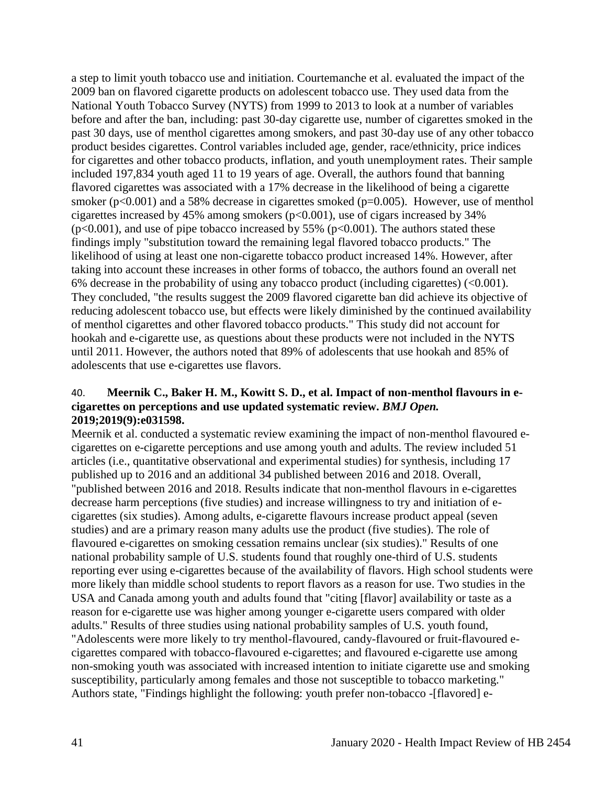a step to limit youth tobacco use and initiation. Courtemanche et al. evaluated the impact of the 2009 ban on flavored cigarette products on adolescent tobacco use. They used data from the National Youth Tobacco Survey (NYTS) from 1999 to 2013 to look at a number of variables before and after the ban, including: past 30-day cigarette use, number of cigarettes smoked in the past 30 days, use of menthol cigarettes among smokers, and past 30-day use of any other tobacco product besides cigarettes. Control variables included age, gender, race/ethnicity, price indices for cigarettes and other tobacco products, inflation, and youth unemployment rates. Their sample included 197,834 youth aged 11 to 19 years of age. Overall, the authors found that banning flavored cigarettes was associated with a 17% decrease in the likelihood of being a cigarette smoker (p<0.001) and a 58% decrease in cigarettes smoked (p=0.005). However, use of menthol cigarettes increased by 45% among smokers (p<0.001), use of cigars increased by 34%  $(p<0.001)$ , and use of pipe tobacco increased by 55% ( $p<0.001$ ). The authors stated these findings imply "substitution toward the remaining legal flavored tobacco products." The likelihood of using at least one non-cigarette tobacco product increased 14%. However, after taking into account these increases in other forms of tobacco, the authors found an overall net 6% decrease in the probability of using any tobacco product (including cigarettes) (<0.001). They concluded, "the results suggest the 2009 flavored cigarette ban did achieve its objective of reducing adolescent tobacco use, but effects were likely diminished by the continued availability of menthol cigarettes and other flavored tobacco products." This study did not account for hookah and e-cigarette use, as questions about these products were not included in the NYTS until 2011. However, the authors noted that 89% of adolescents that use hookah and 85% of adolescents that use e-cigarettes use flavors.

#### 40. **Meernik C., Baker H. M., Kowitt S. D., et al. Impact of non-menthol flavours in ecigarettes on perceptions and use updated systematic review.** *BMJ Open.*  **2019;2019(9):e031598.**

Meernik et al. conducted a systematic review examining the impact of non-menthol flavoured ecigarettes on e-cigarette perceptions and use among youth and adults. The review included 51 articles (i.e., quantitative observational and experimental studies) for synthesis, including 17 published up to 2016 and an additional 34 published between 2016 and 2018. Overall, "published between 2016 and 2018. Results indicate that non-menthol flavours in e-cigarettes decrease harm perceptions (five studies) and increase willingness to try and initiation of ecigarettes (six studies). Among adults, e-cigarette flavours increase product appeal (seven studies) and are a primary reason many adults use the product (five studies). The role of flavoured e-cigarettes on smoking cessation remains unclear (six studies)." Results of one national probability sample of U.S. students found that roughly one-third of U.S. students reporting ever using e-cigarettes because of the availability of flavors. High school students were more likely than middle school students to report flavors as a reason for use. Two studies in the USA and Canada among youth and adults found that "citing [flavor] availability or taste as a reason for e-cigarette use was higher among younger e-cigarette users compared with older adults." Results of three studies using national probability samples of U.S. youth found, "Adolescents were more likely to try menthol-flavoured, candy-flavoured or fruit-flavoured ecigarettes compared with tobacco-flavoured e-cigarettes; and flavoured e-cigarette use among non-smoking youth was associated with increased intention to initiate cigarette use and smoking susceptibility, particularly among females and those not susceptible to tobacco marketing." Authors state, "Findings highlight the following: youth prefer non-tobacco -[flavored] e-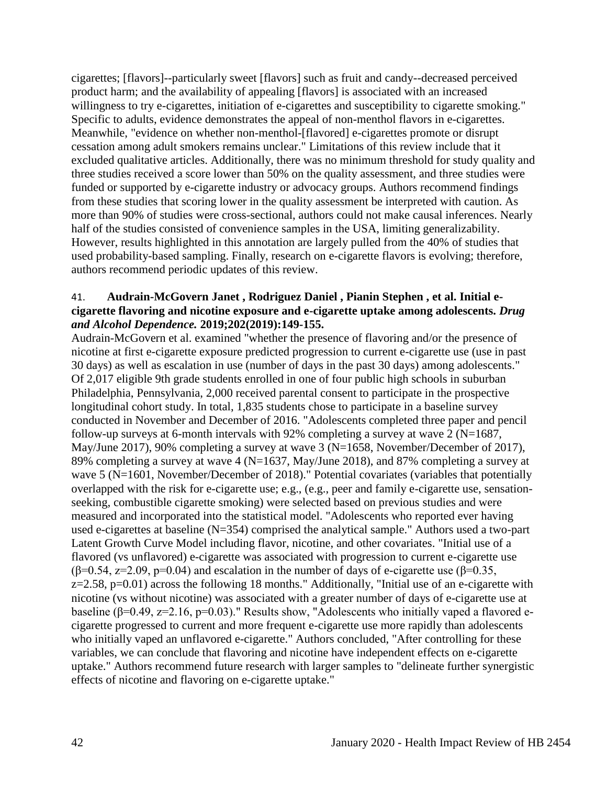cigarettes; [flavors]--particularly sweet [flavors] such as fruit and candy--decreased perceived product harm; and the availability of appealing [flavors] is associated with an increased willingness to try e-cigarettes, initiation of e-cigarettes and susceptibility to cigarette smoking." Specific to adults, evidence demonstrates the appeal of non-menthol flavors in e-cigarettes. Meanwhile, "evidence on whether non-menthol-[flavored] e-cigarettes promote or disrupt cessation among adult smokers remains unclear." Limitations of this review include that it excluded qualitative articles. Additionally, there was no minimum threshold for study quality and three studies received a score lower than 50% on the quality assessment, and three studies were funded or supported by e-cigarette industry or advocacy groups. Authors recommend findings from these studies that scoring lower in the quality assessment be interpreted with caution. As more than 90% of studies were cross-sectional, authors could not make causal inferences. Nearly half of the studies consisted of convenience samples in the USA, limiting generalizability. However, results highlighted in this annotation are largely pulled from the 40% of studies that used probability-based sampling. Finally, research on e-cigarette flavors is evolving; therefore, authors recommend periodic updates of this review.

#### 41. **Audrain-McGovern Janet , Rodriguez Daniel , Pianin Stephen , et al. Initial ecigarette flavoring and nicotine exposure and e-cigarette uptake among adolescents.** *Drug and Alcohol Dependence.* **2019;202(2019):149-155.**

Audrain-McGovern et al. examined "whether the presence of flavoring and/or the presence of nicotine at first e-cigarette exposure predicted progression to current e-cigarette use (use in past 30 days) as well as escalation in use (number of days in the past 30 days) among adolescents." Of 2,017 eligible 9th grade students enrolled in one of four public high schools in suburban Philadelphia, Pennsylvania, 2,000 received parental consent to participate in the prospective longitudinal cohort study. In total, 1,835 students chose to participate in a baseline survey conducted in November and December of 2016. "Adolescents completed three paper and pencil follow-up surveys at 6-month intervals with 92% completing a survey at wave 2 ( $N=1687$ , May/June 2017), 90% completing a survey at wave 3 (N=1658, November/December of 2017), 89% completing a survey at wave 4 (N=1637, May/June 2018), and 87% completing a survey at wave 5 (N=1601, November/December of 2018)." Potential covariates (variables that potentially overlapped with the risk for e-cigarette use; e.g., (e.g., peer and family e-cigarette use, sensationseeking, combustible cigarette smoking) were selected based on previous studies and were measured and incorporated into the statistical model. "Adolescents who reported ever having used e-cigarettes at baseline (N=354) comprised the analytical sample." Authors used a two-part Latent Growth Curve Model including flavor, nicotine, and other covariates. "Initial use of a flavored (vs unflavored) e-cigarette was associated with progression to current e-cigarette use ( $\beta$ =0.54, z=2.09, p=0.04) and escalation in the number of days of e-cigarette use ( $\beta$ =0.35,  $z=2.58$ ,  $p=0.01$ ) across the following 18 months." Additionally, "Initial use of an e-cigarette with nicotine (vs without nicotine) was associated with a greater number of days of e-cigarette use at baseline ( $\beta$ =0.49, z=2.16, p=0.03)." Results show, "Adolescents who initially vaped a flavored ecigarette progressed to current and more frequent e-cigarette use more rapidly than adolescents who initially vaped an unflavored e-cigarette." Authors concluded, "After controlling for these variables, we can conclude that flavoring and nicotine have independent effects on e-cigarette uptake." Authors recommend future research with larger samples to "delineate further synergistic effects of nicotine and flavoring on e-cigarette uptake."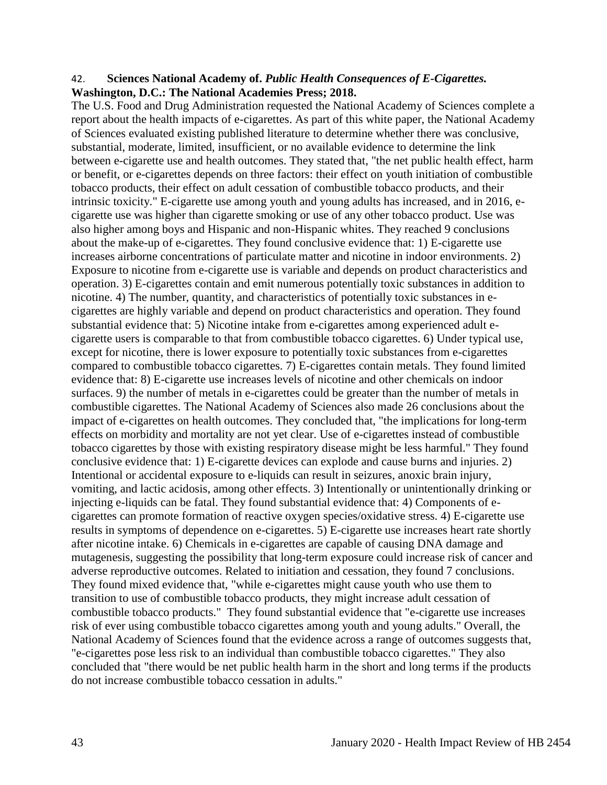#### 42. **Sciences National Academy of.** *Public Health Consequences of E-Cigarettes.* **Washington, D.C.: The National Academies Press; 2018.**

The U.S. Food and Drug Administration requested the National Academy of Sciences complete a report about the health impacts of e-cigarettes. As part of this white paper, the National Academy of Sciences evaluated existing published literature to determine whether there was conclusive, substantial, moderate, limited, insufficient, or no available evidence to determine the link between e-cigarette use and health outcomes. They stated that, "the net public health effect, harm or benefit, or e-cigarettes depends on three factors: their effect on youth initiation of combustible tobacco products, their effect on adult cessation of combustible tobacco products, and their intrinsic toxicity." E-cigarette use among youth and young adults has increased, and in 2016, ecigarette use was higher than cigarette smoking or use of any other tobacco product. Use was also higher among boys and Hispanic and non-Hispanic whites. They reached 9 conclusions about the make-up of e-cigarettes. They found conclusive evidence that: 1) E-cigarette use increases airborne concentrations of particulate matter and nicotine in indoor environments. 2) Exposure to nicotine from e-cigarette use is variable and depends on product characteristics and operation. 3) E-cigarettes contain and emit numerous potentially toxic substances in addition to nicotine. 4) The number, quantity, and characteristics of potentially toxic substances in ecigarettes are highly variable and depend on product characteristics and operation. They found substantial evidence that: 5) Nicotine intake from e-cigarettes among experienced adult ecigarette users is comparable to that from combustible tobacco cigarettes. 6) Under typical use, except for nicotine, there is lower exposure to potentially toxic substances from e-cigarettes compared to combustible tobacco cigarettes. 7) E-cigarettes contain metals. They found limited evidence that: 8) E-cigarette use increases levels of nicotine and other chemicals on indoor surfaces. 9) the number of metals in e-cigarettes could be greater than the number of metals in combustible cigarettes. The National Academy of Sciences also made 26 conclusions about the impact of e-cigarettes on health outcomes. They concluded that, "the implications for long-term effects on morbidity and mortality are not yet clear. Use of e-cigarettes instead of combustible tobacco cigarettes by those with existing respiratory disease might be less harmful." They found conclusive evidence that: 1) E-cigarette devices can explode and cause burns and injuries. 2) Intentional or accidental exposure to e-liquids can result in seizures, anoxic brain injury, vomiting, and lactic acidosis, among other effects. 3) Intentionally or unintentionally drinking or injecting e-liquids can be fatal. They found substantial evidence that: 4) Components of ecigarettes can promote formation of reactive oxygen species/oxidative stress. 4) E-cigarette use results in symptoms of dependence on e-cigarettes. 5) E-cigarette use increases heart rate shortly after nicotine intake. 6) Chemicals in e-cigarettes are capable of causing DNA damage and mutagenesis, suggesting the possibility that long-term exposure could increase risk of cancer and adverse reproductive outcomes. Related to initiation and cessation, they found 7 conclusions. They found mixed evidence that, "while e-cigarettes might cause youth who use them to transition to use of combustible tobacco products, they might increase adult cessation of combustible tobacco products." They found substantial evidence that "e-cigarette use increases risk of ever using combustible tobacco cigarettes among youth and young adults." Overall, the National Academy of Sciences found that the evidence across a range of outcomes suggests that, "e-cigarettes pose less risk to an individual than combustible tobacco cigarettes." They also concluded that "there would be net public health harm in the short and long terms if the products do not increase combustible tobacco cessation in adults."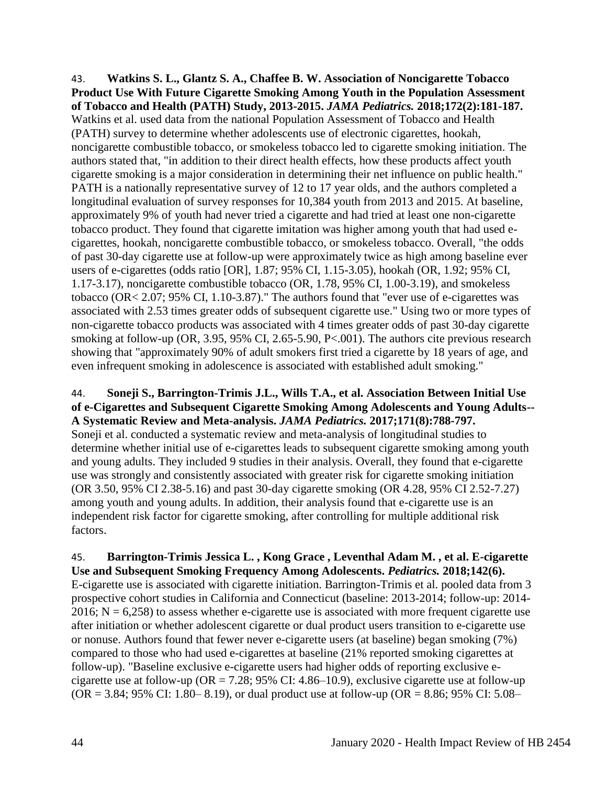43. **Watkins S. L., Glantz S. A., Chaffee B. W. Association of Noncigarette Tobacco Product Use With Future Cigarette Smoking Among Youth in the Population Assessment of Tobacco and Health (PATH) Study, 2013-2015.** *JAMA Pediatrics.* **2018;172(2):181-187.** Watkins et al. used data from the national Population Assessment of Tobacco and Health (PATH) survey to determine whether adolescents use of electronic cigarettes, hookah, noncigarette combustible tobacco, or smokeless tobacco led to cigarette smoking initiation. The authors stated that, "in addition to their direct health effects, how these products affect youth cigarette smoking is a major consideration in determining their net influence on public health." PATH is a nationally representative survey of 12 to 17 year olds, and the authors completed a longitudinal evaluation of survey responses for 10,384 youth from 2013 and 2015. At baseline, approximately 9% of youth had never tried a cigarette and had tried at least one non-cigarette tobacco product. They found that cigarette imitation was higher among youth that had used ecigarettes, hookah, noncigarette combustible tobacco, or smokeless tobacco. Overall, "the odds of past 30-day cigarette use at follow-up were approximately twice as high among baseline ever users of e-cigarettes (odds ratio [OR], 1.87; 95% CI, 1.15-3.05), hookah (OR, 1.92; 95% CI, 1.17-3.17), noncigarette combustible tobacco (OR, 1.78, 95% CI, 1.00-3.19), and smokeless tobacco (OR< 2.07; 95% CI, 1.10-3.87)." The authors found that "ever use of e-cigarettes was associated with 2.53 times greater odds of subsequent cigarette use." Using two or more types of non-cigarette tobacco products was associated with 4 times greater odds of past 30-day cigarette smoking at follow-up (OR, 3.95, 95% CI, 2.65-5.90, P<.001). The authors cite previous research showing that "approximately 90% of adult smokers first tried a cigarette by 18 years of age, and even infrequent smoking in adolescence is associated with established adult smoking."

## 44. **Soneji S., Barrington-Trimis J.L., Wills T.A., et al. Association Between Initial Use of e-Cigarettes and Subsequent Cigarette Smoking Among Adolescents and Young Adults-- A Systematic Review and Meta-analysis.** *JAMA Pediatrics.* **2017;171(8):788-797.**

Soneji et al. conducted a systematic review and meta-analysis of longitudinal studies to determine whether initial use of e-cigarettes leads to subsequent cigarette smoking among youth and young adults. They included 9 studies in their analysis. Overall, they found that e-cigarette use was strongly and consistently associated with greater risk for cigarette smoking initiation (OR 3.50, 95% CI 2.38-5.16) and past 30-day cigarette smoking (OR 4.28, 95% CI 2.52-7.27) among youth and young adults. In addition, their analysis found that e-cigarette use is an independent risk factor for cigarette smoking, after controlling for multiple additional risk factors.

### 45. **Barrington-Trimis Jessica L. , Kong Grace , Leventhal Adam M. , et al. E-cigarette Use and Subsequent Smoking Frequency Among Adolescents.** *Pediatrics.* **2018;142(6).**

E-cigarette use is associated with cigarette initiation. Barrington-Trimis et al. pooled data from 3 prospective cohort studies in California and Connecticut (baseline: 2013-2014; follow-up: 2014- 2016;  $N = 6,258$ ) to assess whether e-cigarette use is associated with more frequent cigarette use after initiation or whether adolescent cigarette or dual product users transition to e-cigarette use or nonuse. Authors found that fewer never e-cigarette users (at baseline) began smoking (7%) compared to those who had used e-cigarettes at baseline (21% reported smoking cigarettes at follow-up). "Baseline exclusive e-cigarette users had higher odds of reporting exclusive ecigarette use at follow-up ( $OR = 7.28$ ; 95% CI: 4.86–10.9), exclusive cigarette use at follow-up  $(OR = 3.84; 95\% \text{ CI: } 1.80 - 8.19)$ , or dual product use at follow-up  $(OR = 8.86; 95\% \text{ CI: } 5.08 - 1.08)$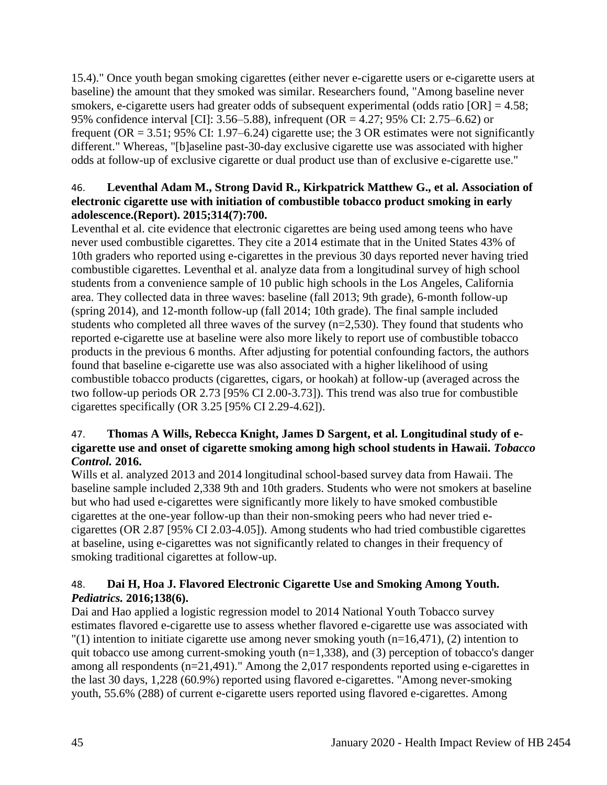15.4)." Once youth began smoking cigarettes (either never e-cigarette users or e-cigarette users at baseline) the amount that they smoked was similar. Researchers found, "Among baseline never smokers, e-cigarette users had greater odds of subsequent experimental (odds ratio  $[OR] = 4.58$ ; 95% confidence interval [CI]: 3.56–5.88), infrequent (OR = 4.27; 95% CI: 2.75–6.62) or frequent (OR = 3.51; 95% CI: 1.97–6.24) cigarette use; the 3 OR estimates were not significantly different." Whereas, "[b]aseline past-30-day exclusive cigarette use was associated with higher odds at follow-up of exclusive cigarette or dual product use than of exclusive e-cigarette use."

## 46. **Leventhal Adam M., Strong David R., Kirkpatrick Matthew G., et al. Association of electronic cigarette use with initiation of combustible tobacco product smoking in early adolescence.(Report). 2015;314(7):700.**

Leventhal et al. cite evidence that electronic cigarettes are being used among teens who have never used combustible cigarettes. They cite a 2014 estimate that in the United States 43% of 10th graders who reported using e-cigarettes in the previous 30 days reported never having tried combustible cigarettes. Leventhal et al. analyze data from a longitudinal survey of high school students from a convenience sample of 10 public high schools in the Los Angeles, California area. They collected data in three waves: baseline (fall 2013; 9th grade), 6-month follow-up (spring 2014), and 12-month follow-up (fall 2014; 10th grade). The final sample included students who completed all three waves of the survey (n=2,530). They found that students who reported e-cigarette use at baseline were also more likely to report use of combustible tobacco products in the previous 6 months. After adjusting for potential confounding factors, the authors found that baseline e-cigarette use was also associated with a higher likelihood of using combustible tobacco products (cigarettes, cigars, or hookah) at follow-up (averaged across the two follow-up periods OR 2.73 [95% CI 2.00-3.73]). This trend was also true for combustible cigarettes specifically (OR 3.25 [95% CI 2.29-4.62]).

## 47. **Thomas A Wills, Rebecca Knight, James D Sargent, et al. Longitudinal study of ecigarette use and onset of cigarette smoking among high school students in Hawaii.** *Tobacco Control.* **2016.**

Wills et al. analyzed 2013 and 2014 longitudinal school-based survey data from Hawaii. The baseline sample included 2,338 9th and 10th graders. Students who were not smokers at baseline but who had used e-cigarettes were significantly more likely to have smoked combustible cigarettes at the one-year follow-up than their non-smoking peers who had never tried ecigarettes (OR 2.87 [95% CI 2.03-4.05]). Among students who had tried combustible cigarettes at baseline, using e-cigarettes was not significantly related to changes in their frequency of smoking traditional cigarettes at follow-up.

## 48. **Dai H, Hoa J. Flavored Electronic Cigarette Use and Smoking Among Youth.**  *Pediatrics.* **2016;138(6).**

Dai and Hao applied a logistic regression model to 2014 National Youth Tobacco survey estimates flavored e-cigarette use to assess whether flavored e-cigarette use was associated with  $''(1)$  intention to initiate cigarette use among never smoking youth (n=16,471), (2) intention to quit tobacco use among current-smoking youth (n=1,338), and (3) perception of tobacco's danger among all respondents (n=21,491)." Among the 2,017 respondents reported using e-cigarettes in

the last 30 days, 1,228 (60.9%) reported using flavored e-cigarettes. "Among never-smoking youth, 55.6% (288) of current e-cigarette users reported using flavored e-cigarettes. Among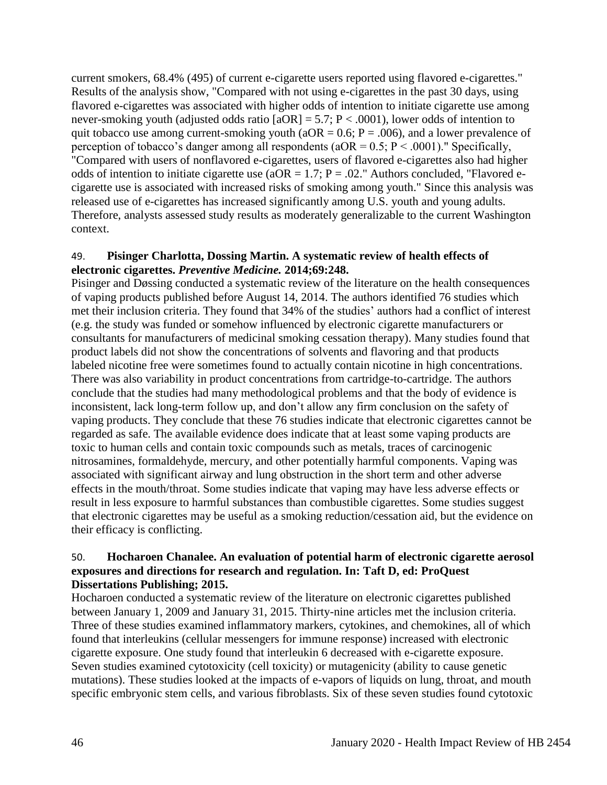current smokers, 68.4% (495) of current e-cigarette users reported using flavored e-cigarettes." Results of the analysis show, "Compared with not using e-cigarettes in the past 30 days, using flavored e-cigarettes was associated with higher odds of intention to initiate cigarette use among never-smoking youth (adjusted odds ratio  $[aOR] = 5.7$ ;  $P < .0001$ ), lower odds of intention to quit tobacco use among current-smoking youth ( $aOR = 0.6$ ;  $P = .006$ ), and a lower prevalence of perception of tobacco's danger among all respondents ( $aOR = 0.5$ ;  $P < .0001$ )." Specifically, "Compared with users of nonflavored e-cigarettes, users of flavored e-cigarettes also had higher odds of intention to initiate cigarette use ( $aOR = 1.7$ ;  $P = .02$ ." Authors concluded, "Flavored ecigarette use is associated with increased risks of smoking among youth." Since this analysis was released use of e-cigarettes has increased significantly among U.S. youth and young adults. Therefore, analysts assessed study results as moderately generalizable to the current Washington context.

#### 49. **Pisinger Charlotta, Dossing Martin. A systematic review of health effects of electronic cigarettes.** *Preventive Medicine.* **2014;69:248.**

Pisinger and Døssing conducted a systematic review of the literature on the health consequences of vaping products published before August 14, 2014. The authors identified 76 studies which met their inclusion criteria. They found that 34% of the studies' authors had a conflict of interest (e.g. the study was funded or somehow influenced by electronic cigarette manufacturers or consultants for manufacturers of medicinal smoking cessation therapy). Many studies found that product labels did not show the concentrations of solvents and flavoring and that products labeled nicotine free were sometimes found to actually contain nicotine in high concentrations. There was also variability in product concentrations from cartridge-to-cartridge. The authors conclude that the studies had many methodological problems and that the body of evidence is inconsistent, lack long-term follow up, and don't allow any firm conclusion on the safety of vaping products. They conclude that these 76 studies indicate that electronic cigarettes cannot be regarded as safe. The available evidence does indicate that at least some vaping products are toxic to human cells and contain toxic compounds such as metals, traces of carcinogenic nitrosamines, formaldehyde, mercury, and other potentially harmful components. Vaping was associated with significant airway and lung obstruction in the short term and other adverse effects in the mouth/throat. Some studies indicate that vaping may have less adverse effects or result in less exposure to harmful substances than combustible cigarettes. Some studies suggest that electronic cigarettes may be useful as a smoking reduction/cessation aid, but the evidence on their efficacy is conflicting.

#### 50. **Hocharoen Chanalee. An evaluation of potential harm of electronic cigarette aerosol exposures and directions for research and regulation. In: Taft D, ed: ProQuest Dissertations Publishing; 2015.**

Hocharoen conducted a systematic review of the literature on electronic cigarettes published between January 1, 2009 and January 31, 2015. Thirty-nine articles met the inclusion criteria. Three of these studies examined inflammatory markers, cytokines, and chemokines, all of which found that interleukins (cellular messengers for immune response) increased with electronic cigarette exposure. One study found that interleukin 6 decreased with e-cigarette exposure. Seven studies examined cytotoxicity (cell toxicity) or mutagenicity (ability to cause genetic mutations). These studies looked at the impacts of e-vapors of liquids on lung, throat, and mouth specific embryonic stem cells, and various fibroblasts. Six of these seven studies found cytotoxic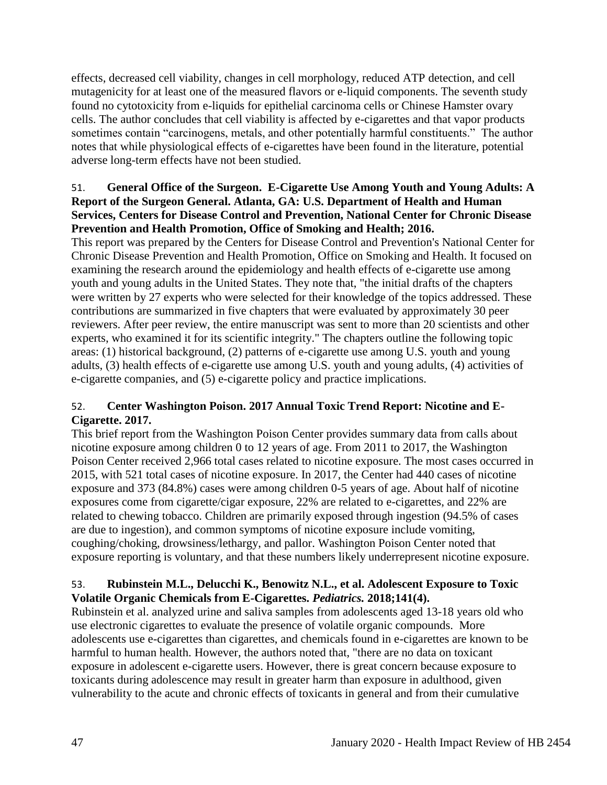effects, decreased cell viability, changes in cell morphology, reduced ATP detection, and cell mutagenicity for at least one of the measured flavors or e-liquid components. The seventh study found no cytotoxicity from e-liquids for epithelial carcinoma cells or Chinese Hamster ovary cells. The author concludes that cell viability is affected by e-cigarettes and that vapor products sometimes contain "carcinogens, metals, and other potentially harmful constituents." The author notes that while physiological effects of e-cigarettes have been found in the literature, potential adverse long-term effects have not been studied.

## 51. **General Office of the Surgeon. E-Cigarette Use Among Youth and Young Adults: A Report of the Surgeon General. Atlanta, GA: U.S. Department of Health and Human Services, Centers for Disease Control and Prevention, National Center for Chronic Disease Prevention and Health Promotion, Office of Smoking and Health; 2016.**

This report was prepared by the Centers for Disease Control and Prevention's National Center for Chronic Disease Prevention and Health Promotion, Office on Smoking and Health. It focused on examining the research around the epidemiology and health effects of e-cigarette use among youth and young adults in the United States. They note that, "the initial drafts of the chapters were written by 27 experts who were selected for their knowledge of the topics addressed. These contributions are summarized in five chapters that were evaluated by approximately 30 peer reviewers. After peer review, the entire manuscript was sent to more than 20 scientists and other experts, who examined it for its scientific integrity." The chapters outline the following topic areas: (1) historical background, (2) patterns of e-cigarette use among U.S. youth and young adults, (3) health effects of e-cigarette use among U.S. youth and young adults, (4) activities of e-cigarette companies, and (5) e-cigarette policy and practice implications.

## 52. **Center Washington Poison. 2017 Annual Toxic Trend Report: Nicotine and E-Cigarette. 2017.**

This brief report from the Washington Poison Center provides summary data from calls about nicotine exposure among children 0 to 12 years of age. From 2011 to 2017, the Washington Poison Center received 2,966 total cases related to nicotine exposure. The most cases occurred in 2015, with 521 total cases of nicotine exposure. In 2017, the Center had 440 cases of nicotine exposure and 373 (84.8%) cases were among children 0-5 years of age. About half of nicotine exposures come from cigarette/cigar exposure, 22% are related to e-cigarettes, and 22% are related to chewing tobacco. Children are primarily exposed through ingestion (94.5% of cases are due to ingestion), and common symptoms of nicotine exposure include vomiting, coughing/choking, drowsiness/lethargy, and pallor. Washington Poison Center noted that exposure reporting is voluntary, and that these numbers likely underrepresent nicotine exposure.

## 53. **Rubinstein M.L., Delucchi K., Benowitz N.L., et al. Adolescent Exposure to Toxic Volatile Organic Chemicals from E-Cigarettes.** *Pediatrics.* **2018;141(4).**

Rubinstein et al. analyzed urine and saliva samples from adolescents aged 13-18 years old who use electronic cigarettes to evaluate the presence of volatile organic compounds. More adolescents use e-cigarettes than cigarettes, and chemicals found in e-cigarettes are known to be harmful to human health. However, the authors noted that, "there are no data on toxicant exposure in adolescent e-cigarette users. However, there is great concern because exposure to toxicants during adolescence may result in greater harm than exposure in adulthood, given vulnerability to the acute and chronic effects of toxicants in general and from their cumulative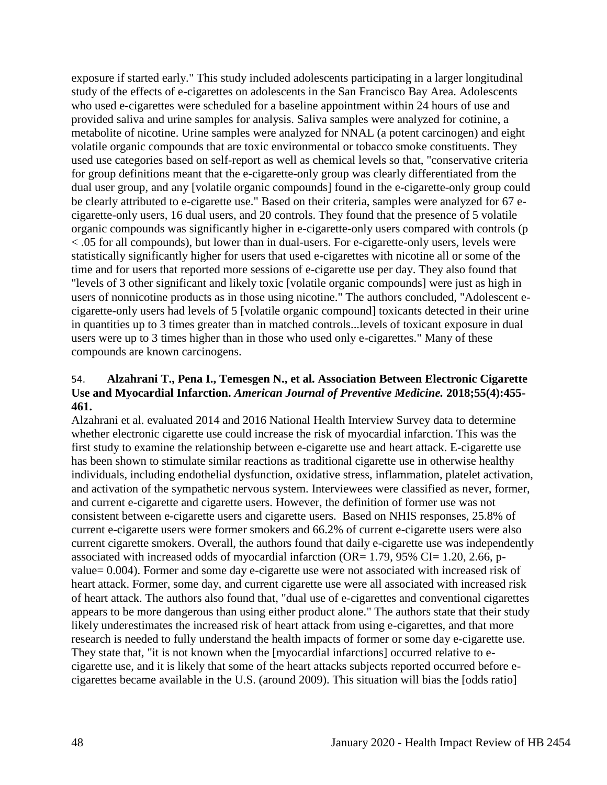exposure if started early." This study included adolescents participating in a larger longitudinal study of the effects of e-cigarettes on adolescents in the San Francisco Bay Area. Adolescents who used e-cigarettes were scheduled for a baseline appointment within 24 hours of use and provided saliva and urine samples for analysis. Saliva samples were analyzed for cotinine, a metabolite of nicotine. Urine samples were analyzed for NNAL (a potent carcinogen) and eight volatile organic compounds that are toxic environmental or tobacco smoke constituents. They used use categories based on self-report as well as chemical levels so that, "conservative criteria for group definitions meant that the e-cigarette-only group was clearly differentiated from the dual user group, and any [volatile organic compounds] found in the e-cigarette-only group could be clearly attributed to e-cigarette use." Based on their criteria, samples were analyzed for 67 ecigarette-only users, 16 dual users, and 20 controls. They found that the presence of 5 volatile organic compounds was significantly higher in e-cigarette-only users compared with controls (p < .05 for all compounds), but lower than in dual-users. For e-cigarette-only users, levels were statistically significantly higher for users that used e-cigarettes with nicotine all or some of the time and for users that reported more sessions of e-cigarette use per day. They also found that "levels of 3 other significant and likely toxic [volatile organic compounds] were just as high in users of nonnicotine products as in those using nicotine." The authors concluded, "Adolescent ecigarette-only users had levels of 5 [volatile organic compound] toxicants detected in their urine in quantities up to 3 times greater than in matched controls...levels of toxicant exposure in dual users were up to 3 times higher than in those who used only e-cigarettes." Many of these compounds are known carcinogens.

### 54. **Alzahrani T., Pena I., Temesgen N., et al. Association Between Electronic Cigarette Use and Myocardial Infarction.** *American Journal of Preventive Medicine.* **2018;55(4):455- 461.**

Alzahrani et al. evaluated 2014 and 2016 National Health Interview Survey data to determine whether electronic cigarette use could increase the risk of myocardial infarction. This was the first study to examine the relationship between e-cigarette use and heart attack. E-cigarette use has been shown to stimulate similar reactions as traditional cigarette use in otherwise healthy individuals, including endothelial dysfunction, oxidative stress, inflammation, platelet activation, and activation of the sympathetic nervous system. Interviewees were classified as never, former, and current e-cigarette and cigarette users. However, the definition of former use was not consistent between e-cigarette users and cigarette users. Based on NHIS responses, 25.8% of current e-cigarette users were former smokers and 66.2% of current e-cigarette users were also current cigarette smokers. Overall, the authors found that daily e-cigarette use was independently associated with increased odds of myocardial infarction (OR=  $1.79$ ,  $95\%$  CI=  $1.20$ ,  $2.66$ , pvalue= 0.004). Former and some day e-cigarette use were not associated with increased risk of heart attack. Former, some day, and current cigarette use were all associated with increased risk of heart attack. The authors also found that, "dual use of e-cigarettes and conventional cigarettes appears to be more dangerous than using either product alone." The authors state that their study likely underestimates the increased risk of heart attack from using e-cigarettes, and that more research is needed to fully understand the health impacts of former or some day e-cigarette use. They state that, "it is not known when the [myocardial infarctions] occurred relative to ecigarette use, and it is likely that some of the heart attacks subjects reported occurred before ecigarettes became available in the U.S. (around 2009). This situation will bias the [odds ratio]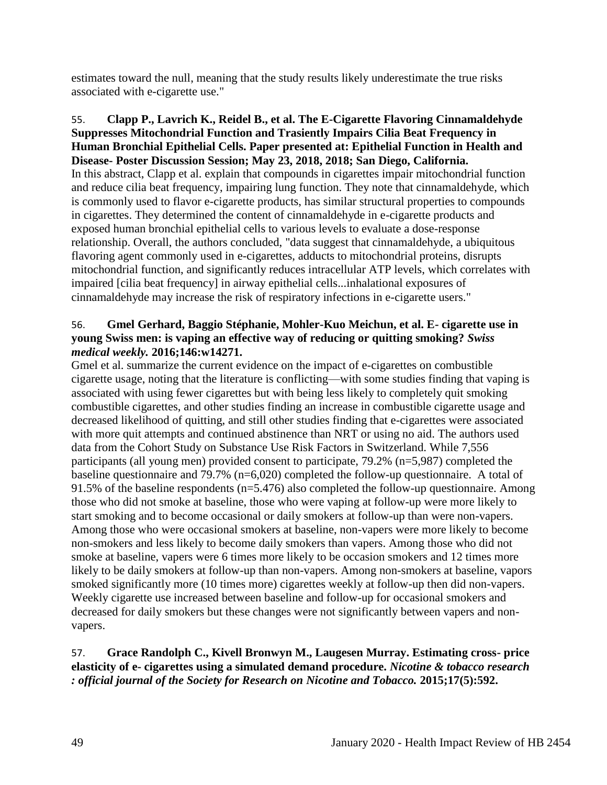estimates toward the null, meaning that the study results likely underestimate the true risks associated with e-cigarette use."

55. **Clapp P., Lavrich K., Reidel B., et al. The E-Cigarette Flavoring Cinnamaldehyde Suppresses Mitochondrial Function and Trasiently Impairs Cilia Beat Frequency in Human Bronchial Epithelial Cells. Paper presented at: Epithelial Function in Health and Disease- Poster Discussion Session; May 23, 2018, 2018; San Diego, California.** In this abstract, Clapp et al. explain that compounds in cigarettes impair mitochondrial function and reduce cilia beat frequency, impairing lung function. They note that cinnamaldehyde, which is commonly used to flavor e-cigarette products, has similar structural properties to compounds in cigarettes. They determined the content of cinnamaldehyde in e-cigarette products and exposed human bronchial epithelial cells to various levels to evaluate a dose-response relationship. Overall, the authors concluded, "data suggest that cinnamaldehyde, a ubiquitous flavoring agent commonly used in e-cigarettes, adducts to mitochondrial proteins, disrupts mitochondrial function, and significantly reduces intracellular ATP levels, which correlates with impaired [cilia beat frequency] in airway epithelial cells...inhalational exposures of cinnamaldehyde may increase the risk of respiratory infections in e-cigarette users."

### 56. **Gmel Gerhard, Baggio Stéphanie, Mohler-Kuo Meichun, et al. E- cigarette use in young Swiss men: is vaping an effective way of reducing or quitting smoking?** *Swiss medical weekly.* **2016;146:w14271.**

Gmel et al. summarize the current evidence on the impact of e-cigarettes on combustible cigarette usage, noting that the literature is conflicting—with some studies finding that vaping is associated with using fewer cigarettes but with being less likely to completely quit smoking combustible cigarettes, and other studies finding an increase in combustible cigarette usage and decreased likelihood of quitting, and still other studies finding that e-cigarettes were associated with more quit attempts and continued abstinence than NRT or using no aid. The authors used data from the Cohort Study on Substance Use Risk Factors in Switzerland. While 7,556 participants (all young men) provided consent to participate, 79.2% (n=5,987) completed the baseline questionnaire and 79.7% (n=6,020) completed the follow-up questionnaire. A total of 91.5% of the baseline respondents (n=5.476) also completed the follow-up questionnaire. Among those who did not smoke at baseline, those who were vaping at follow-up were more likely to start smoking and to become occasional or daily smokers at follow-up than were non-vapers. Among those who were occasional smokers at baseline, non-vapers were more likely to become non-smokers and less likely to become daily smokers than vapers. Among those who did not smoke at baseline, vapers were 6 times more likely to be occasion smokers and 12 times more likely to be daily smokers at follow-up than non-vapers. Among non-smokers at baseline, vapors smoked significantly more (10 times more) cigarettes weekly at follow-up then did non-vapers. Weekly cigarette use increased between baseline and follow-up for occasional smokers and decreased for daily smokers but these changes were not significantly between vapers and nonvapers.

## 57. **Grace Randolph C., Kivell Bronwyn M., Laugesen Murray. Estimating cross- price elasticity of e- cigarettes using a simulated demand procedure.** *Nicotine & tobacco research : official journal of the Society for Research on Nicotine and Tobacco.* **2015;17(5):592.**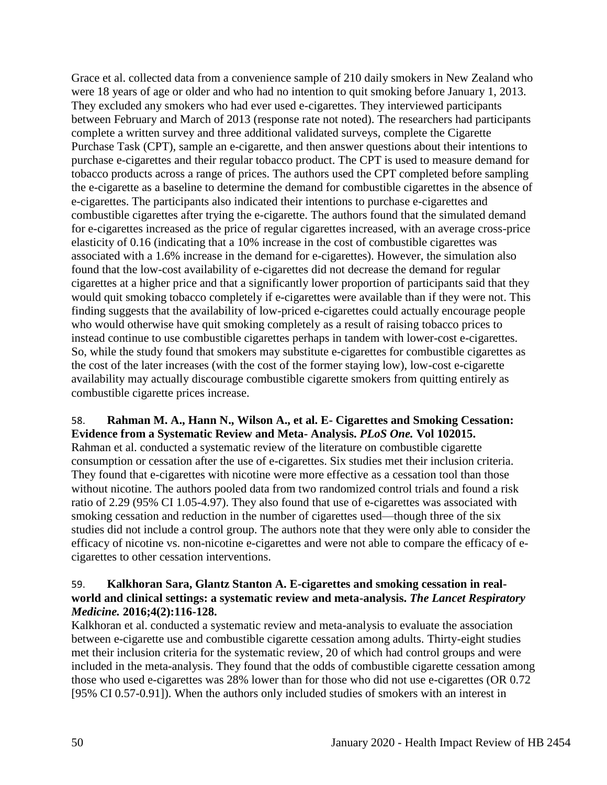Grace et al. collected data from a convenience sample of 210 daily smokers in New Zealand who were 18 years of age or older and who had no intention to quit smoking before January 1, 2013. They excluded any smokers who had ever used e-cigarettes. They interviewed participants between February and March of 2013 (response rate not noted). The researchers had participants complete a written survey and three additional validated surveys, complete the Cigarette Purchase Task (CPT), sample an e-cigarette, and then answer questions about their intentions to purchase e-cigarettes and their regular tobacco product. The CPT is used to measure demand for tobacco products across a range of prices. The authors used the CPT completed before sampling the e-cigarette as a baseline to determine the demand for combustible cigarettes in the absence of e-cigarettes. The participants also indicated their intentions to purchase e-cigarettes and combustible cigarettes after trying the e-cigarette. The authors found that the simulated demand for e-cigarettes increased as the price of regular cigarettes increased, with an average cross-price elasticity of 0.16 (indicating that a 10% increase in the cost of combustible cigarettes was associated with a 1.6% increase in the demand for e-cigarettes). However, the simulation also found that the low-cost availability of e-cigarettes did not decrease the demand for regular cigarettes at a higher price and that a significantly lower proportion of participants said that they would quit smoking tobacco completely if e-cigarettes were available than if they were not. This finding suggests that the availability of low-priced e-cigarettes could actually encourage people who would otherwise have quit smoking completely as a result of raising tobacco prices to instead continue to use combustible cigarettes perhaps in tandem with lower-cost e-cigarettes. So, while the study found that smokers may substitute e-cigarettes for combustible cigarettes as the cost of the later increases (with the cost of the former staying low), low-cost e-cigarette availability may actually discourage combustible cigarette smokers from quitting entirely as combustible cigarette prices increase.

## 58. **Rahman M. A., Hann N., Wilson A., et al. E- Cigarettes and Smoking Cessation: Evidence from a Systematic Review and Meta- Analysis.** *PLoS One.* **Vol 102015.**

Rahman et al. conducted a systematic review of the literature on combustible cigarette consumption or cessation after the use of e-cigarettes. Six studies met their inclusion criteria. They found that e-cigarettes with nicotine were more effective as a cessation tool than those without nicotine. The authors pooled data from two randomized control trials and found a risk ratio of 2.29 (95% CI 1.05-4.97). They also found that use of e-cigarettes was associated with smoking cessation and reduction in the number of cigarettes used—though three of the six studies did not include a control group. The authors note that they were only able to consider the efficacy of nicotine vs. non-nicotine e-cigarettes and were not able to compare the efficacy of ecigarettes to other cessation interventions.

### 59. **Kalkhoran Sara, Glantz Stanton A. E-cigarettes and smoking cessation in realworld and clinical settings: a systematic review and meta-analysis.** *The Lancet Respiratory Medicine.* **2016;4(2):116-128.**

Kalkhoran et al. conducted a systematic review and meta-analysis to evaluate the association between e-cigarette use and combustible cigarette cessation among adults. Thirty-eight studies met their inclusion criteria for the systematic review, 20 of which had control groups and were included in the meta-analysis. They found that the odds of combustible cigarette cessation among those who used e-cigarettes was 28% lower than for those who did not use e-cigarettes (OR 0.72 [95% CI 0.57-0.91]). When the authors only included studies of smokers with an interest in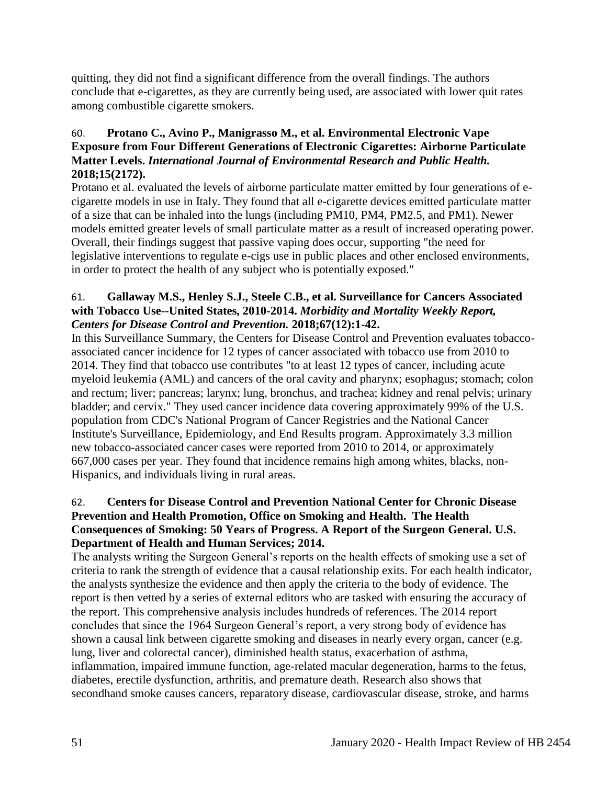quitting, they did not find a significant difference from the overall findings. The authors conclude that e-cigarettes, as they are currently being used, are associated with lower quit rates among combustible cigarette smokers.

## 60. **Protano C., Avino P., Manigrasso M., et al. Environmental Electronic Vape Exposure from Four Different Generations of Electronic Cigarettes: Airborne Particulate Matter Levels.** *International Journal of Environmental Research and Public Health.*  **2018;15(2172).**

Protano et al. evaluated the levels of airborne particulate matter emitted by four generations of ecigarette models in use in Italy. They found that all e-cigarette devices emitted particulate matter of a size that can be inhaled into the lungs (including PM10, PM4, PM2.5, and PM1). Newer models emitted greater levels of small particulate matter as a result of increased operating power. Overall, their findings suggest that passive vaping does occur, supporting "the need for legislative interventions to regulate e-cigs use in public places and other enclosed environments, in order to protect the health of any subject who is potentially exposed."

## 61. **Gallaway M.S., Henley S.J., Steele C.B., et al. Surveillance for Cancers Associated with Tobacco Use--United States, 2010-2014.** *Morbidity and Mortality Weekly Report, Centers for Disease Control and Prevention.* **2018;67(12):1-42.**

In this Surveillance Summary, the Centers for Disease Control and Prevention evaluates tobaccoassociated cancer incidence for 12 types of cancer associated with tobacco use from 2010 to 2014. They find that tobacco use contributes "to at least 12 types of cancer, including acute myeloid leukemia (AML) and cancers of the oral cavity and pharynx; esophagus; stomach; colon and rectum; liver; pancreas; larynx; lung, bronchus, and trachea; kidney and renal pelvis; urinary bladder; and cervix." They used cancer incidence data covering approximately 99% of the U.S. population from CDC's National Program of Cancer Registries and the National Cancer Institute's Surveillance, Epidemiology, and End Results program. Approximately 3.3 million new tobacco-associated cancer cases were reported from 2010 to 2014, or approximately 667,000 cases per year. They found that incidence remains high among whites, blacks, non-Hispanics, and individuals living in rural areas.

## 62. **Centers for Disease Control and Prevention National Center for Chronic Disease Prevention and Health Promotion, Office on Smoking and Health. The Health Consequences of Smoking: 50 Years of Progress. A Report of the Surgeon General. U.S. Department of Health and Human Services; 2014.**

The analysts writing the Surgeon General's reports on the health effects of smoking use a set of criteria to rank the strength of evidence that a causal relationship exits. For each health indicator, the analysts synthesize the evidence and then apply the criteria to the body of evidence. The report is then vetted by a series of external editors who are tasked with ensuring the accuracy of the report. This comprehensive analysis includes hundreds of references. The 2014 report concludes that since the 1964 Surgeon General's report, a very strong body of evidence has shown a causal link between cigarette smoking and diseases in nearly every organ, cancer (e.g. lung, liver and colorectal cancer), diminished health status, exacerbation of asthma, inflammation, impaired immune function, age-related macular degeneration, harms to the fetus, diabetes, erectile dysfunction, arthritis, and premature death. Research also shows that secondhand smoke causes cancers, reparatory disease, cardiovascular disease, stroke, and harms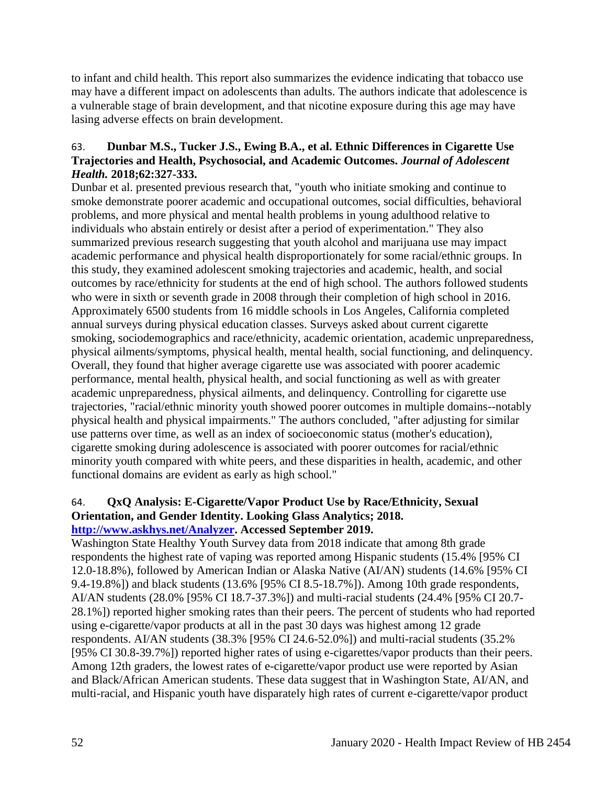to infant and child health. This report also summarizes the evidence indicating that tobacco use may have a different impact on adolescents than adults. The authors indicate that adolescence is a vulnerable stage of brain development, and that nicotine exposure during this age may have lasing adverse effects on brain development.

## 63. **Dunbar M.S., Tucker J.S., Ewing B.A., et al. Ethnic Differences in Cigarette Use Trajectories and Health, Psychosocial, and Academic Outcomes.** *Journal of Adolescent Health.* **2018;62:327-333.**

Dunbar et al. presented previous research that, "youth who initiate smoking and continue to smoke demonstrate poorer academic and occupational outcomes, social difficulties, behavioral problems, and more physical and mental health problems in young adulthood relative to individuals who abstain entirely or desist after a period of experimentation." They also summarized previous research suggesting that youth alcohol and marijuana use may impact academic performance and physical health disproportionately for some racial/ethnic groups. In this study, they examined adolescent smoking trajectories and academic, health, and social outcomes by race/ethnicity for students at the end of high school. The authors followed students who were in sixth or seventh grade in 2008 through their completion of high school in 2016. Approximately 6500 students from 16 middle schools in Los Angeles, California completed annual surveys during physical education classes. Surveys asked about current cigarette smoking, sociodemographics and race/ethnicity, academic orientation, academic unpreparedness, physical ailments/symptoms, physical health, mental health, social functioning, and delinquency. Overall, they found that higher average cigarette use was associated with poorer academic performance, mental health, physical health, and social functioning as well as with greater academic unpreparedness, physical ailments, and delinquency. Controlling for cigarette use trajectories, "racial/ethnic minority youth showed poorer outcomes in multiple domains--notably physical health and physical impairments." The authors concluded, "after adjusting for similar use patterns over time, as well as an index of socioeconomic status (mother's education), cigarette smoking during adolescence is associated with poorer outcomes for racial/ethnic minority youth compared with white peers, and these disparities in health, academic, and other functional domains are evident as early as high school."

#### 64. **QxQ Analysis: E-Cigarette/Vapor Product Use by Race/Ethnicity, Sexual Orientation, and Gender Identity. Looking Glass Analytics; 2018. [http://www.askhys.net/Analyzer.](http://www.askhys.net/Analyzer) Accessed September 2019.**

Washington State Healthy Youth Survey data from 2018 indicate that among 8th grade respondents the highest rate of vaping was reported among Hispanic students (15.4% [95% CI 12.0-18.8%), followed by American Indian or Alaska Native (AI/AN) students (14.6% [95% CI 9.4-19.8%]) and black students (13.6% [95% CI 8.5-18.7%]). Among 10th grade respondents, AI/AN students (28.0% [95% CI 18.7-37.3%]) and multi-racial students (24.4% [95% CI 20.7- 28.1%]) reported higher smoking rates than their peers. The percent of students who had reported using e-cigarette/vapor products at all in the past 30 days was highest among 12 grade respondents. AI/AN students (38.3% [95% CI 24.6-52.0%]) and multi-racial students (35.2% [95% CI 30.8-39.7%]) reported higher rates of using e-cigarettes/vapor products than their peers. Among 12th graders, the lowest rates of e-cigarette/vapor product use were reported by Asian and Black/African American students. These data suggest that in Washington State, AI/AN, and multi-racial, and Hispanic youth have disparately high rates of current e-cigarette/vapor product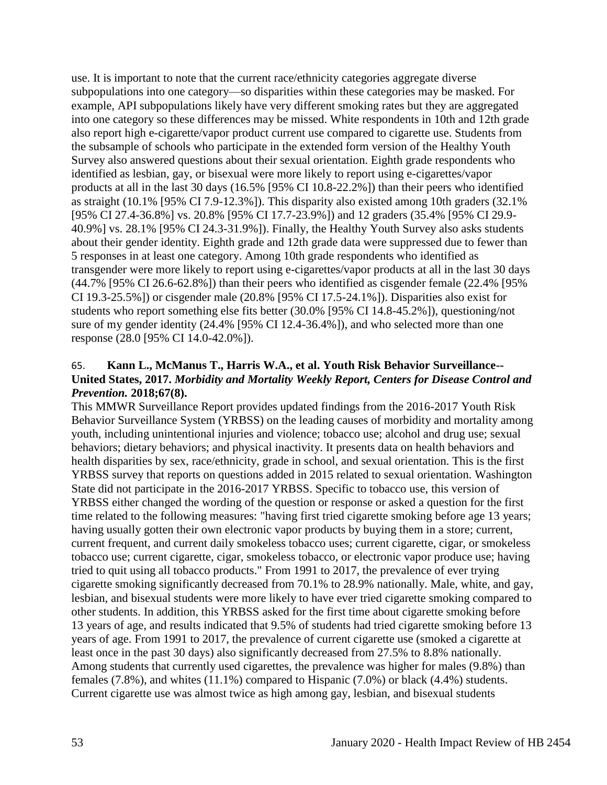use. It is important to note that the current race/ethnicity categories aggregate diverse subpopulations into one category—so disparities within these categories may be masked. For example, API subpopulations likely have very different smoking rates but they are aggregated into one category so these differences may be missed. White respondents in 10th and 12th grade also report high e-cigarette/vapor product current use compared to cigarette use. Students from the subsample of schools who participate in the extended form version of the Healthy Youth Survey also answered questions about their sexual orientation. Eighth grade respondents who identified as lesbian, gay, or bisexual were more likely to report using e-cigarettes/vapor products at all in the last 30 days (16.5% [95% CI 10.8-22.2%]) than their peers who identified as straight (10.1% [95% CI 7.9-12.3%]). This disparity also existed among 10th graders (32.1% [95% CI 27.4-36.8%] vs. 20.8% [95% CI 17.7-23.9%]) and 12 graders (35.4% [95% CI 29.9- 40.9%] vs. 28.1% [95% CI 24.3-31.9%]). Finally, the Healthy Youth Survey also asks students about their gender identity. Eighth grade and 12th grade data were suppressed due to fewer than 5 responses in at least one category. Among 10th grade respondents who identified as transgender were more likely to report using e-cigarettes/vapor products at all in the last 30 days (44.7% [95% CI 26.6-62.8%]) than their peers who identified as cisgender female (22.4% [95% CI 19.3-25.5%]) or cisgender male (20.8% [95% CI 17.5-24.1%]). Disparities also exist for students who report something else fits better (30.0% [95% CI 14.8-45.2%]), questioning/not sure of my gender identity (24.4% [95% CI 12.4-36.4%]), and who selected more than one response (28.0 [95% CI 14.0-42.0%]).

### 65. **Kann L., McManus T., Harris W.A., et al. Youth Risk Behavior Surveillance-- United States, 2017.** *Morbidity and Mortality Weekly Report, Centers for Disease Control and Prevention.* **2018;67(8).**

This MMWR Surveillance Report provides updated findings from the 2016-2017 Youth Risk Behavior Surveillance System (YRBSS) on the leading causes of morbidity and mortality among youth, including unintentional injuries and violence; tobacco use; alcohol and drug use; sexual behaviors; dietary behaviors; and physical inactivity. It presents data on health behaviors and health disparities by sex, race/ethnicity, grade in school, and sexual orientation. This is the first YRBSS survey that reports on questions added in 2015 related to sexual orientation. Washington State did not participate in the 2016-2017 YRBSS. Specific to tobacco use, this version of YRBSS either changed the wording of the question or response or asked a question for the first time related to the following measures: "having first tried cigarette smoking before age 13 years; having usually gotten their own electronic vapor products by buying them in a store; current, current frequent, and current daily smokeless tobacco uses; current cigarette, cigar, or smokeless tobacco use; current cigarette, cigar, smokeless tobacco, or electronic vapor produce use; having tried to quit using all tobacco products." From 1991 to 2017, the prevalence of ever trying cigarette smoking significantly decreased from 70.1% to 28.9% nationally. Male, white, and gay, lesbian, and bisexual students were more likely to have ever tried cigarette smoking compared to other students. In addition, this YRBSS asked for the first time about cigarette smoking before 13 years of age, and results indicated that 9.5% of students had tried cigarette smoking before 13 years of age. From 1991 to 2017, the prevalence of current cigarette use (smoked a cigarette at least once in the past 30 days) also significantly decreased from 27.5% to 8.8% nationally. Among students that currently used cigarettes, the prevalence was higher for males (9.8%) than females (7.8%), and whites (11.1%) compared to Hispanic (7.0%) or black (4.4%) students. Current cigarette use was almost twice as high among gay, lesbian, and bisexual students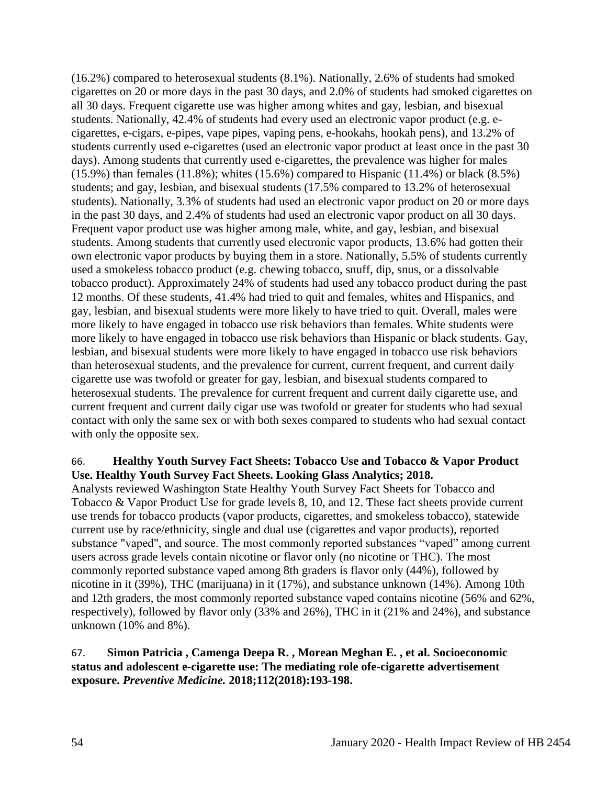(16.2%) compared to heterosexual students (8.1%). Nationally, 2.6% of students had smoked cigarettes on 20 or more days in the past 30 days, and 2.0% of students had smoked cigarettes on all 30 days. Frequent cigarette use was higher among whites and gay, lesbian, and bisexual students. Nationally, 42.4% of students had every used an electronic vapor product (e.g. ecigarettes, e-cigars, e-pipes, vape pipes, vaping pens, e-hookahs, hookah pens), and 13.2% of students currently used e-cigarettes (used an electronic vapor product at least once in the past 30 days). Among students that currently used e-cigarettes, the prevalence was higher for males (15.9%) than females (11.8%); whites (15.6%) compared to Hispanic (11.4%) or black (8.5%) students; and gay, lesbian, and bisexual students (17.5% compared to 13.2% of heterosexual students). Nationally, 3.3% of students had used an electronic vapor product on 20 or more days in the past 30 days, and 2.4% of students had used an electronic vapor product on all 30 days. Frequent vapor product use was higher among male, white, and gay, lesbian, and bisexual students. Among students that currently used electronic vapor products, 13.6% had gotten their own electronic vapor products by buying them in a store. Nationally, 5.5% of students currently used a smokeless tobacco product (e.g. chewing tobacco, snuff, dip, snus, or a dissolvable tobacco product). Approximately 24% of students had used any tobacco product during the past 12 months. Of these students, 41.4% had tried to quit and females, whites and Hispanics, and gay, lesbian, and bisexual students were more likely to have tried to quit. Overall, males were more likely to have engaged in tobacco use risk behaviors than females. White students were more likely to have engaged in tobacco use risk behaviors than Hispanic or black students. Gay, lesbian, and bisexual students were more likely to have engaged in tobacco use risk behaviors than heterosexual students, and the prevalence for current, current frequent, and current daily cigarette use was twofold or greater for gay, lesbian, and bisexual students compared to heterosexual students. The prevalence for current frequent and current daily cigarette use, and current frequent and current daily cigar use was twofold or greater for students who had sexual contact with only the same sex or with both sexes compared to students who had sexual contact with only the opposite sex.

## 66. **Healthy Youth Survey Fact Sheets: Tobacco Use and Tobacco & Vapor Product Use. Healthy Youth Survey Fact Sheets. Looking Glass Analytics; 2018.**

Analysts reviewed Washington State Healthy Youth Survey Fact Sheets for Tobacco and Tobacco & Vapor Product Use for grade levels 8, 10, and 12. These fact sheets provide current use trends for tobacco products (vapor products, cigarettes, and smokeless tobacco), statewide current use by race/ethnicity, single and dual use (cigarettes and vapor products), reported substance "vaped", and source. The most commonly reported substances "vaped" among current users across grade levels contain nicotine or flavor only (no nicotine or THC). The most commonly reported substance vaped among 8th graders is flavor only (44%), followed by nicotine in it (39%), THC (marijuana) in it (17%), and substance unknown (14%). Among 10th and 12th graders, the most commonly reported substance vaped contains nicotine (56% and 62%, respectively), followed by flavor only (33% and 26%), THC in it (21% and 24%), and substance unknown (10% and 8%).

## 67. **Simon Patricia , Camenga Deepa R. , Morean Meghan E. , et al. Socioeconomic status and adolescent e-cigarette use: The mediating role ofe-cigarette advertisement exposure.** *Preventive Medicine.* **2018;112(2018):193-198.**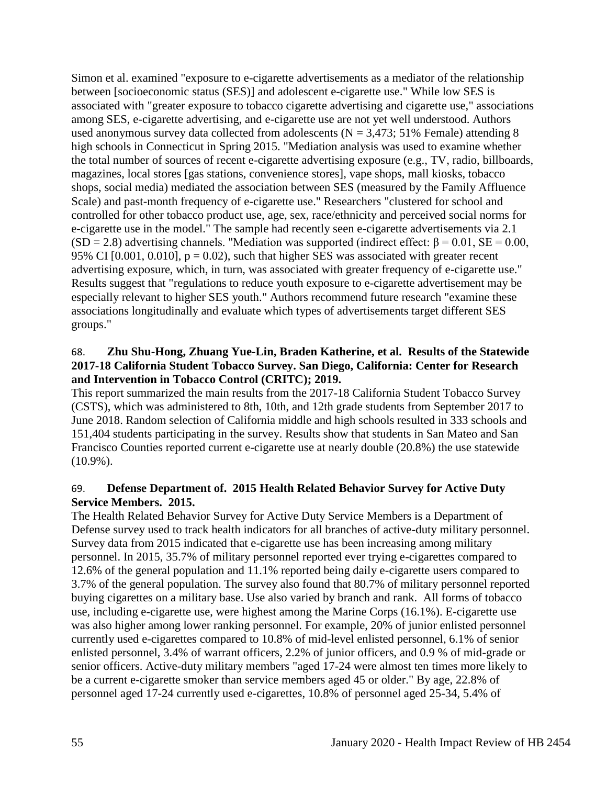Simon et al. examined "exposure to e-cigarette advertisements as a mediator of the relationship between [socioeconomic status (SES)] and adolescent e-cigarette use." While low SES is associated with "greater exposure to tobacco cigarette advertising and cigarette use," associations among SES, e-cigarette advertising, and e-cigarette use are not yet well understood. Authors used anonymous survey data collected from adolescents ( $N = 3,473$ ; 51% Female) attending 8 high schools in Connecticut in Spring 2015. "Mediation analysis was used to examine whether the total number of sources of recent e-cigarette advertising exposure (e.g., TV, radio, billboards, magazines, local stores [gas stations, convenience stores], vape shops, mall kiosks, tobacco shops, social media) mediated the association between SES (measured by the Family Affluence Scale) and past-month frequency of e-cigarette use." Researchers "clustered for school and controlled for other tobacco product use, age, sex, race/ethnicity and perceived social norms for e-cigarette use in the model." The sample had recently seen e-cigarette advertisements via 2.1 (SD = 2.8) advertising channels. "Mediation was supported (indirect effect:  $\beta$  = 0.01, SE = 0.00, 95% CI  $[0.001, 0.010]$ ,  $p = 0.02$ ), such that higher SES was associated with greater recent advertising exposure, which, in turn, was associated with greater frequency of e-cigarette use." Results suggest that "regulations to reduce youth exposure to e-cigarette advertisement may be especially relevant to higher SES youth." Authors recommend future research "examine these associations longitudinally and evaluate which types of advertisements target different SES groups."

### 68. **Zhu Shu-Hong, Zhuang Yue-Lin, Braden Katherine, et al. Results of the Statewide 2017-18 California Student Tobacco Survey. San Diego, California: Center for Research and Intervention in Tobacco Control (CRITC); 2019.**

This report summarized the main results from the 2017-18 California Student Tobacco Survey (CSTS), which was administered to 8th, 10th, and 12th grade students from September 2017 to June 2018. Random selection of California middle and high schools resulted in 333 schools and 151,404 students participating in the survey. Results show that students in San Mateo and San Francisco Counties reported current e-cigarette use at nearly double (20.8%) the use statewide (10.9%).

## 69. **Defense Department of. 2015 Health Related Behavior Survey for Active Duty Service Members. 2015.**

The Health Related Behavior Survey for Active Duty Service Members is a Department of Defense survey used to track health indicators for all branches of active-duty military personnel. Survey data from 2015 indicated that e-cigarette use has been increasing among military personnel. In 2015, 35.7% of military personnel reported ever trying e-cigarettes compared to 12.6% of the general population and 11.1% reported being daily e-cigarette users compared to 3.7% of the general population. The survey also found that 80.7% of military personnel reported buying cigarettes on a military base. Use also varied by branch and rank. All forms of tobacco use, including e-cigarette use, were highest among the Marine Corps (16.1%). E-cigarette use was also higher among lower ranking personnel. For example, 20% of junior enlisted personnel currently used e-cigarettes compared to 10.8% of mid-level enlisted personnel, 6.1% of senior enlisted personnel, 3.4% of warrant officers, 2.2% of junior officers, and 0.9 % of mid-grade or senior officers. Active-duty military members "aged 17-24 were almost ten times more likely to be a current e-cigarette smoker than service members aged 45 or older." By age, 22.8% of personnel aged 17-24 currently used e-cigarettes, 10.8% of personnel aged 25-34, 5.4% of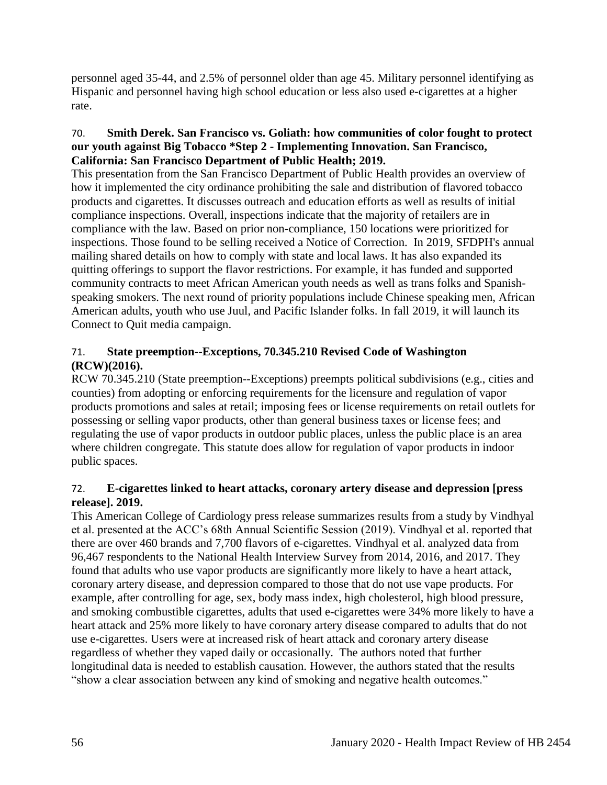personnel aged 35-44, and 2.5% of personnel older than age 45. Military personnel identifying as Hispanic and personnel having high school education or less also used e-cigarettes at a higher rate.

### 70. **Smith Derek. San Francisco vs. Goliath: how communities of color fought to protect our youth against Big Tobacco \*Step 2 - Implementing Innovation. San Francisco, California: San Francisco Department of Public Health; 2019.**

This presentation from the San Francisco Department of Public Health provides an overview of how it implemented the city ordinance prohibiting the sale and distribution of flavored tobacco products and cigarettes. It discusses outreach and education efforts as well as results of initial compliance inspections. Overall, inspections indicate that the majority of retailers are in compliance with the law. Based on prior non-compliance, 150 locations were prioritized for inspections. Those found to be selling received a Notice of Correction. In 2019, SFDPH's annual mailing shared details on how to comply with state and local laws. It has also expanded its quitting offerings to support the flavor restrictions. For example, it has funded and supported community contracts to meet African American youth needs as well as trans folks and Spanishspeaking smokers. The next round of priority populations include Chinese speaking men, African American adults, youth who use Juul, and Pacific Islander folks. In fall 2019, it will launch its Connect to Quit media campaign.

## 71. **State preemption--Exceptions, 70.345.210 Revised Code of Washington (RCW)(2016).**

RCW 70.345.210 (State preemption--Exceptions) preempts political subdivisions (e.g., cities and counties) from adopting or enforcing requirements for the licensure and regulation of vapor products promotions and sales at retail; imposing fees or license requirements on retail outlets for possessing or selling vapor products, other than general business taxes or license fees; and regulating the use of vapor products in outdoor public places, unless the public place is an area where children congregate. This statute does allow for regulation of vapor products in indoor public spaces.

## 72. **E-cigarettes linked to heart attacks, coronary artery disease and depression [press release]. 2019.**

This American College of Cardiology press release summarizes results from a study by Vindhyal et al. presented at the ACC's 68th Annual Scientific Session (2019). Vindhyal et al. reported that there are over 460 brands and 7,700 flavors of e-cigarettes. Vindhyal et al. analyzed data from 96,467 respondents to the National Health Interview Survey from 2014, 2016, and 2017. They found that adults who use vapor products are significantly more likely to have a heart attack, coronary artery disease, and depression compared to those that do not use vape products. For example, after controlling for age, sex, body mass index, high cholesterol, high blood pressure, and smoking combustible cigarettes, adults that used e-cigarettes were 34% more likely to have a heart attack and 25% more likely to have coronary artery disease compared to adults that do not use e-cigarettes. Users were at increased risk of heart attack and coronary artery disease regardless of whether they vaped daily or occasionally. The authors noted that further longitudinal data is needed to establish causation. However, the authors stated that the results "show a clear association between any kind of smoking and negative health outcomes."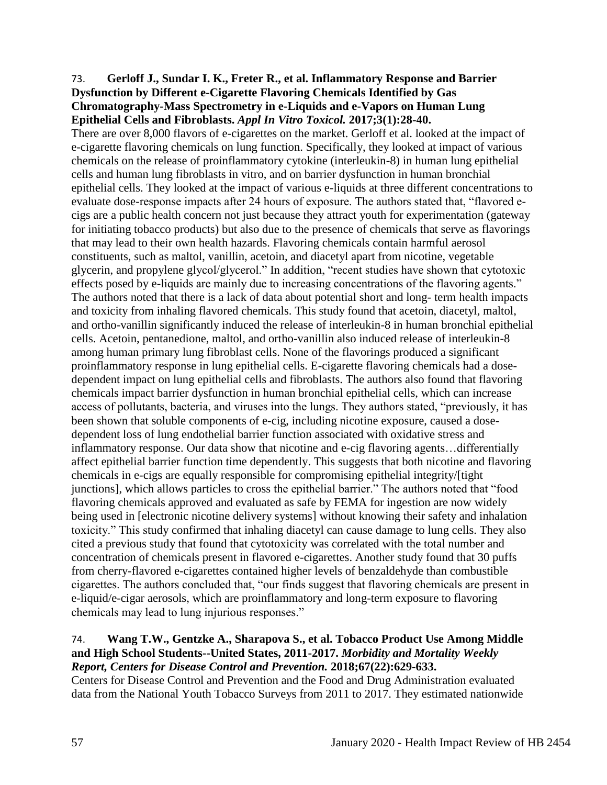#### 73. **Gerloff J., Sundar I. K., Freter R., et al. Inflammatory Response and Barrier Dysfunction by Different e-Cigarette Flavoring Chemicals Identified by Gas Chromatography-Mass Spectrometry in e-Liquids and e-Vapors on Human Lung Epithelial Cells and Fibroblasts.** *Appl In Vitro Toxicol.* **2017;3(1):28-40.**

There are over 8,000 flavors of e-cigarettes on the market. Gerloff et al. looked at the impact of e-cigarette flavoring chemicals on lung function. Specifically, they looked at impact of various chemicals on the release of proinflammatory cytokine (interleukin-8) in human lung epithelial cells and human lung fibroblasts in vitro, and on barrier dysfunction in human bronchial epithelial cells. They looked at the impact of various e-liquids at three different concentrations to evaluate dose-response impacts after 24 hours of exposure. The authors stated that, "flavored ecigs are a public health concern not just because they attract youth for experimentation (gateway for initiating tobacco products) but also due to the presence of chemicals that serve as flavorings that may lead to their own health hazards. Flavoring chemicals contain harmful aerosol constituents, such as maltol, vanillin, acetoin, and diacetyl apart from nicotine, vegetable glycerin, and propylene glycol/glycerol." In addition, "recent studies have shown that cytotoxic effects posed by e-liquids are mainly due to increasing concentrations of the flavoring agents." The authors noted that there is a lack of data about potential short and long- term health impacts and toxicity from inhaling flavored chemicals. This study found that acetoin, diacetyl, maltol, and ortho-vanillin significantly induced the release of interleukin-8 in human bronchial epithelial cells. Acetoin, pentanedione, maltol, and ortho-vanillin also induced release of interleukin-8 among human primary lung fibroblast cells. None of the flavorings produced a significant proinflammatory response in lung epithelial cells. E-cigarette flavoring chemicals had a dosedependent impact on lung epithelial cells and fibroblasts. The authors also found that flavoring chemicals impact barrier dysfunction in human bronchial epithelial cells, which can increase access of pollutants, bacteria, and viruses into the lungs. They authors stated, "previously, it has been shown that soluble components of e-cig, including nicotine exposure, caused a dosedependent loss of lung endothelial barrier function associated with oxidative stress and inflammatory response. Our data show that nicotine and e-cig flavoring agents…differentially affect epithelial barrier function time dependently. This suggests that both nicotine and flavoring chemicals in e-cigs are equally responsible for compromising epithelial integrity/[tight junctions], which allows particles to cross the epithelial barrier." The authors noted that "food flavoring chemicals approved and evaluated as safe by FEMA for ingestion are now widely being used in [electronic nicotine delivery systems] without knowing their safety and inhalation toxicity." This study confirmed that inhaling diacetyl can cause damage to lung cells. They also cited a previous study that found that cytotoxicity was correlated with the total number and concentration of chemicals present in flavored e-cigarettes. Another study found that 30 puffs from cherry-flavored e-cigarettes contained higher levels of benzaldehyde than combustible cigarettes. The authors concluded that, "our finds suggest that flavoring chemicals are present in e-liquid/e-cigar aerosols, which are proinflammatory and long-term exposure to flavoring chemicals may lead to lung injurious responses."

### 74. **Wang T.W., Gentzke A., Sharapova S., et al. Tobacco Product Use Among Middle and High School Students--United States, 2011-2017.** *Morbidity and Mortality Weekly Report, Centers for Disease Control and Prevention.* **2018;67(22):629-633.**

Centers for Disease Control and Prevention and the Food and Drug Administration evaluated data from the National Youth Tobacco Surveys from 2011 to 2017. They estimated nationwide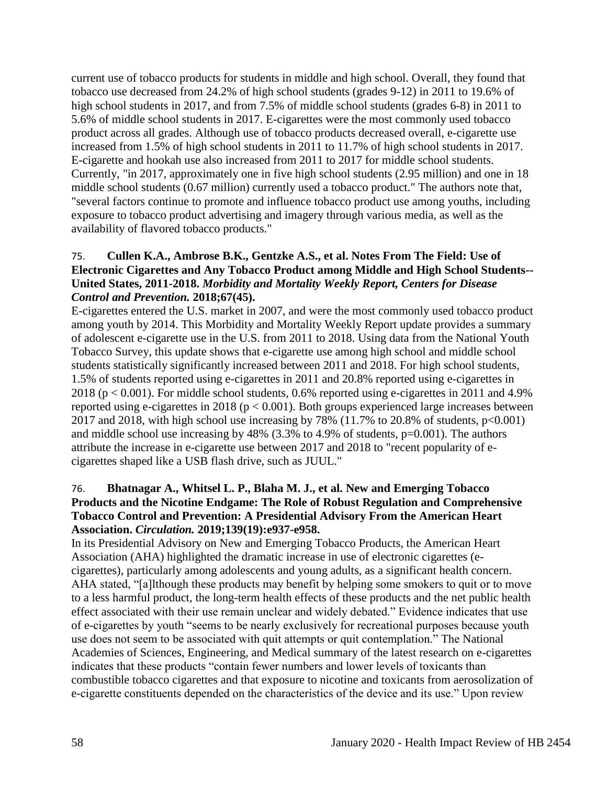current use of tobacco products for students in middle and high school. Overall, they found that tobacco use decreased from 24.2% of high school students (grades 9-12) in 2011 to 19.6% of high school students in 2017, and from 7.5% of middle school students (grades 6-8) in 2011 to 5.6% of middle school students in 2017. E-cigarettes were the most commonly used tobacco product across all grades. Although use of tobacco products decreased overall, e-cigarette use increased from 1.5% of high school students in 2011 to 11.7% of high school students in 2017. E-cigarette and hookah use also increased from 2011 to 2017 for middle school students. Currently, "in 2017, approximately one in five high school students (2.95 million) and one in 18 middle school students (0.67 million) currently used a tobacco product." The authors note that, "several factors continue to promote and influence tobacco product use among youths, including exposure to tobacco product advertising and imagery through various media, as well as the availability of flavored tobacco products."

## 75. **Cullen K.A., Ambrose B.K., Gentzke A.S., et al. Notes From The Field: Use of Electronic Cigarettes and Any Tobacco Product among Middle and High School Students-- United States, 2011-2018.** *Morbidity and Mortality Weekly Report, Centers for Disease Control and Prevention.* **2018;67(45).**

E-cigarettes entered the U.S. market in 2007, and were the most commonly used tobacco product among youth by 2014. This Morbidity and Mortality Weekly Report update provides a summary of adolescent e-cigarette use in the U.S. from 2011 to 2018. Using data from the National Youth Tobacco Survey, this update shows that e-cigarette use among high school and middle school students statistically significantly increased between 2011 and 2018. For high school students, 1.5% of students reported using e-cigarettes in 2011 and 20.8% reported using e-cigarettes in 2018 ( $p < 0.001$ ). For middle school students, 0.6% reported using e-cigarettes in 2011 and 4.9% reported using e-cigarettes in 2018 ( $p < 0.001$ ). Both groups experienced large increases between 2017 and 2018, with high school use increasing by 78% (11.7% to 20.8% of students,  $p<0.001$ ) and middle school use increasing by  $48\%$  (3.3% to 4.9% of students, p=0.001). The authors attribute the increase in e-cigarette use between 2017 and 2018 to "recent popularity of ecigarettes shaped like a USB flash drive, such as JUUL."

## 76. **Bhatnagar A., Whitsel L. P., Blaha M. J., et al. New and Emerging Tobacco Products and the Nicotine Endgame: The Role of Robust Regulation and Comprehensive Tobacco Control and Prevention: A Presidential Advisory From the American Heart Association.** *Circulation.* **2019;139(19):e937-e958.**

In its Presidential Advisory on New and Emerging Tobacco Products, the American Heart Association (AHA) highlighted the dramatic increase in use of electronic cigarettes (ecigarettes), particularly among adolescents and young adults, as a significant health concern. AHA stated, "[a]lthough these products may benefit by helping some smokers to quit or to move to a less harmful product, the long-term health effects of these products and the net public health effect associated with their use remain unclear and widely debated." Evidence indicates that use of e-cigarettes by youth "seems to be nearly exclusively for recreational purposes because youth use does not seem to be associated with quit attempts or quit contemplation." The National Academies of Sciences, Engineering, and Medical summary of the latest research on e-cigarettes indicates that these products "contain fewer numbers and lower levels of toxicants than combustible tobacco cigarettes and that exposure to nicotine and toxicants from aerosolization of e-cigarette constituents depended on the characteristics of the device and its use." Upon review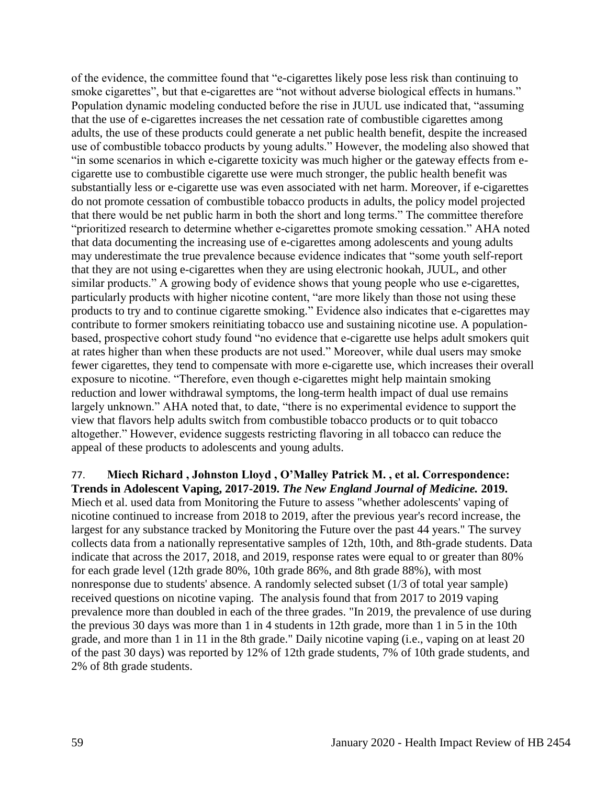of the evidence, the committee found that "e-cigarettes likely pose less risk than continuing to smoke cigarettes", but that e-cigarettes are "not without adverse biological effects in humans." Population dynamic modeling conducted before the rise in JUUL use indicated that, "assuming that the use of e-cigarettes increases the net cessation rate of combustible cigarettes among adults, the use of these products could generate a net public health benefit, despite the increased use of combustible tobacco products by young adults." However, the modeling also showed that "in some scenarios in which e-cigarette toxicity was much higher or the gateway effects from ecigarette use to combustible cigarette use were much stronger, the public health benefit was substantially less or e-cigarette use was even associated with net harm. Moreover, if e-cigarettes do not promote cessation of combustible tobacco products in adults, the policy model projected that there would be net public harm in both the short and long terms." The committee therefore "prioritized research to determine whether e-cigarettes promote smoking cessation." AHA noted that data documenting the increasing use of e-cigarettes among adolescents and young adults may underestimate the true prevalence because evidence indicates that "some youth self-report that they are not using e-cigarettes when they are using electronic hookah, JUUL, and other similar products." A growing body of evidence shows that young people who use e-cigarettes, particularly products with higher nicotine content, "are more likely than those not using these products to try and to continue cigarette smoking." Evidence also indicates that e-cigarettes may contribute to former smokers reinitiating tobacco use and sustaining nicotine use. A populationbased, prospective cohort study found "no evidence that e-cigarette use helps adult smokers quit at rates higher than when these products are not used." Moreover, while dual users may smoke fewer cigarettes, they tend to compensate with more e-cigarette use, which increases their overall exposure to nicotine. "Therefore, even though e-cigarettes might help maintain smoking reduction and lower withdrawal symptoms, the long-term health impact of dual use remains largely unknown." AHA noted that, to date, "there is no experimental evidence to support the view that flavors help adults switch from combustible tobacco products or to quit tobacco altogether." However, evidence suggests restricting flavoring in all tobacco can reduce the appeal of these products to adolescents and young adults.

77. **Miech Richard , Johnston Lloyd , O'Malley Patrick M. , et al. Correspondence: Trends in Adolescent Vaping, 2017-2019.** *The New England Journal of Medicine.* **2019.** Miech et al. used data from Monitoring the Future to assess "whether adolescents' vaping of nicotine continued to increase from 2018 to 2019, after the previous year's record increase, the largest for any substance tracked by Monitoring the Future over the past 44 years." The survey collects data from a nationally representative samples of 12th, 10th, and 8th-grade students. Data indicate that across the 2017, 2018, and 2019, response rates were equal to or greater than 80% for each grade level (12th grade 80%, 10th grade 86%, and 8th grade 88%), with most nonresponse due to students' absence. A randomly selected subset (1/3 of total year sample) received questions on nicotine vaping. The analysis found that from 2017 to 2019 vaping prevalence more than doubled in each of the three grades. "In 2019, the prevalence of use during the previous 30 days was more than 1 in 4 students in 12th grade, more than 1 in 5 in the 10th grade, and more than 1 in 11 in the 8th grade." Daily nicotine vaping (i.e., vaping on at least 20 of the past 30 days) was reported by 12% of 12th grade students, 7% of 10th grade students, and 2% of 8th grade students.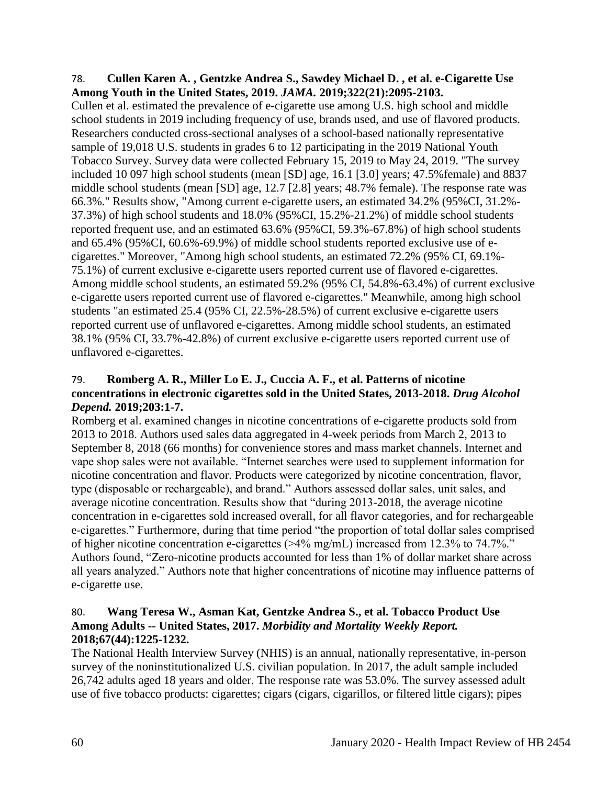#### 78. **Cullen Karen A. , Gentzke Andrea S., Sawdey Michael D. , et al. e-Cigarette Use Among Youth in the United States, 2019.** *JAMA.* **2019;322(21):2095-2103.**

Cullen et al. estimated the prevalence of e-cigarette use among U.S. high school and middle school students in 2019 including frequency of use, brands used, and use of flavored products. Researchers conducted cross-sectional analyses of a school-based nationally representative sample of 19,018 U.S. students in grades 6 to 12 participating in the 2019 National Youth Tobacco Survey. Survey data were collected February 15, 2019 to May 24, 2019. "The survey included 10 097 high school students (mean [SD] age, 16.1 [3.0] years; 47.5%female) and 8837 middle school students (mean [SD] age, 12.7 [2.8] years; 48.7% female). The response rate was 66.3%." Results show, "Among current e-cigarette users, an estimated 34.2% (95%CI, 31.2%- 37.3%) of high school students and 18.0% (95%CI, 15.2%-21.2%) of middle school students reported frequent use, and an estimated 63.6% (95%CI, 59.3%-67.8%) of high school students and 65.4% (95%CI, 60.6%-69.9%) of middle school students reported exclusive use of ecigarettes." Moreover, "Among high school students, an estimated 72.2% (95% CI, 69.1%- 75.1%) of current exclusive e-cigarette users reported current use of flavored e-cigarettes. Among middle school students, an estimated 59.2% (95% CI, 54.8%-63.4%) of current exclusive e-cigarette users reported current use of flavored e-cigarettes." Meanwhile, among high school students "an estimated 25.4 (95% CI, 22.5%-28.5%) of current exclusive e-cigarette users reported current use of unflavored e-cigarettes. Among middle school students, an estimated 38.1% (95% CI, 33.7%-42.8%) of current exclusive e-cigarette users reported current use of unflavored e-cigarettes.

### 79. **Romberg A. R., Miller Lo E. J., Cuccia A. F., et al. Patterns of nicotine concentrations in electronic cigarettes sold in the United States, 2013-2018.** *Drug Alcohol Depend.* **2019;203:1-7.**

Romberg et al. examined changes in nicotine concentrations of e-cigarette products sold from 2013 to 2018. Authors used sales data aggregated in 4-week periods from March 2, 2013 to September 8, 2018 (66 months) for convenience stores and mass market channels. Internet and vape shop sales were not available. "Internet searches were used to supplement information for nicotine concentration and flavor. Products were categorized by nicotine concentration, flavor, type (disposable or rechargeable), and brand." Authors assessed dollar sales, unit sales, and average nicotine concentration. Results show that "during 2013-2018, the average nicotine concentration in e-cigarettes sold increased overall, for all flavor categories, and for rechargeable e-cigarettes." Furthermore, during that time period "the proportion of total dollar sales comprised of higher nicotine concentration e-cigarettes (>4% mg/mL) increased from 12.3% to 74.7%." Authors found, "Zero-nicotine products accounted for less than 1% of dollar market share across all years analyzed." Authors note that higher concentrations of nicotine may influence patterns of e-cigarette use.

## 80. **Wang Teresa W., Asman Kat, Gentzke Andrea S., et al. Tobacco Product Use Among Adults -- United States, 2017.** *Morbidity and Mortality Weekly Report.*  **2018;67(44):1225-1232.**

The National Health Interview Survey (NHIS) is an annual, nationally representative, in-person survey of the noninstitutionalized U.S. civilian population. In 2017, the adult sample included 26,742 adults aged 18 years and older. The response rate was 53.0%. The survey assessed adult use of five tobacco products: cigarettes; cigars (cigars, cigarillos, or filtered little cigars); pipes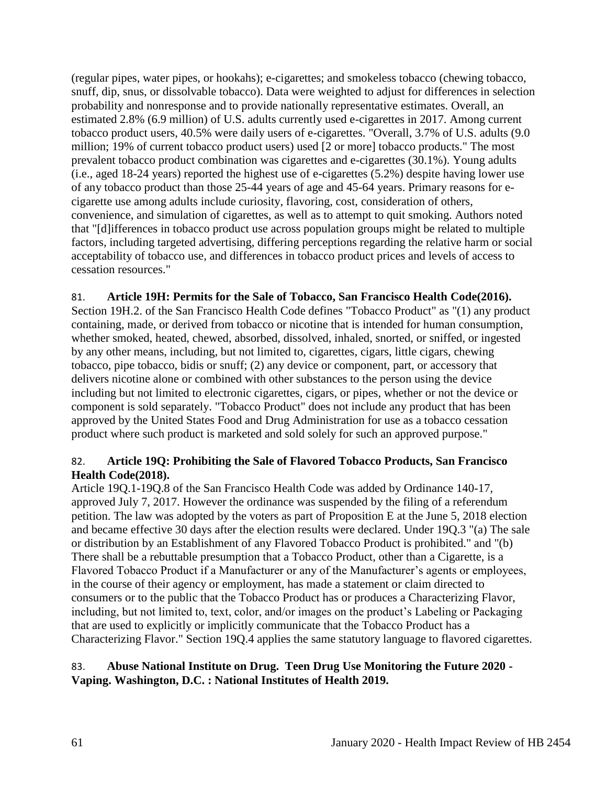(regular pipes, water pipes, or hookahs); e-cigarettes; and smokeless tobacco (chewing tobacco, snuff, dip, snus, or dissolvable tobacco). Data were weighted to adjust for differences in selection probability and nonresponse and to provide nationally representative estimates. Overall, an estimated 2.8% (6.9 million) of U.S. adults currently used e-cigarettes in 2017. Among current tobacco product users, 40.5% were daily users of e-cigarettes. "Overall, 3.7% of U.S. adults (9.0 million; 19% of current tobacco product users) used [2 or more] tobacco products." The most prevalent tobacco product combination was cigarettes and e-cigarettes (30.1%). Young adults (i.e., aged 18-24 years) reported the highest use of e-cigarettes (5.2%) despite having lower use of any tobacco product than those 25-44 years of age and 45-64 years. Primary reasons for ecigarette use among adults include curiosity, flavoring, cost, consideration of others, convenience, and simulation of cigarettes, as well as to attempt to quit smoking. Authors noted that "[d]ifferences in tobacco product use across population groups might be related to multiple factors, including targeted advertising, differing perceptions regarding the relative harm or social acceptability of tobacco use, and differences in tobacco product prices and levels of access to cessation resources."

## 81. **Article 19H: Permits for the Sale of Tobacco, San Francisco Health Code(2016).**

Section 19H.2. of the San Francisco Health Code defines "Tobacco Product" as "(1) any product containing, made, or derived from tobacco or nicotine that is intended for human consumption, whether smoked, heated, chewed, absorbed, dissolved, inhaled, snorted, or sniffed, or ingested by any other means, including, but not limited to, cigarettes, cigars, little cigars, chewing tobacco, pipe tobacco, bidis or snuff; (2) any device or component, part, or accessory that delivers nicotine alone or combined with other substances to the person using the device including but not limited to electronic cigarettes, cigars, or pipes, whether or not the device or component is sold separately. "Tobacco Product" does not include any product that has been approved by the United States Food and Drug Administration for use as a tobacco cessation product where such product is marketed and sold solely for such an approved purpose."

## 82. **Article 19Q: Prohibiting the Sale of Flavored Tobacco Products, San Francisco Health Code(2018).**

Article 19Q.1-19Q.8 of the San Francisco Health Code was added by Ordinance 140-17, approved July 7, 2017. However the ordinance was suspended by the filing of a referendum petition. The law was adopted by the voters as part of Proposition E at the June 5, 2018 election and became effective 30 days after the election results were declared. Under 19Q.3 "(a) The sale or distribution by an Establishment of any Flavored Tobacco Product is prohibited." and "(b) There shall be a rebuttable presumption that a Tobacco Product, other than a Cigarette, is a Flavored Tobacco Product if a Manufacturer or any of the Manufacturer's agents or employees, in the course of their agency or employment, has made a statement or claim directed to consumers or to the public that the Tobacco Product has or produces a Characterizing Flavor, including, but not limited to, text, color, and/or images on the product's Labeling or Packaging that are used to explicitly or implicitly communicate that the Tobacco Product has a Characterizing Flavor." Section 19Q.4 applies the same statutory language to flavored cigarettes.

## 83. **Abuse National Institute on Drug. Teen Drug Use Monitoring the Future 2020 - Vaping. Washington, D.C. : National Institutes of Health 2019.**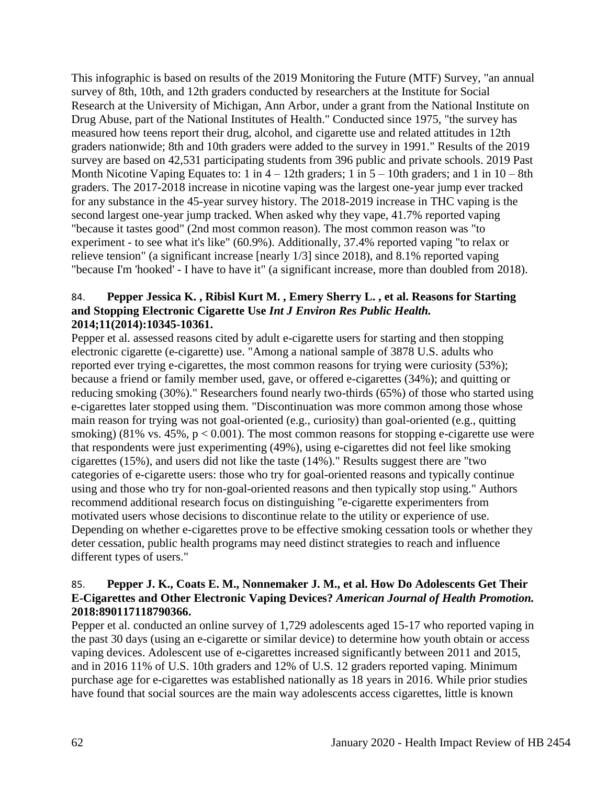This infographic is based on results of the 2019 Monitoring the Future (MTF) Survey, "an annual survey of 8th, 10th, and 12th graders conducted by researchers at the Institute for Social Research at the University of Michigan, Ann Arbor, under a grant from the National Institute on Drug Abuse, part of the National Institutes of Health." Conducted since 1975, "the survey has measured how teens report their drug, alcohol, and cigarette use and related attitudes in 12th graders nationwide; 8th and 10th graders were added to the survey in 1991." Results of the 2019 survey are based on 42,531 participating students from 396 public and private schools. 2019 Past Month Nicotine Vaping Equates to: 1 in  $4 - 12$ th graders; 1 in  $5 - 10$ th graders; and 1 in  $10 - 8$ th graders. The 2017-2018 increase in nicotine vaping was the largest one-year jump ever tracked for any substance in the 45-year survey history. The 2018-2019 increase in THC vaping is the second largest one-year jump tracked. When asked why they vape, 41.7% reported vaping "because it tastes good" (2nd most common reason). The most common reason was "to experiment - to see what it's like" (60.9%). Additionally, 37.4% reported vaping "to relax or relieve tension" (a significant increase [nearly 1/3] since 2018), and 8.1% reported vaping "because I'm 'hooked' - I have to have it" (a significant increase, more than doubled from 2018).

#### 84. **Pepper Jessica K. , Ribisl Kurt M. , Emery Sherry L. , et al. Reasons for Starting and Stopping Electronic Cigarette Use** *Int J Environ Res Public Health.*  **2014;11(2014):10345-10361.**

Pepper et al. assessed reasons cited by adult e-cigarette users for starting and then stopping electronic cigarette (e-cigarette) use. "Among a national sample of 3878 U.S. adults who reported ever trying e-cigarettes, the most common reasons for trying were curiosity (53%); because a friend or family member used, gave, or offered e-cigarettes (34%); and quitting or reducing smoking (30%)." Researchers found nearly two-thirds (65%) of those who started using e-cigarettes later stopped using them. "Discontinuation was more common among those whose main reason for trying was not goal-oriented (e.g., curiosity) than goal-oriented (e.g., quitting smoking) (81% vs. 45%,  $p < 0.001$ ). The most common reasons for stopping e-cigarette use were that respondents were just experimenting (49%), using e-cigarettes did not feel like smoking cigarettes (15%), and users did not like the taste (14%)." Results suggest there are "two categories of e-cigarette users: those who try for goal-oriented reasons and typically continue using and those who try for non-goal-oriented reasons and then typically stop using." Authors recommend additional research focus on distinguishing "e-cigarette experimenters from motivated users whose decisions to discontinue relate to the utility or experience of use. Depending on whether e-cigarettes prove to be effective smoking cessation tools or whether they deter cessation, public health programs may need distinct strategies to reach and influence different types of users."

## 85. **Pepper J. K., Coats E. M., Nonnemaker J. M., et al. How Do Adolescents Get Their E-Cigarettes and Other Electronic Vaping Devices?** *American Journal of Health Promotion.*  **2018:890117118790366.**

Pepper et al. conducted an online survey of 1,729 adolescents aged 15-17 who reported vaping in the past 30 days (using an e-cigarette or similar device) to determine how youth obtain or access vaping devices. Adolescent use of e-cigarettes increased significantly between 2011 and 2015, and in 2016 11% of U.S. 10th graders and 12% of U.S. 12 graders reported vaping. Minimum purchase age for e-cigarettes was established nationally as 18 years in 2016. While prior studies have found that social sources are the main way adolescents access cigarettes, little is known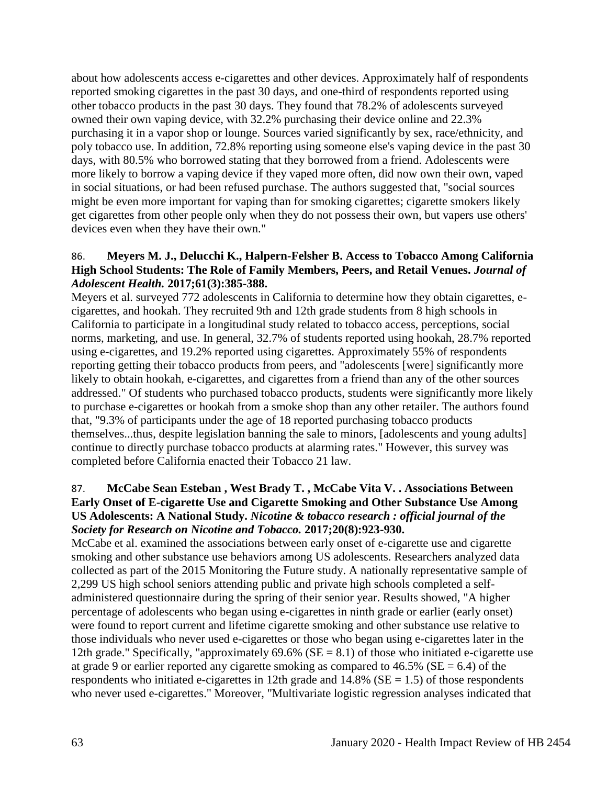about how adolescents access e-cigarettes and other devices. Approximately half of respondents reported smoking cigarettes in the past 30 days, and one-third of respondents reported using other tobacco products in the past 30 days. They found that 78.2% of adolescents surveyed owned their own vaping device, with 32.2% purchasing their device online and 22.3% purchasing it in a vapor shop or lounge. Sources varied significantly by sex, race/ethnicity, and poly tobacco use. In addition, 72.8% reporting using someone else's vaping device in the past 30 days, with 80.5% who borrowed stating that they borrowed from a friend. Adolescents were more likely to borrow a vaping device if they vaped more often, did now own their own, vaped in social situations, or had been refused purchase. The authors suggested that, "social sources might be even more important for vaping than for smoking cigarettes; cigarette smokers likely get cigarettes from other people only when they do not possess their own, but vapers use others' devices even when they have their own."

### 86. **Meyers M. J., Delucchi K., Halpern-Felsher B. Access to Tobacco Among California High School Students: The Role of Family Members, Peers, and Retail Venues.** *Journal of Adolescent Health.* **2017;61(3):385-388.**

Meyers et al. surveyed 772 adolescents in California to determine how they obtain cigarettes, ecigarettes, and hookah. They recruited 9th and 12th grade students from 8 high schools in California to participate in a longitudinal study related to tobacco access, perceptions, social norms, marketing, and use. In general, 32.7% of students reported using hookah, 28.7% reported using e-cigarettes, and 19.2% reported using cigarettes. Approximately 55% of respondents reporting getting their tobacco products from peers, and "adolescents [were] significantly more likely to obtain hookah, e-cigarettes, and cigarettes from a friend than any of the other sources addressed." Of students who purchased tobacco products, students were significantly more likely to purchase e-cigarettes or hookah from a smoke shop than any other retailer. The authors found that, "9.3% of participants under the age of 18 reported purchasing tobacco products themselves...thus, despite legislation banning the sale to minors, [adolescents and young adults] continue to directly purchase tobacco products at alarming rates." However, this survey was completed before California enacted their Tobacco 21 law.

## 87. **McCabe Sean Esteban , West Brady T. , McCabe Vita V. . Associations Between Early Onset of E-cigarette Use and Cigarette Smoking and Other Substance Use Among US Adolescents: A National Study.** *Nicotine & tobacco research : official journal of the Society for Research on Nicotine and Tobacco.* **2017;20(8):923-930.**

McCabe et al. examined the associations between early onset of e-cigarette use and cigarette smoking and other substance use behaviors among US adolescents. Researchers analyzed data collected as part of the 2015 Monitoring the Future study. A nationally representative sample of 2,299 US high school seniors attending public and private high schools completed a selfadministered questionnaire during the spring of their senior year. Results showed, "A higher percentage of adolescents who began using e-cigarettes in ninth grade or earlier (early onset) were found to report current and lifetime cigarette smoking and other substance use relative to those individuals who never used e-cigarettes or those who began using e-cigarettes later in the 12th grade." Specifically, "approximately  $69.6\%$  (SE = 8.1) of those who initiated e-cigarette use at grade 9 or earlier reported any cigarette smoking as compared to  $46.5\%$  (SE = 6.4) of the respondents who initiated e-cigarettes in 12th grade and  $14.8\%$  (SE = 1.5) of those respondents who never used e-cigarettes." Moreover, "Multivariate logistic regression analyses indicated that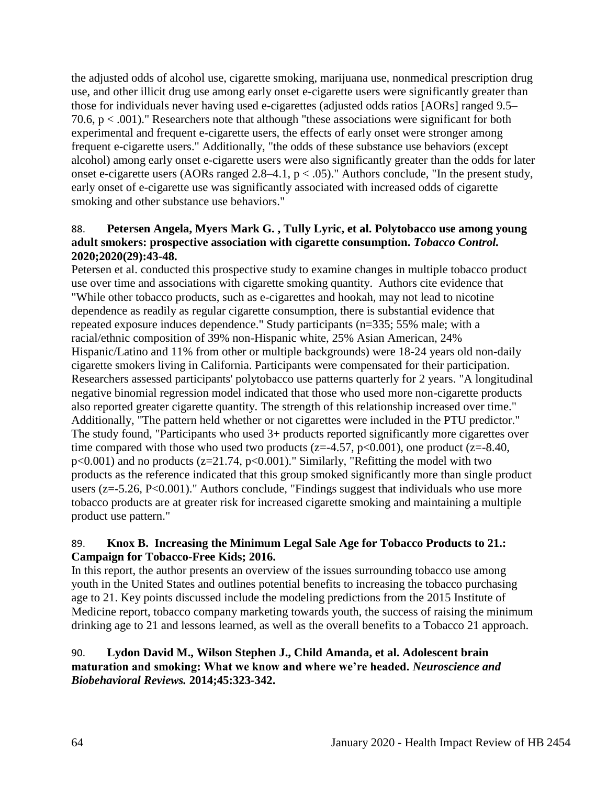the adjusted odds of alcohol use, cigarette smoking, marijuana use, nonmedical prescription drug use, and other illicit drug use among early onset e-cigarette users were significantly greater than those for individuals never having used e-cigarettes (adjusted odds ratios [AORs] ranged 9.5– 70.6, p < .001)." Researchers note that although "these associations were significant for both experimental and frequent e-cigarette users, the effects of early onset were stronger among frequent e-cigarette users." Additionally, "the odds of these substance use behaviors (except alcohol) among early onset e-cigarette users were also significantly greater than the odds for later onset e-cigarette users (AORs ranged  $2.8-4.1$ ,  $p < .05$ )." Authors conclude, "In the present study, early onset of e-cigarette use was significantly associated with increased odds of cigarette smoking and other substance use behaviors."

### 88. **Petersen Angela, Myers Mark G. , Tully Lyric, et al. Polytobacco use among young adult smokers: prospective association with cigarette consumption.** *Tobacco Control.*  **2020;2020(29):43-48.**

Petersen et al. conducted this prospective study to examine changes in multiple tobacco product use over time and associations with cigarette smoking quantity. Authors cite evidence that "While other tobacco products, such as e-cigarettes and hookah, may not lead to nicotine dependence as readily as regular cigarette consumption, there is substantial evidence that repeated exposure induces dependence." Study participants (n=335; 55% male; with a racial/ethnic composition of 39% non-Hispanic white, 25% Asian American, 24% Hispanic/Latino and 11% from other or multiple backgrounds) were 18-24 years old non-daily cigarette smokers living in California. Participants were compensated for their participation. Researchers assessed participants' polytobacco use patterns quarterly for 2 years. "A longitudinal negative binomial regression model indicated that those who used more non-cigarette products also reported greater cigarette quantity. The strength of this relationship increased over time." Additionally, "The pattern held whether or not cigarettes were included in the PTU predictor." The study found, "Participants who used 3+ products reported significantly more cigarettes over time compared with those who used two products ( $z=4.57$ ,  $p<0.001$ ), one product ( $z=8.40$ ,  $p<0.001$ ) and no products ( $z=21.74$ ,  $p<0.001$ )." Similarly, "Refitting the model with two products as the reference indicated that this group smoked significantly more than single product users ( $z = -5.26$ ,  $P < 0.001$ )." Authors conclude, "Findings suggest that individuals who use more tobacco products are at greater risk for increased cigarette smoking and maintaining a multiple product use pattern."

## 89. **Knox B. Increasing the Minimum Legal Sale Age for Tobacco Products to 21.: Campaign for Tobacco-Free Kids; 2016.**

In this report, the author presents an overview of the issues surrounding tobacco use among youth in the United States and outlines potential benefits to increasing the tobacco purchasing age to 21. Key points discussed include the modeling predictions from the 2015 Institute of Medicine report, tobacco company marketing towards youth, the success of raising the minimum drinking age to 21 and lessons learned, as well as the overall benefits to a Tobacco 21 approach.

## 90. **Lydon David M., Wilson Stephen J., Child Amanda, et al. Adolescent brain maturation and smoking: What we know and where we're headed.** *Neuroscience and Biobehavioral Reviews.* **2014;45:323-342.**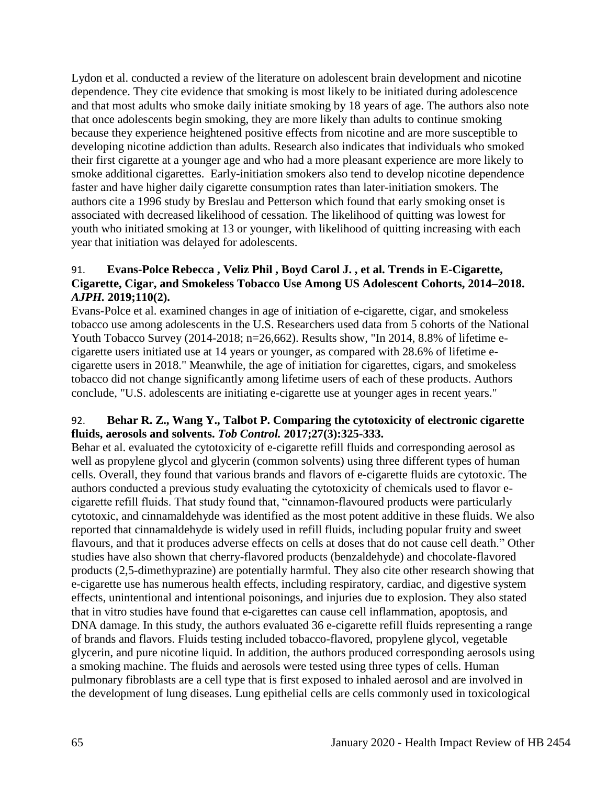Lydon et al. conducted a review of the literature on adolescent brain development and nicotine dependence. They cite evidence that smoking is most likely to be initiated during adolescence and that most adults who smoke daily initiate smoking by 18 years of age. The authors also note that once adolescents begin smoking, they are more likely than adults to continue smoking because they experience heightened positive effects from nicotine and are more susceptible to developing nicotine addiction than adults. Research also indicates that individuals who smoked their first cigarette at a younger age and who had a more pleasant experience are more likely to smoke additional cigarettes. Early-initiation smokers also tend to develop nicotine dependence faster and have higher daily cigarette consumption rates than later-initiation smokers. The authors cite a 1996 study by Breslau and Petterson which found that early smoking onset is associated with decreased likelihood of cessation. The likelihood of quitting was lowest for youth who initiated smoking at 13 or younger, with likelihood of quitting increasing with each year that initiation was delayed for adolescents.

## 91. **Evans-Polce Rebecca , Veliz Phil , Boyd Carol J. , et al. Trends in E-Cigarette, Cigarette, Cigar, and Smokeless Tobacco Use Among US Adolescent Cohorts, 2014–2018.**  *AJPH.* **2019;110(2).**

Evans-Polce et al. examined changes in age of initiation of e-cigarette, cigar, and smokeless tobacco use among adolescents in the U.S. Researchers used data from 5 cohorts of the National Youth Tobacco Survey (2014-2018; n=26,662). Results show, "In 2014, 8.8% of lifetime ecigarette users initiated use at 14 years or younger, as compared with 28.6% of lifetime ecigarette users in 2018." Meanwhile, the age of initiation for cigarettes, cigars, and smokeless tobacco did not change significantly among lifetime users of each of these products. Authors conclude, "U.S. adolescents are initiating e-cigarette use at younger ages in recent years."

## 92. **Behar R. Z., Wang Y., Talbot P. Comparing the cytotoxicity of electronic cigarette fluids, aerosols and solvents.** *Tob Control.* **2017;27(3):325-333.**

Behar et al. evaluated the cytotoxicity of e-cigarette refill fluids and corresponding aerosol as well as propylene glycol and glycerin (common solvents) using three different types of human cells. Overall, they found that various brands and flavors of e-cigarette fluids are cytotoxic. The authors conducted a previous study evaluating the cytotoxicity of chemicals used to flavor ecigarette refill fluids. That study found that, "cinnamon-flavoured products were particularly cytotoxic, and cinnamaldehyde was identified as the most potent additive in these fluids. We also reported that cinnamaldehyde is widely used in refill fluids, including popular fruity and sweet flavours, and that it produces adverse effects on cells at doses that do not cause cell death." Other studies have also shown that cherry-flavored products (benzaldehyde) and chocolate-flavored products (2,5-dimethyprazine) are potentially harmful. They also cite other research showing that e-cigarette use has numerous health effects, including respiratory, cardiac, and digestive system effects, unintentional and intentional poisonings, and injuries due to explosion. They also stated that in vitro studies have found that e-cigarettes can cause cell inflammation, apoptosis, and DNA damage. In this study, the authors evaluated 36 e-cigarette refill fluids representing a range of brands and flavors. Fluids testing included tobacco-flavored, propylene glycol, vegetable glycerin, and pure nicotine liquid. In addition, the authors produced corresponding aerosols using a smoking machine. The fluids and aerosols were tested using three types of cells. Human pulmonary fibroblasts are a cell type that is first exposed to inhaled aerosol and are involved in the development of lung diseases. Lung epithelial cells are cells commonly used in toxicological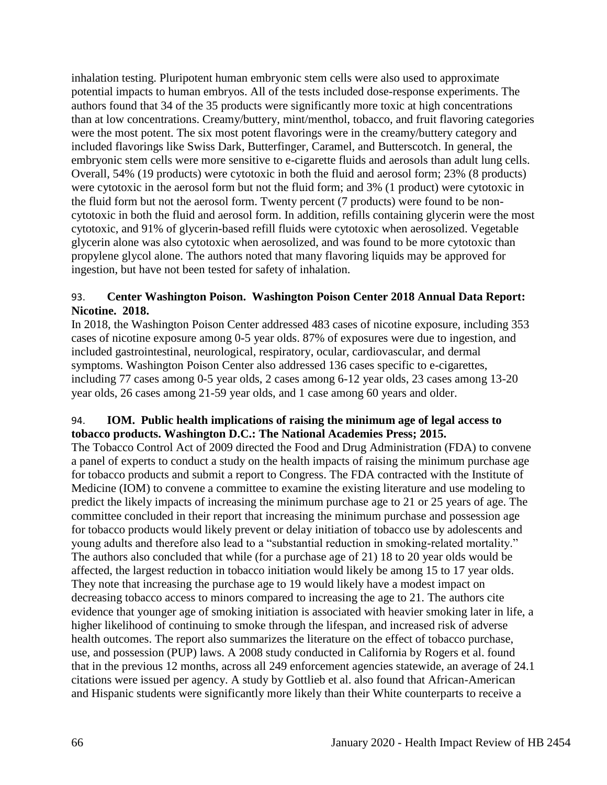inhalation testing. Pluripotent human embryonic stem cells were also used to approximate potential impacts to human embryos. All of the tests included dose-response experiments. The authors found that 34 of the 35 products were significantly more toxic at high concentrations than at low concentrations. Creamy/buttery, mint/menthol, tobacco, and fruit flavoring categories were the most potent. The six most potent flavorings were in the creamy/buttery category and included flavorings like Swiss Dark, Butterfinger, Caramel, and Butterscotch. In general, the embryonic stem cells were more sensitive to e-cigarette fluids and aerosols than adult lung cells. Overall, 54% (19 products) were cytotoxic in both the fluid and aerosol form; 23% (8 products) were cytotoxic in the aerosol form but not the fluid form; and 3% (1 product) were cytotoxic in the fluid form but not the aerosol form. Twenty percent (7 products) were found to be noncytotoxic in both the fluid and aerosol form. In addition, refills containing glycerin were the most cytotoxic, and 91% of glycerin-based refill fluids were cytotoxic when aerosolized. Vegetable glycerin alone was also cytotoxic when aerosolized, and was found to be more cytotoxic than propylene glycol alone. The authors noted that many flavoring liquids may be approved for ingestion, but have not been tested for safety of inhalation.

## 93. **Center Washington Poison. Washington Poison Center 2018 Annual Data Report: Nicotine. 2018.**

In 2018, the Washington Poison Center addressed 483 cases of nicotine exposure, including 353 cases of nicotine exposure among 0-5 year olds. 87% of exposures were due to ingestion, and included gastrointestinal, neurological, respiratory, ocular, cardiovascular, and dermal symptoms. Washington Poison Center also addressed 136 cases specific to e-cigarettes, including 77 cases among 0-5 year olds, 2 cases among 6-12 year olds, 23 cases among 13-20 year olds, 26 cases among 21-59 year olds, and 1 case among 60 years and older.

## 94. **IOM. Public health implications of raising the minimum age of legal access to tobacco products. Washington D.C.: The National Academies Press; 2015.**

The Tobacco Control Act of 2009 directed the Food and Drug Administration (FDA) to convene a panel of experts to conduct a study on the health impacts of raising the minimum purchase age for tobacco products and submit a report to Congress. The FDA contracted with the Institute of Medicine (IOM) to convene a committee to examine the existing literature and use modeling to predict the likely impacts of increasing the minimum purchase age to 21 or 25 years of age. The committee concluded in their report that increasing the minimum purchase and possession age for tobacco products would likely prevent or delay initiation of tobacco use by adolescents and young adults and therefore also lead to a "substantial reduction in smoking-related mortality." The authors also concluded that while (for a purchase age of 21) 18 to 20 year olds would be affected, the largest reduction in tobacco initiation would likely be among 15 to 17 year olds. They note that increasing the purchase age to 19 would likely have a modest impact on decreasing tobacco access to minors compared to increasing the age to 21. The authors cite evidence that younger age of smoking initiation is associated with heavier smoking later in life, a higher likelihood of continuing to smoke through the lifespan, and increased risk of adverse health outcomes. The report also summarizes the literature on the effect of tobacco purchase, use, and possession (PUP) laws. A 2008 study conducted in California by Rogers et al. found that in the previous 12 months, across all 249 enforcement agencies statewide, an average of 24.1 citations were issued per agency. A study by Gottlieb et al. also found that African-American and Hispanic students were significantly more likely than their White counterparts to receive a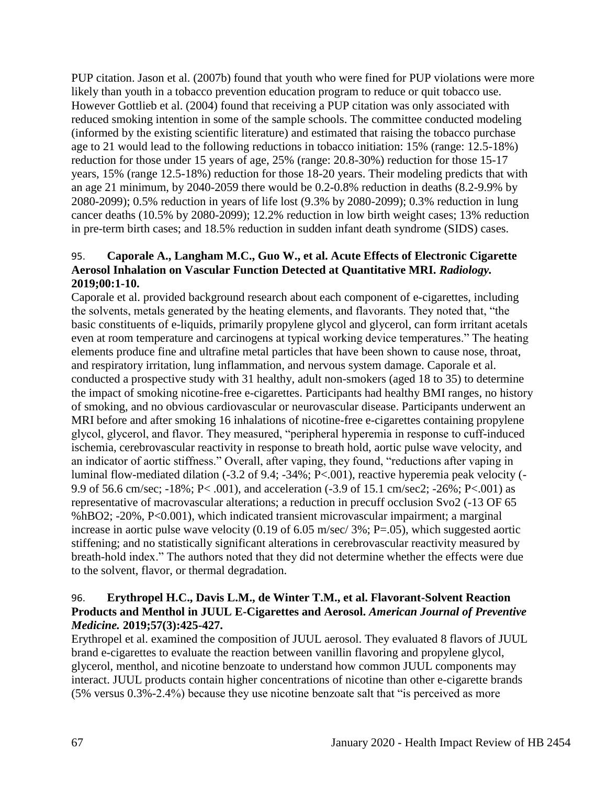PUP citation. Jason et al. (2007b) found that youth who were fined for PUP violations were more likely than youth in a tobacco prevention education program to reduce or quit tobacco use. However Gottlieb et al. (2004) found that receiving a PUP citation was only associated with reduced smoking intention in some of the sample schools. The committee conducted modeling (informed by the existing scientific literature) and estimated that raising the tobacco purchase age to 21 would lead to the following reductions in tobacco initiation: 15% (range: 12.5-18%) reduction for those under 15 years of age, 25% (range: 20.8-30%) reduction for those 15-17 years, 15% (range 12.5-18%) reduction for those 18-20 years. Their modeling predicts that with an age 21 minimum, by 2040-2059 there would be 0.2-0.8% reduction in deaths (8.2-9.9% by 2080-2099); 0.5% reduction in years of life lost (9.3% by 2080-2099); 0.3% reduction in lung cancer deaths (10.5% by 2080-2099); 12.2% reduction in low birth weight cases; 13% reduction in pre-term birth cases; and 18.5% reduction in sudden infant death syndrome (SIDS) cases.

## 95. **Caporale A., Langham M.C., Guo W., et al. Acute Effects of Electronic Cigarette Aerosol Inhalation on Vascular Function Detected at Quantitative MRI.** *Radiology.*  **2019;00:1-10.**

Caporale et al. provided background research about each component of e-cigarettes, including the solvents, metals generated by the heating elements, and flavorants. They noted that, "the basic constituents of e-liquids, primarily propylene glycol and glycerol, can form irritant acetals even at room temperature and carcinogens at typical working device temperatures." The heating elements produce fine and ultrafine metal particles that have been shown to cause nose, throat, and respiratory irritation, lung inflammation, and nervous system damage. Caporale et al. conducted a prospective study with 31 healthy, adult non-smokers (aged 18 to 35) to determine the impact of smoking nicotine-free e-cigarettes. Participants had healthy BMI ranges, no history of smoking, and no obvious cardiovascular or neurovascular disease. Participants underwent an MRI before and after smoking 16 inhalations of nicotine-free e-cigarettes containing propylene glycol, glycerol, and flavor. They measured, "peripheral hyperemia in response to cuff-induced ischemia, cerebrovascular reactivity in response to breath hold, aortic pulse wave velocity, and an indicator of aortic stiffness." Overall, after vaping, they found, "reductions after vaping in luminal flow-mediated dilation (-3.2 of 9.4; -34%; P<.001), reactive hyperemia peak velocity (- 9.9 of 56.6 cm/sec; -18%; P< .001), and acceleration (-3.9 of 15.1 cm/sec2; -26%; P<.001) as representative of macrovascular alterations; a reduction in precuff occlusion Svo2 (-13 OF 65 %hBO2; -20%, P<0.001), which indicated transient microvascular impairment; a marginal increase in aortic pulse wave velocity (0.19 of 6.05 m/sec/ 3%; P=.05), which suggested aortic stiffening; and no statistically significant alterations in cerebrovascular reactivity measured by breath-hold index." The authors noted that they did not determine whether the effects were due to the solvent, flavor, or thermal degradation.

## 96. **Erythropel H.C., Davis L.M., de Winter T.M., et al. Flavorant-Solvent Reaction Products and Menthol in JUUL E-Cigarettes and Aerosol.** *American Journal of Preventive Medicine.* **2019;57(3):425-427.**

Erythropel et al. examined the composition of JUUL aerosol. They evaluated 8 flavors of JUUL brand e-cigarettes to evaluate the reaction between vanillin flavoring and propylene glycol, glycerol, menthol, and nicotine benzoate to understand how common JUUL components may interact. JUUL products contain higher concentrations of nicotine than other e-cigarette brands (5% versus 0.3%-2.4%) because they use nicotine benzoate salt that "is perceived as more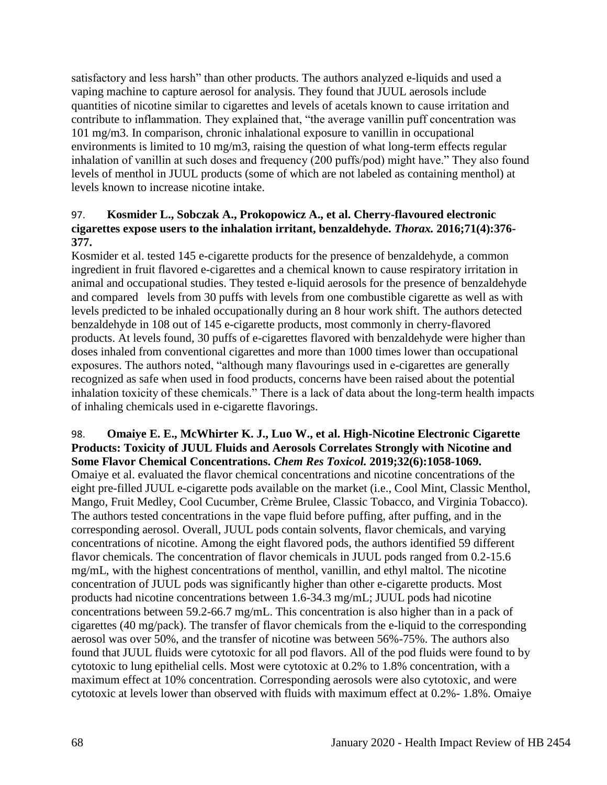satisfactory and less harsh" than other products. The authors analyzed e-liquids and used a vaping machine to capture aerosol for analysis. They found that JUUL aerosols include quantities of nicotine similar to cigarettes and levels of acetals known to cause irritation and contribute to inflammation. They explained that, "the average vanillin puff concentration was 101 mg/m3. In comparison, chronic inhalational exposure to vanillin in occupational environments is limited to 10 mg/m3, raising the question of what long-term effects regular inhalation of vanillin at such doses and frequency (200 puffs/pod) might have." They also found levels of menthol in JUUL products (some of which are not labeled as containing menthol) at levels known to increase nicotine intake.

## 97. **Kosmider L., Sobczak A., Prokopowicz A., et al. Cherry-flavoured electronic cigarettes expose users to the inhalation irritant, benzaldehyde.** *Thorax.* **2016;71(4):376- 377.**

Kosmider et al. tested 145 e-cigarette products for the presence of benzaldehyde, a common ingredient in fruit flavored e-cigarettes and a chemical known to cause respiratory irritation in animal and occupational studies. They tested e-liquid aerosols for the presence of benzaldehyde and compared levels from 30 puffs with levels from one combustible cigarette as well as with levels predicted to be inhaled occupationally during an 8 hour work shift. The authors detected benzaldehyde in 108 out of 145 e-cigarette products, most commonly in cherry-flavored products. At levels found, 30 puffs of e-cigarettes flavored with benzaldehyde were higher than doses inhaled from conventional cigarettes and more than 1000 times lower than occupational exposures. The authors noted, "although many flavourings used in e-cigarettes are generally recognized as safe when used in food products, concerns have been raised about the potential inhalation toxicity of these chemicals." There is a lack of data about the long-term health impacts of inhaling chemicals used in e-cigarette flavorings.

#### 98. **Omaiye E. E., McWhirter K. J., Luo W., et al. High-Nicotine Electronic Cigarette Products: Toxicity of JUUL Fluids and Aerosols Correlates Strongly with Nicotine and Some Flavor Chemical Concentrations.** *Chem Res Toxicol.* **2019;32(6):1058-1069.**

Omaiye et al. evaluated the flavor chemical concentrations and nicotine concentrations of the eight pre-filled JUUL e-cigarette pods available on the market (i.e., Cool Mint, Classic Menthol, Mango, Fruit Medley, Cool Cucumber, Crème Brulee, Classic Tobacco, and Virginia Tobacco). The authors tested concentrations in the vape fluid before puffing, after puffing, and in the corresponding aerosol. Overall, JUUL pods contain solvents, flavor chemicals, and varying concentrations of nicotine. Among the eight flavored pods, the authors identified 59 different flavor chemicals. The concentration of flavor chemicals in JUUL pods ranged from 0.2-15.6 mg/mL, with the highest concentrations of menthol, vanillin, and ethyl maltol. The nicotine concentration of JUUL pods was significantly higher than other e-cigarette products. Most products had nicotine concentrations between 1.6-34.3 mg/mL; JUUL pods had nicotine concentrations between 59.2-66.7 mg/mL. This concentration is also higher than in a pack of cigarettes (40 mg/pack). The transfer of flavor chemicals from the e-liquid to the corresponding aerosol was over 50%, and the transfer of nicotine was between 56%-75%. The authors also found that JUUL fluids were cytotoxic for all pod flavors. All of the pod fluids were found to by cytotoxic to lung epithelial cells. Most were cytotoxic at 0.2% to 1.8% concentration, with a maximum effect at 10% concentration. Corresponding aerosols were also cytotoxic, and were cytotoxic at levels lower than observed with fluids with maximum effect at 0.2%- 1.8%. Omaiye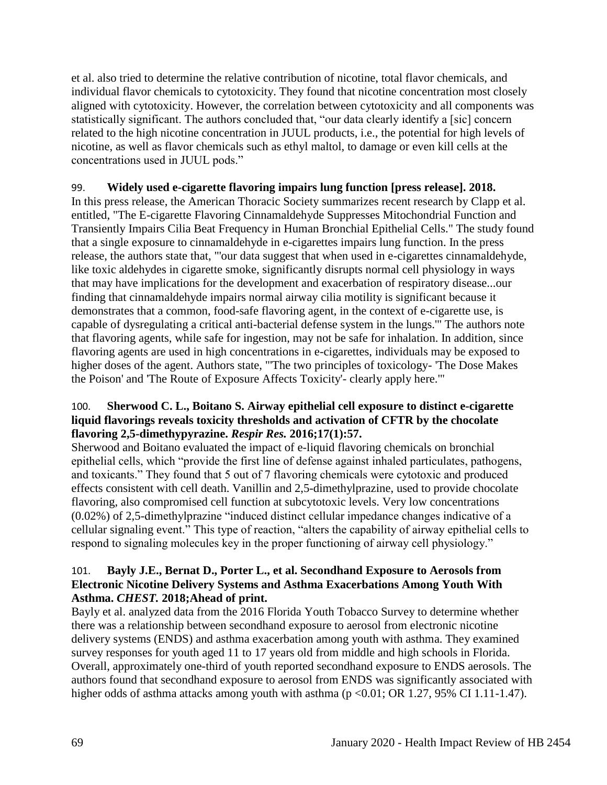et al. also tried to determine the relative contribution of nicotine, total flavor chemicals, and individual flavor chemicals to cytotoxicity. They found that nicotine concentration most closely aligned with cytotoxicity. However, the correlation between cytotoxicity and all components was statistically significant. The authors concluded that, "our data clearly identify a [sic] concern related to the high nicotine concentration in JUUL products, i.e., the potential for high levels of nicotine, as well as flavor chemicals such as ethyl maltol, to damage or even kill cells at the concentrations used in JUUL pods."

## 99. **Widely used e-cigarette flavoring impairs lung function [press release]. 2018.**

In this press release, the American Thoracic Society summarizes recent research by Clapp et al. entitled, "The E-cigarette Flavoring Cinnamaldehyde Suppresses Mitochondrial Function and Transiently Impairs Cilia Beat Frequency in Human Bronchial Epithelial Cells." The study found that a single exposure to cinnamaldehyde in e-cigarettes impairs lung function. In the press release, the authors state that, "'our data suggest that when used in e-cigarettes cinnamaldehyde, like toxic aldehydes in cigarette smoke, significantly disrupts normal cell physiology in ways that may have implications for the development and exacerbation of respiratory disease...our finding that cinnamaldehyde impairs normal airway cilia motility is significant because it demonstrates that a common, food-safe flavoring agent, in the context of e-cigarette use, is capable of dysregulating a critical anti-bacterial defense system in the lungs.'" The authors note that flavoring agents, while safe for ingestion, may not be safe for inhalation. In addition, since flavoring agents are used in high concentrations in e-cigarettes, individuals may be exposed to higher doses of the agent. Authors state, "'The two principles of toxicology- 'The Dose Makes the Poison' and 'The Route of Exposure Affects Toxicity'- clearly apply here.'"

## 100. **Sherwood C. L., Boitano S. Airway epithelial cell exposure to distinct e-cigarette liquid flavorings reveals toxicity thresholds and activation of CFTR by the chocolate flavoring 2,5-dimethypyrazine.** *Respir Res.* **2016;17(1):57.**

Sherwood and Boitano evaluated the impact of e-liquid flavoring chemicals on bronchial epithelial cells, which "provide the first line of defense against inhaled particulates, pathogens, and toxicants." They found that 5 out of 7 flavoring chemicals were cytotoxic and produced effects consistent with cell death. Vanillin and 2,5-dimethylprazine, used to provide chocolate flavoring, also compromised cell function at subcytotoxic levels. Very low concentrations (0.02%) of 2,5-dimethylprazine "induced distinct cellular impedance changes indicative of a cellular signaling event." This type of reaction, "alters the capability of airway epithelial cells to respond to signaling molecules key in the proper functioning of airway cell physiology."

#### 101. **Bayly J.E., Bernat D., Porter L., et al. Secondhand Exposure to Aerosols from Electronic Nicotine Delivery Systems and Asthma Exacerbations Among Youth With Asthma.** *CHEST.* **2018;Ahead of print.**

Bayly et al. analyzed data from the 2016 Florida Youth Tobacco Survey to determine whether there was a relationship between secondhand exposure to aerosol from electronic nicotine delivery systems (ENDS) and asthma exacerbation among youth with asthma. They examined survey responses for youth aged 11 to 17 years old from middle and high schools in Florida. Overall, approximately one-third of youth reported secondhand exposure to ENDS aerosols. The authors found that secondhand exposure to aerosol from ENDS was significantly associated with higher odds of asthma attacks among youth with asthma  $(p < 0.01$ ; OR 1.27, 95% CI 1.11-1.47).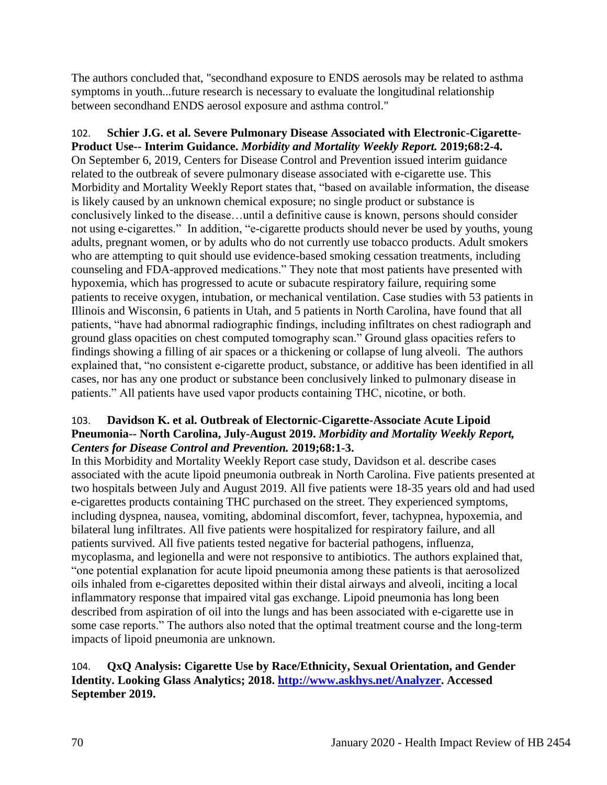The authors concluded that, "secondhand exposure to ENDS aerosols may be related to asthma symptoms in youth...future research is necessary to evaluate the longitudinal relationship between secondhand ENDS aerosol exposure and asthma control."

102. **Schier J.G. et al. Severe Pulmonary Disease Associated with Electronic-Cigarette-Product Use-- Interim Guidance.** *Morbidity and Mortality Weekly Report.* **2019;68:2-4.** On September 6, 2019, Centers for Disease Control and Prevention issued interim guidance related to the outbreak of severe pulmonary disease associated with e-cigarette use. This Morbidity and Mortality Weekly Report states that, "based on available information, the disease is likely caused by an unknown chemical exposure; no single product or substance is conclusively linked to the disease…until a definitive cause is known, persons should consider not using e-cigarettes." In addition, "e-cigarette products should never be used by youths, young adults, pregnant women, or by adults who do not currently use tobacco products. Adult smokers who are attempting to quit should use evidence-based smoking cessation treatments, including counseling and FDA-approved medications." They note that most patients have presented with hypoxemia, which has progressed to acute or subacute respiratory failure, requiring some patients to receive oxygen, intubation, or mechanical ventilation. Case studies with 53 patients in Illinois and Wisconsin, 6 patients in Utah, and 5 patients in North Carolina, have found that all patients, "have had abnormal radiographic findings, including infiltrates on chest radiograph and ground glass opacities on chest computed tomography scan." Ground glass opacities refers to findings showing a filling of air spaces or a thickening or collapse of lung alveoli. The authors explained that, "no consistent e-cigarette product, substance, or additive has been identified in all cases, nor has any one product or substance been conclusively linked to pulmonary disease in patients." All patients have used vapor products containing THC, nicotine, or both.

# 103. **Davidson K. et al. Outbreak of Electornic-Cigarette-Associate Acute Lipoid Pneumonia-- North Carolina, July-August 2019.** *Morbidity and Mortality Weekly Report, Centers for Disease Control and Prevention.* **2019;68:1-3.**

In this Morbidity and Mortality Weekly Report case study, Davidson et al. describe cases associated with the acute lipoid pneumonia outbreak in North Carolina. Five patients presented at two hospitals between July and August 2019. All five patients were 18-35 years old and had used e-cigarettes products containing THC purchased on the street. They experienced symptoms, including dyspnea, nausea, vomiting, abdominal discomfort, fever, tachypnea, hypoxemia, and bilateral lung infiltrates. All five patients were hospitalized for respiratory failure, and all patients survived. All five patients tested negative for bacterial pathogens, influenza, mycoplasma, and legionella and were not responsive to antibiotics. The authors explained that, "one potential explanation for acute lipoid pneumonia among these patients is that aerosolized oils inhaled from e-cigarettes deposited within their distal airways and alveoli, inciting a local inflammatory response that impaired vital gas exchange. Lipoid pneumonia has long been described from aspiration of oil into the lungs and has been associated with e-cigarette use in some case reports." The authors also noted that the optimal treatment course and the long-term impacts of lipoid pneumonia are unknown.

## 104. **QxQ Analysis: Cigarette Use by Race/Ethnicity, Sexual Orientation, and Gender Identity. Looking Glass Analytics; 2018. [http://www.askhys.net/Analyzer.](http://www.askhys.net/Analyzer) Accessed September 2019.**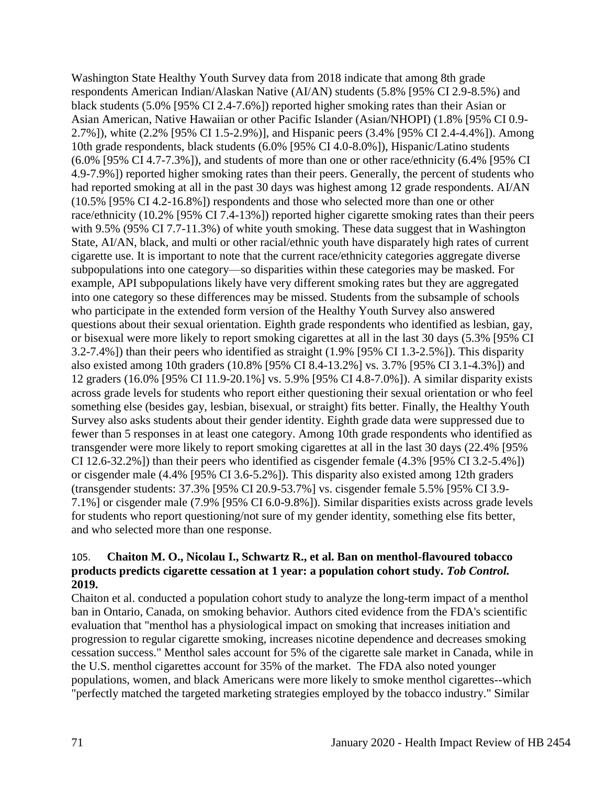Washington State Healthy Youth Survey data from 2018 indicate that among 8th grade respondents American Indian/Alaskan Native (AI/AN) students (5.8% [95% CI 2.9-8.5%) and black students (5.0% [95% CI 2.4-7.6%]) reported higher smoking rates than their Asian or Asian American, Native Hawaiian or other Pacific Islander (Asian/NHOPI) (1.8% [95% CI 0.9- 2.7%]), white (2.2% [95% CI 1.5-2.9%)], and Hispanic peers (3.4% [95% CI 2.4-4.4%]). Among 10th grade respondents, black students (6.0% [95% CI 4.0-8.0%]), Hispanic/Latino students (6.0% [95% CI 4.7-7.3%]), and students of more than one or other race/ethnicity (6.4% [95% CI 4.9-7.9%]) reported higher smoking rates than their peers. Generally, the percent of students who had reported smoking at all in the past 30 days was highest among 12 grade respondents. AI/AN (10.5% [95% CI 4.2-16.8%]) respondents and those who selected more than one or other race/ethnicity (10.2% [95% CI 7.4-13%]) reported higher cigarette smoking rates than their peers with 9.5% (95% CI 7.7-11.3%) of white youth smoking. These data suggest that in Washington State, AI/AN, black, and multi or other racial/ethnic youth have disparately high rates of current cigarette use. It is important to note that the current race/ethnicity categories aggregate diverse subpopulations into one category—so disparities within these categories may be masked. For example, API subpopulations likely have very different smoking rates but they are aggregated into one category so these differences may be missed. Students from the subsample of schools who participate in the extended form version of the Healthy Youth Survey also answered questions about their sexual orientation. Eighth grade respondents who identified as lesbian, gay, or bisexual were more likely to report smoking cigarettes at all in the last 30 days (5.3% [95% CI 3.2-7.4%]) than their peers who identified as straight (1.9% [95% CI 1.3-2.5%]). This disparity also existed among 10th graders (10.8% [95% CI 8.4-13.2%] vs. 3.7% [95% CI 3.1-4.3%]) and 12 graders (16.0% [95% CI 11.9-20.1%] vs. 5.9% [95% CI 4.8-7.0%]). A similar disparity exists across grade levels for students who report either questioning their sexual orientation or who feel something else (besides gay, lesbian, bisexual, or straight) fits better. Finally, the Healthy Youth Survey also asks students about their gender identity. Eighth grade data were suppressed due to fewer than 5 responses in at least one category. Among 10th grade respondents who identified as transgender were more likely to report smoking cigarettes at all in the last 30 days (22.4% [95% CI 12.6-32.2%]) than their peers who identified as cisgender female (4.3% [95% CI 3.2-5.4%]) or cisgender male (4.4% [95% CI 3.6-5.2%]). This disparity also existed among 12th graders (transgender students: 37.3% [95% CI 20.9-53.7%] vs. cisgender female 5.5% [95% CI 3.9- 7.1%] or cisgender male (7.9% [95% CI 6.0-9.8%]). Similar disparities exists across grade levels for students who report questioning/not sure of my gender identity, something else fits better, and who selected more than one response.

## 105. **Chaiton M. O., Nicolau I., Schwartz R., et al. Ban on menthol-flavoured tobacco products predicts cigarette cessation at 1 year: a population cohort study.** *Tob Control.*  **2019.**

Chaiton et al. conducted a population cohort study to analyze the long-term impact of a menthol ban in Ontario, Canada, on smoking behavior. Authors cited evidence from the FDA's scientific evaluation that "menthol has a physiological impact on smoking that increases initiation and progression to regular cigarette smoking, increases nicotine dependence and decreases smoking cessation success." Menthol sales account for 5% of the cigarette sale market in Canada, while in the U.S. menthol cigarettes account for 35% of the market. The FDA also noted younger populations, women, and black Americans were more likely to smoke menthol cigarettes--which "perfectly matched the targeted marketing strategies employed by the tobacco industry." Similar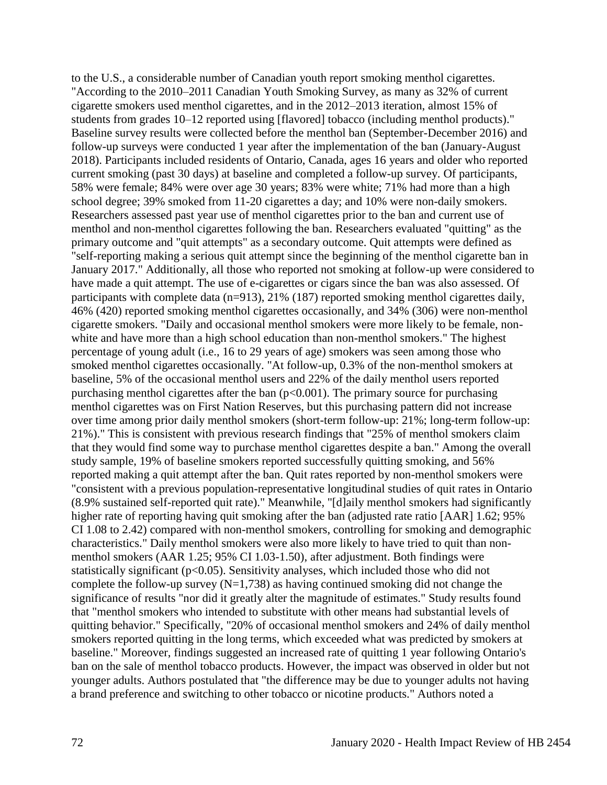to the U.S., a considerable number of Canadian youth report smoking menthol cigarettes. "According to the 2010–2011 Canadian Youth Smoking Survey, as many as 32% of current cigarette smokers used menthol cigarettes, and in the 2012–2013 iteration, almost 15% of students from grades 10–12 reported using [flavored] tobacco (including menthol products)." Baseline survey results were collected before the menthol ban (September-December 2016) and follow-up surveys were conducted 1 year after the implementation of the ban (January-August 2018). Participants included residents of Ontario, Canada, ages 16 years and older who reported current smoking (past 30 days) at baseline and completed a follow-up survey. Of participants, 58% were female; 84% were over age 30 years; 83% were white; 71% had more than a high school degree; 39% smoked from 11-20 cigarettes a day; and 10% were non-daily smokers. Researchers assessed past year use of menthol cigarettes prior to the ban and current use of menthol and non-menthol cigarettes following the ban. Researchers evaluated "quitting" as the primary outcome and "quit attempts" as a secondary outcome. Quit attempts were defined as "self-reporting making a serious quit attempt since the beginning of the menthol cigarette ban in January 2017." Additionally, all those who reported not smoking at follow-up were considered to have made a quit attempt. The use of e-cigarettes or cigars since the ban was also assessed. Of participants with complete data (n=913), 21% (187) reported smoking menthol cigarettes daily, 46% (420) reported smoking menthol cigarettes occasionally, and 34% (306) were non-menthol cigarette smokers. "Daily and occasional menthol smokers were more likely to be female, nonwhite and have more than a high school education than non-menthol smokers." The highest percentage of young adult (i.e., 16 to 29 years of age) smokers was seen among those who smoked menthol cigarettes occasionally. "At follow-up, 0.3% of the non-menthol smokers at baseline, 5% of the occasional menthol users and 22% of the daily menthol users reported purchasing menthol cigarettes after the ban  $(p<0.001)$ . The primary source for purchasing menthol cigarettes was on First Nation Reserves, but this purchasing pattern did not increase over time among prior daily menthol smokers (short-term follow-up: 21%; long-term follow-up: 21%)." This is consistent with previous research findings that "25% of menthol smokers claim that they would find some way to purchase menthol cigarettes despite a ban." Among the overall study sample, 19% of baseline smokers reported successfully quitting smoking, and 56% reported making a quit attempt after the ban. Quit rates reported by non-menthol smokers were "consistent with a previous population-representative longitudinal studies of quit rates in Ontario (8.9% sustained self-reported quit rate)." Meanwhile, "[d]aily menthol smokers had significantly higher rate of reporting having quit smoking after the ban (adjusted rate ratio [AAR] 1.62; 95% CI 1.08 to 2.42) compared with non-menthol smokers, controlling for smoking and demographic characteristics." Daily menthol smokers were also more likely to have tried to quit than nonmenthol smokers (AAR 1.25; 95% CI 1.03-1.50), after adjustment. Both findings were statistically significant ( $p<0.05$ ). Sensitivity analyses, which included those who did not complete the follow-up survey  $(N=1,738)$  as having continued smoking did not change the significance of results "nor did it greatly alter the magnitude of estimates." Study results found that "menthol smokers who intended to substitute with other means had substantial levels of quitting behavior." Specifically, "20% of occasional menthol smokers and 24% of daily menthol smokers reported quitting in the long terms, which exceeded what was predicted by smokers at baseline." Moreover, findings suggested an increased rate of quitting 1 year following Ontario's ban on the sale of menthol tobacco products. However, the impact was observed in older but not younger adults. Authors postulated that "the difference may be due to younger adults not having a brand preference and switching to other tobacco or nicotine products." Authors noted a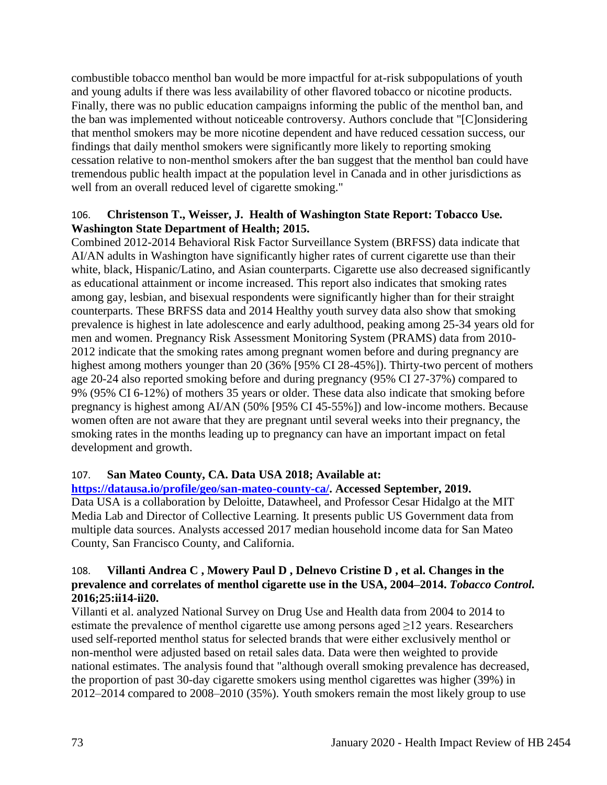combustible tobacco menthol ban would be more impactful for at-risk subpopulations of youth and young adults if there was less availability of other flavored tobacco or nicotine products. Finally, there was no public education campaigns informing the public of the menthol ban, and the ban was implemented without noticeable controversy. Authors conclude that "[C]onsidering that menthol smokers may be more nicotine dependent and have reduced cessation success, our findings that daily menthol smokers were significantly more likely to reporting smoking cessation relative to non-menthol smokers after the ban suggest that the menthol ban could have tremendous public health impact at the population level in Canada and in other jurisdictions as well from an overall reduced level of cigarette smoking."

## 106. **Christenson T., Weisser, J. Health of Washington State Report: Tobacco Use. Washington State Department of Health; 2015.**

Combined 2012-2014 Behavioral Risk Factor Surveillance System (BRFSS) data indicate that AI/AN adults in Washington have significantly higher rates of current cigarette use than their white, black, Hispanic/Latino, and Asian counterparts. Cigarette use also decreased significantly as educational attainment or income increased. This report also indicates that smoking rates among gay, lesbian, and bisexual respondents were significantly higher than for their straight counterparts. These BRFSS data and 2014 Healthy youth survey data also show that smoking prevalence is highest in late adolescence and early adulthood, peaking among 25-34 years old for men and women. Pregnancy Risk Assessment Monitoring System (PRAMS) data from 2010- 2012 indicate that the smoking rates among pregnant women before and during pregnancy are highest among mothers younger than 20 (36% [95% CI 28-45%]). Thirty-two percent of mothers age 20-24 also reported smoking before and during pregnancy (95% CI 27-37%) compared to 9% (95% CI 6-12%) of mothers 35 years or older. These data also indicate that smoking before pregnancy is highest among AI/AN (50% [95% CI 45-55%]) and low-income mothers. Because women often are not aware that they are pregnant until several weeks into their pregnancy, the smoking rates in the months leading up to pregnancy can have an important impact on fetal development and growth.

## 107. **San Mateo County, CA. Data USA 2018; Available at:**

## **[https://datausa.io/profile/geo/san-mateo-county-ca/.](https://datausa.io/profile/geo/san-mateo-county-ca/) Accessed September, 2019.**

Data USA is a collaboration by Deloitte, Datawheel, and Professor Cesar Hidalgo at the MIT Media Lab and Director of Collective Learning. It presents public US Government data from multiple data sources. Analysts accessed 2017 median household income data for San Mateo County, San Francisco County, and California.

#### 108. **Villanti Andrea C , Mowery Paul D , Delnevo Cristine D , et al. Changes in the prevalence and correlates of menthol cigarette use in the USA, 2004–2014.** *Tobacco Control.*  **2016;25:ii14-ii20.**

Villanti et al. analyzed National Survey on Drug Use and Health data from 2004 to 2014 to estimate the prevalence of menthol cigarette use among persons aged  $\geq$ 12 years. Researchers used self-reported menthol status for selected brands that were either exclusively menthol or non-menthol were adjusted based on retail sales data. Data were then weighted to provide national estimates. The analysis found that "although overall smoking prevalence has decreased, the proportion of past 30-day cigarette smokers using menthol cigarettes was higher (39%) in 2012–2014 compared to 2008–2010 (35%). Youth smokers remain the most likely group to use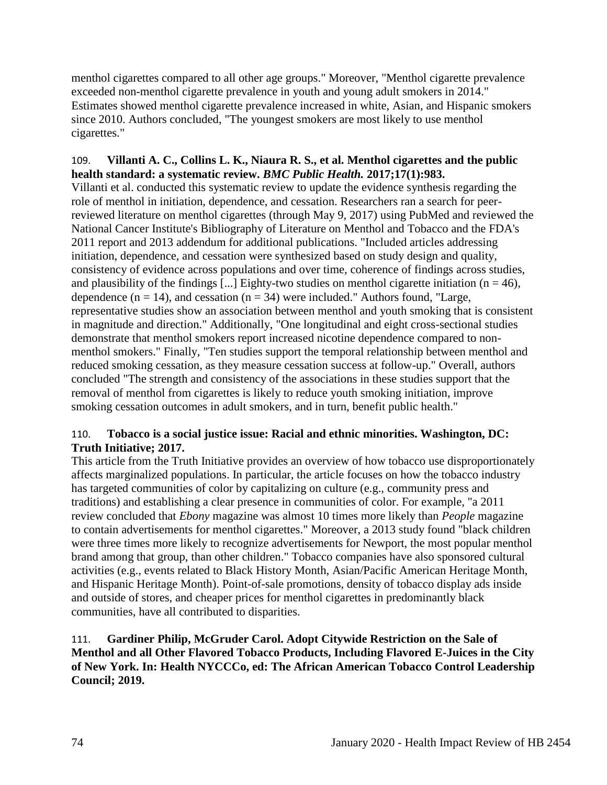menthol cigarettes compared to all other age groups." Moreover, "Menthol cigarette prevalence exceeded non-menthol cigarette prevalence in youth and young adult smokers in 2014." Estimates showed menthol cigarette prevalence increased in white, Asian, and Hispanic smokers since 2010. Authors concluded, "The youngest smokers are most likely to use menthol cigarettes."

# 109. **Villanti A. C., Collins L. K., Niaura R. S., et al. Menthol cigarettes and the public health standard: a systematic review.** *BMC Public Health.* **2017;17(1):983.**

Villanti et al. conducted this systematic review to update the evidence synthesis regarding the role of menthol in initiation, dependence, and cessation. Researchers ran a search for peerreviewed literature on menthol cigarettes (through May 9, 2017) using PubMed and reviewed the National Cancer Institute's Bibliography of Literature on Menthol and Tobacco and the FDA's 2011 report and 2013 addendum for additional publications. "Included articles addressing initiation, dependence, and cessation were synthesized based on study design and quality, consistency of evidence across populations and over time, coherence of findings across studies, and plausibility of the findings [...] Eighty-two studies on menthol cigarette initiation ( $n = 46$ ), dependence  $(n = 14)$ , and cessation  $(n = 34)$  were included." Authors found, "Large, representative studies show an association between menthol and youth smoking that is consistent in magnitude and direction." Additionally, "One longitudinal and eight cross-sectional studies demonstrate that menthol smokers report increased nicotine dependence compared to nonmenthol smokers." Finally, "Ten studies support the temporal relationship between menthol and reduced smoking cessation, as they measure cessation success at follow-up." Overall, authors concluded "The strength and consistency of the associations in these studies support that the removal of menthol from cigarettes is likely to reduce youth smoking initiation, improve smoking cessation outcomes in adult smokers, and in turn, benefit public health."

# 110. **Tobacco is a social justice issue: Racial and ethnic minorities. Washington, DC: Truth Initiative; 2017.**

This article from the Truth Initiative provides an overview of how tobacco use disproportionately affects marginalized populations. In particular, the article focuses on how the tobacco industry has targeted communities of color by capitalizing on culture (e.g., community press and traditions) and establishing a clear presence in communities of color. For example, "a 2011 review concluded that *Ebony* magazine was almost 10 times more likely than *People* magazine to contain advertisements for menthol cigarettes." Moreover, a 2013 study found "black children were three times more likely to recognize advertisements for Newport, the most popular menthol brand among that group, than other children." Tobacco companies have also sponsored cultural activities (e.g., events related to Black History Month, Asian/Pacific American Heritage Month, and Hispanic Heritage Month). Point-of-sale promotions, density of tobacco display ads inside and outside of stores, and cheaper prices for menthol cigarettes in predominantly black communities, have all contributed to disparities.

111. **Gardiner Philip, McGruder Carol. Adopt Citywide Restriction on the Sale of Menthol and all Other Flavored Tobacco Products, Including Flavored E-Juices in the City of New York. In: Health NYCCCo, ed: The African American Tobacco Control Leadership Council; 2019.**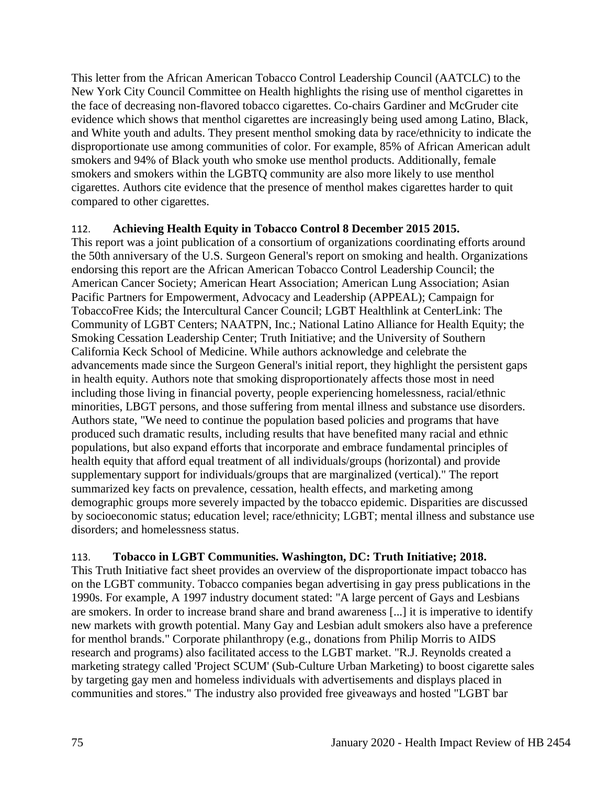This letter from the African American Tobacco Control Leadership Council (AATCLC) to the New York City Council Committee on Health highlights the rising use of menthol cigarettes in the face of decreasing non-flavored tobacco cigarettes. Co-chairs Gardiner and McGruder cite evidence which shows that menthol cigarettes are increasingly being used among Latino, Black, and White youth and adults. They present menthol smoking data by race/ethnicity to indicate the disproportionate use among communities of color. For example, 85% of African American adult smokers and 94% of Black youth who smoke use menthol products. Additionally, female smokers and smokers within the LGBTQ community are also more likely to use menthol cigarettes. Authors cite evidence that the presence of menthol makes cigarettes harder to quit compared to other cigarettes.

### 112. **Achieving Health Equity in Tobacco Control 8 December 2015 2015.**

This report was a joint publication of a consortium of organizations coordinating efforts around the 50th anniversary of the U.S. Surgeon General's report on smoking and health. Organizations endorsing this report are the African American Tobacco Control Leadership Council; the American Cancer Society; American Heart Association; American Lung Association; Asian Pacific Partners for Empowerment, Advocacy and Leadership (APPEAL); Campaign for TobaccoFree Kids; the Intercultural Cancer Council; LGBT Healthlink at CenterLink: The Community of LGBT Centers; NAATPN, Inc.; National Latino Alliance for Health Equity; the Smoking Cessation Leadership Center; Truth Initiative; and the University of Southern California Keck School of Medicine. While authors acknowledge and celebrate the advancements made since the Surgeon General's initial report, they highlight the persistent gaps in health equity. Authors note that smoking disproportionately affects those most in need including those living in financial poverty, people experiencing homelessness, racial/ethnic minorities, LBGT persons, and those suffering from mental illness and substance use disorders. Authors state, "We need to continue the population based policies and programs that have produced such dramatic results, including results that have benefited many racial and ethnic populations, but also expand efforts that incorporate and embrace fundamental principles of health equity that afford equal treatment of all individuals/groups (horizontal) and provide supplementary support for individuals/groups that are marginalized (vertical)." The report summarized key facts on prevalence, cessation, health effects, and marketing among demographic groups more severely impacted by the tobacco epidemic. Disparities are discussed by socioeconomic status; education level; race/ethnicity; LGBT; mental illness and substance use disorders; and homelessness status.

## 113. **Tobacco in LGBT Communities. Washington, DC: Truth Initiative; 2018.**

This Truth Initiative fact sheet provides an overview of the disproportionate impact tobacco has on the LGBT community. Tobacco companies began advertising in gay press publications in the 1990s. For example, A 1997 industry document stated: "A large percent of Gays and Lesbians are smokers. In order to increase brand share and brand awareness [...] it is imperative to identify new markets with growth potential. Many Gay and Lesbian adult smokers also have a preference for menthol brands." Corporate philanthropy (e.g., donations from Philip Morris to AIDS research and programs) also facilitated access to the LGBT market. "R.J. Reynolds created a marketing strategy called 'Project SCUM' (Sub-Culture Urban Marketing) to boost cigarette sales by targeting gay men and homeless individuals with advertisements and displays placed in communities and stores." The industry also provided free giveaways and hosted "LGBT bar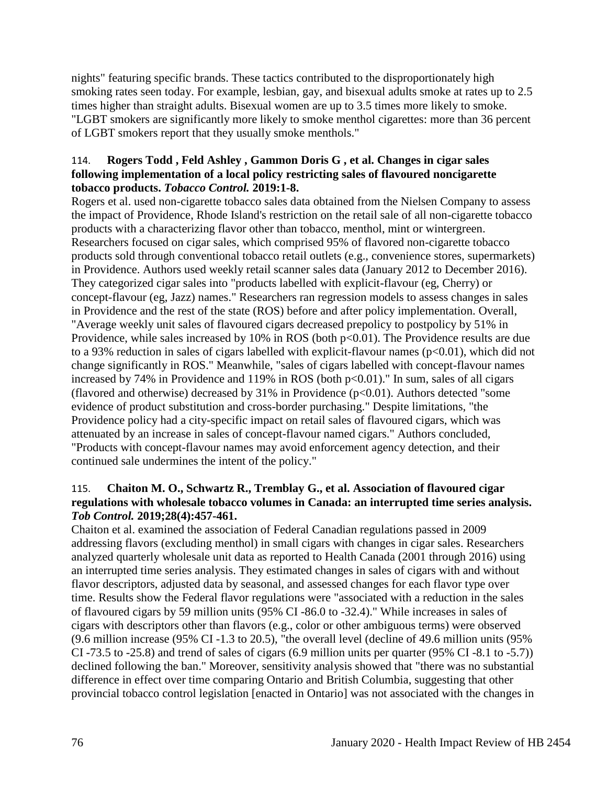nights" featuring specific brands. These tactics contributed to the disproportionately high smoking rates seen today. For example, lesbian, gay, and bisexual adults smoke at rates up to 2.5 times higher than straight adults. Bisexual women are up to 3.5 times more likely to smoke. "LGBT smokers are significantly more likely to smoke menthol cigarettes: more than 36 percent of LGBT smokers report that they usually smoke menthols."

## 114. **Rogers Todd , Feld Ashley , Gammon Doris G , et al. Changes in cigar sales following implementation of a local policy restricting sales of flavoured noncigarette tobacco products.** *Tobacco Control.* **2019:1-8.**

Rogers et al. used non-cigarette tobacco sales data obtained from the Nielsen Company to assess the impact of Providence, Rhode Island's restriction on the retail sale of all non-cigarette tobacco products with a characterizing flavor other than tobacco, menthol, mint or wintergreen. Researchers focused on cigar sales, which comprised 95% of flavored non-cigarette tobacco products sold through conventional tobacco retail outlets (e.g., convenience stores, supermarkets) in Providence. Authors used weekly retail scanner sales data (January 2012 to December 2016). They categorized cigar sales into "products labelled with explicit-flavour (eg, Cherry) or concept-flavour (eg, Jazz) names." Researchers ran regression models to assess changes in sales in Providence and the rest of the state (ROS) before and after policy implementation. Overall, "Average weekly unit sales of flavoured cigars decreased prepolicy to postpolicy by 51% in Providence, while sales increased by  $10\%$  in ROS (both  $p<0.01$ ). The Providence results are due to a 93% reduction in sales of cigars labelled with explicit-flavour names  $(p<0.01)$ , which did not change significantly in ROS." Meanwhile, "sales of cigars labelled with concept-flavour names increased by 74% in Providence and 119% in ROS (both  $p<0.01$ )." In sum, sales of all cigars (flavored and otherwise) decreased by  $31\%$  in Providence ( $p<0.01$ ). Authors detected "some evidence of product substitution and cross-border purchasing." Despite limitations, "the Providence policy had a city-specific impact on retail sales of flavoured cigars, which was attenuated by an increase in sales of concept-flavour named cigars." Authors concluded, "Products with concept-flavour names may avoid enforcement agency detection, and their continued sale undermines the intent of the policy."

## 115. **Chaiton M. O., Schwartz R., Tremblay G., et al. Association of flavoured cigar regulations with wholesale tobacco volumes in Canada: an interrupted time series analysis.**  *Tob Control.* **2019;28(4):457-461.**

Chaiton et al. examined the association of Federal Canadian regulations passed in 2009 addressing flavors (excluding menthol) in small cigars with changes in cigar sales. Researchers analyzed quarterly wholesale unit data as reported to Health Canada (2001 through 2016) using an interrupted time series analysis. They estimated changes in sales of cigars with and without flavor descriptors, adjusted data by seasonal, and assessed changes for each flavor type over time. Results show the Federal flavor regulations were "associated with a reduction in the sales of flavoured cigars by 59 million units (95% CI -86.0 to -32.4)." While increases in sales of cigars with descriptors other than flavors (e.g., color or other ambiguous terms) were observed (9.6 million increase (95% CI -1.3 to 20.5), "the overall level (decline of 49.6 million units (95% CI -73.5 to -25.8) and trend of sales of cigars (6.9 million units per quarter (95% CI -8.1 to -5.7)) declined following the ban." Moreover, sensitivity analysis showed that "there was no substantial difference in effect over time comparing Ontario and British Columbia, suggesting that other provincial tobacco control legislation [enacted in Ontario] was not associated with the changes in